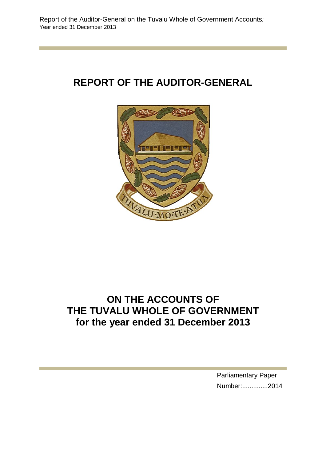# **REPORT OF THE AUDITOR-GENERAL**



# **ON THE ACCOUNTS OF THE TUVALU WHOLE OF GOVERNMENT for the year ended 31 December 2013**

Parliamentary Paper Number:..............2014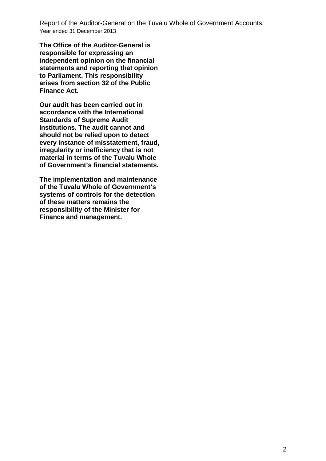**The Office of the Auditor-General is responsible for expressing an independent opinion on the financial statements and reporting that opinion to Parliament. This responsibility arises from section 32 of the Public Finance Act.**

**Our audit has been carried out in accordance with the International Standards of Supreme Audit Institutions. The audit cannot and should not be relied upon to detect every instance of misstatement, fraud, irregularity or inefficiency that is not material in terms of the Tuvalu Whole of Government's financial statements.**

**The implementation and maintenance of the Tuvalu Whole of Government's systems of controls for the detection of these matters remains the responsibility of the Minister for Finance and management.**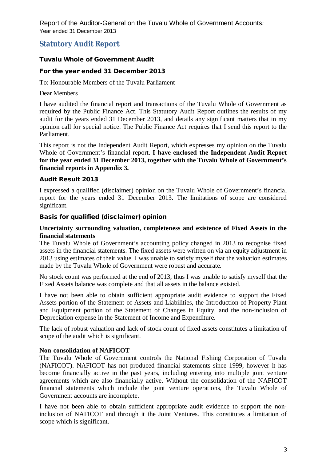## **Statutory Audit Report**

#### **Tuvalu Whole of Government Audit**

#### **For the year ended 31 December 2013**

To: Honourable Members of the Tuvalu Parliament

Dear Members

I have audited the financial report and transactions of the Tuvalu Whole of Government as required by the Public Finance Act. This Statutory Audit Report outlines the results of my audit for the years ended 31 December 2013, and details any significant matters that in my opinion call for special notice. The Public Finance Act requires that I send this report to the Parliament.

This report is not the Independent Audit Report, which expresses my opinion on the Tuvalu Whole of Government's financial report. **I have enclosed the Independent Audit Report for the year ended 31 December 2013, together with the Tuvalu Whole of Government's financial reports in Appendix 3.**

#### **Audit Result 2013**

I expressed a qualified (disclaimer) opinion on the Tuvalu Whole of Government's financial report for the years ended 31 December 2013. The limitations of scope are considered significant.

#### **Basis for qualified (disclaimer) opinion**

#### **Uncertainty surrounding valuation, completeness and existence of Fixed Assets in the financial statements**

The Tuvalu Whole of Government's accounting policy changed in 2013 to recognise fixed assets in the financial statements. The fixed assets were written on via an equity adjustment in 2013 using estimates of their value. I was unable to satisfy myself that the valuation estimates made by the Tuvalu Whole of Government were robust and accurate.

No stock count was performed at the end of 2013, thus I was unable to satisfy myself that the Fixed Assets balance was complete and that all assets in the balance existed.

I have not been able to obtain sufficient appropriate audit evidence to support the Fixed Assets portion of the Statement of Assets and Liabilities, the Introduction of Property Plant and Equipment portion of the Statement of Changes in Equity, and the non-inclusion of Depreciation expense in the Statement of Income and Expenditure.

The lack of robust valuation and lack of stock count of fixed assets constitutes a limitation of scope of the audit which is significant.

#### **Non-consolidation of NAFICOT**

The Tuvalu Whole of Government controls the National Fishing Corporation of Tuvalu (NAFICOT). NAFICOT has not produced financial statements since 1999, however it has become financially active in the past years, including entering into multiple joint venture agreements which are also financially active. Without the consolidation of the NAFICOT financial statements which include the joint venture operations, the Tuvalu Whole of Government accounts are incomplete.

I have not been able to obtain sufficient appropriate audit evidence to support the noninclusion of NAFICOT and through it the Joint Ventures. This constitutes a limitation of scope which is significant.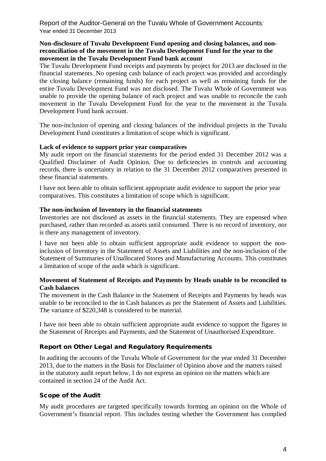#### **Non-disclosure of Tuvalu Development Fund opening and closing balances, and nonreconciliation of the movement in the Tuvalu Development Fund for the year to the movement in the Tuvalu Development Fund bank account**

The Tuvalu Development Fund receipts and payments by project for 2013 are disclosed in the financial statements. No opening cash balance of each project was provided and accordingly the closing balance (remaining funds) for each project as well as remaining funds for the entire Tuvalu Development Fund was not disclosed. The Tuvalu Whole of Government was unable to provide the opening balance of each project and was unable to reconcile the cash movement in the Tuvalu Development Fund for the year to the movement in the Tuvalu Development Fund bank account.

The non-inclusion of opening and closing balances of the individual projects in the Tuvalu Development Fund constitutes a limitation of scope which is significant.

#### **Lack of evidence to support prior year comparatives**

My audit report on the financial statements for the period ended 31 December 2012 was a Qualified Disclaimer of Audit Opinion. Due to deficiencies in controls and accounting records, there is uncertainty in relation to the 31 December 2012 comparatives presented in these financial statements.

I have not been able to obtain sufficient appropriate audit evidence to support the prior year comparatives. This constitutes a limitation of scope which is significant.

#### **The non-inclusion of Inventory in the financial statements**

Inventories are not disclosed as assets in the financial statements. They are expensed when purchased, rather than recorded as assets until consumed. There is no record of inventory, nor is there any management of inventory.

I have not been able to obtain sufficient appropriate audit evidence to support the noninclusion of Inventory in the Statement of Assets and Liabilities and the non-inclusion of the Statement of Summaries of Unallocated Stores and Manufacturing Accounts. This constitutes a limitation of scope of the audit which is significant.

#### **Movement of Statement of Receipts and Payments by Heads unable to be reconciled to Cash balances**

The movement in the Cash Balance in the Statement of Receipts and Payments by heads was unable to be reconciled to the in Cash balances as per the Statement of Assets and Liabilities. The variance of \$220,348 is considered to be material.

I have not been able to obtain sufficient appropriate audit evidence to support the figures in the Statement of Receipts and Payments, and the Statement of Unauthorised Expenditure.

#### **Report on Other Legal and Regulatory Requirements**

In auditing the accounts of the Tuvalu Whole of Government for the year ended 31 December 2013, due to the matters in the Basis for Disclaimer of Opinion above and the matters raised in the statutory audit report below, I do not express an opinion on the matters which are contained in section 24 of the Audit Act.

#### **Scope of the Audit**

My audit procedures are targeted specifically towards forming an opinion on the Whole of Government's financial report. This includes testing whether the Government has complied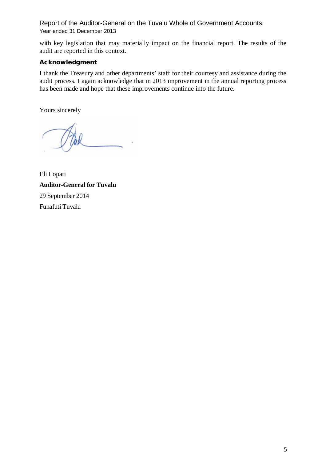with key legislation that may materially impact on the financial report. The results of the audit are reported in this context.

### **Acknowledgment**

I thank the Treasury and other departments' staff for their courtesy and assistance during the audit process. I again acknowledge that in 2013 improvement in the annual reporting process has been made and hope that these improvements continue into the future.

Yours sincerely

Eli Lopati **Auditor-General for Tuvalu**  29 September 2014 Funafuti Tuvalu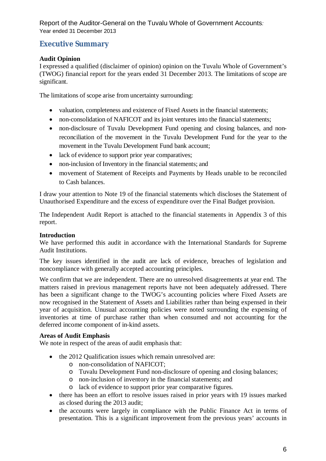## **Executive Summary**

### **Audit Opinion**

I expressed a qualified (disclaimer of opinion) opinion on the Tuvalu Whole of Government's (TWOG) financial report for the years ended 31 December 2013. The limitations of scope are significant.

The limitations of scope arise from uncertainty surrounding:

- valuation, completeness and existence of Fixed Assets in the financial statements;
- non-consolidation of NAFICOT and its joint ventures into the financial statements;
- non-disclosure of Tuvalu Development Fund opening and closing balances, and nonreconciliation of the movement in the Tuvalu Development Fund for the year to the movement in the Tuvalu Development Fund bank account;
- lack of evidence to support prior year comparatives;
- non-inclusion of Inventory in the financial statements; and
- movement of Statement of Receipts and Payments by Heads unable to be reconciled to Cash balances.

I draw your attention to Note 19 of the financial statements which discloses the Statement of Unauthorised Expenditure and the excess of expenditure over the Final Budget provision.

The Independent Audit Report is attached to the financial statements in Appendix 3 of this report.

### **Introduction**

We have performed this audit in accordance with the International Standards for Supreme Audit Institutions.

The key issues identified in the audit are lack of evidence, breaches of legislation and noncompliance with generally accepted accounting principles.

We confirm that we are independent. There are no unresolved disagreements at year end. The matters raised in previous management reports have not been adequately addressed. There has been a significant change to the TWOG's accounting policies where Fixed Assets are now recognised in the Statement of Assets and Liabilities rather than being expensed in their year of acquisition. Unusual accounting policies were noted surrounding the expensing of inventories at time of purchase rather than when consumed and not accounting for the deferred income component of in-kind assets.

#### **Areas of Audit Emphasis**

We note in respect of the areas of audit emphasis that:

- the 2012 Qualification issues which remain unresolved are:
	- o non-consolidation of NAFICOT;
	- o Tuvalu Development Fund non-disclosure of opening and closing balances;
	- o non-inclusion of inventory in the financial statements; and
	- o lack of evidence to support prior year comparative figures.
- there has been an effort to resolve issues raised in prior vears with 19 issues marked as closed during the 2013 audit;
- the accounts were largely in compliance with the Public Finance Act in terms of presentation. This is a significant improvement from the previous years' accounts in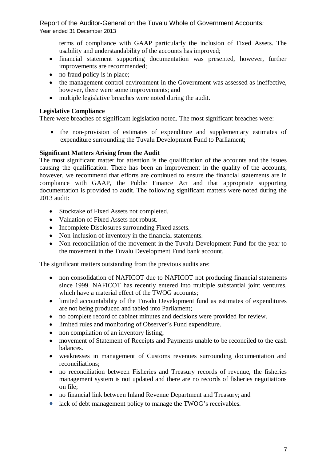terms of compliance with GAAP particularly the inclusion of Fixed Assets. The usability and understandability of the accounts has improved;

- financial statement supporting documentation was presented, however, further improvements are recommended;
- no fraud policy is in place;
- the management control environment in the Government was assessed as ineffective, however, there were some improvements; and
- multiple legislative breaches were noted during the audit.

#### **Legislative Compliance**

There were breaches of significant legislation noted. The most significant breaches were:

 the non-provision of estimates of expenditure and supplementary estimates of expenditure surrounding the Tuvalu Development Fund to Parliament;

#### **Significant Matters Arising from the Audit**

The most significant matter for attention is the qualification of the accounts and the issues causing the qualification. There has been an improvement in the quality of the accounts, however, we recommend that efforts are continued to ensure the financial statements are in compliance with GAAP, the Public Finance Act and that appropriate supporting documentation is provided to audit. The following significant matters were noted during the 2013 audit:

- Stocktake of Fixed Assets not completed.
- Valuation of Fixed Assets not robust.
- Incomplete Disclosures surrounding Fixed assets.
- Non-inclusion of inventory in the financial statements.
- Non-reconciliation of the movement in the Tuvalu Development Fund for the year to the movement in the Tuvalu Development Fund bank account.

The significant matters outstanding from the previous audits are:

- non consolidation of NAFICOT due to NAFICOT not producing financial statements since 1999. NAFICOT has recently entered into multiple substantial joint ventures, which have a material effect of the TWOG accounts:
- limited accountability of the Tuvalu Development fund as estimates of expenditures are not being produced and tabled into Parliament;
- no complete record of cabinet minutes and decisions were provided for review.
- limited rules and monitoring of Observer's Fund expenditure.
- non compilation of an inventory listing:
- movement of Statement of Receipts and Payments unable to be reconciled to the cash balances.
- weaknesses in management of Customs revenues surrounding documentation and reconciliations;
- no reconciliation between Fisheries and Treasury records of revenue, the fisheries management system is not updated and there are no records of fisheries negotiations on file;
- no financial link between Inland Revenue Department and Treasury; and
- lack of debt management policy to manage the TWOG's receivables.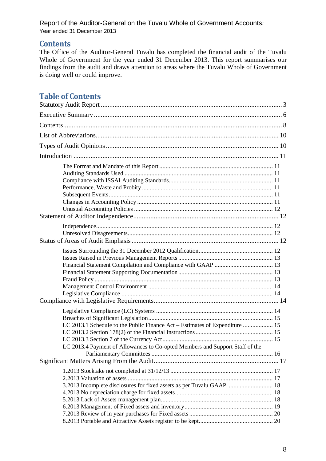### **Contents**

The Office of the Auditor-General Tuvalu has completed the financial audit of the Tuvalu Whole of Government for the year ended 31 December 2013. This report summarises our findings from the audit and draws attention to areas where the Tuvalu Whole of Government is doing well or could improve.

## **Table of Contents**

| LC 2013.1 Schedule to the Public Finance Act – Estimates of Expenditure  15<br>LC 2013.4 Payment of Allowances to Co-opted Members and Support Staff of the |
|-------------------------------------------------------------------------------------------------------------------------------------------------------------|
| 3.2013 Incomplete disclosures for fixed assets as per Tuvalu GAAP.  18                                                                                      |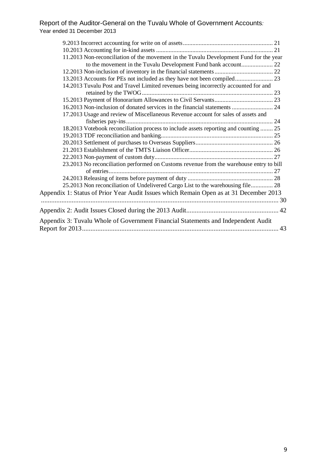| 11.2013 Non-reconciliation of the movement in the Tuvalu Development Fund for the year  |  |
|-----------------------------------------------------------------------------------------|--|
| to the movement in the Tuvalu Development Fund bank account 22                          |  |
|                                                                                         |  |
|                                                                                         |  |
| 14.2013 Tuvalu Post and Travel Limited revenues being incorrectly accounted for and     |  |
|                                                                                         |  |
|                                                                                         |  |
| 16.2013 Non-inclusion of donated services in the financial statements  24               |  |
| 17.2013 Usage and review of Miscellaneous Revenue account for sales of assets and       |  |
|                                                                                         |  |
| 18.2013 Votebook reconciliation process to include assets reporting and counting  25    |  |
|                                                                                         |  |
|                                                                                         |  |
|                                                                                         |  |
|                                                                                         |  |
| 23.2013 No reconciliation performed on Customs revenue from the warehouse entry to bill |  |
|                                                                                         |  |
|                                                                                         |  |
| 25.2013 Non reconciliation of Undelivered Cargo List to the warehousing file 28         |  |
| Appendix 1: Status of Prior Year Audit Issues which Remain Open as at 31 December 2013  |  |
|                                                                                         |  |
|                                                                                         |  |
| Appendix 3: Tuvalu Whole of Government Financial Statements and Independent Audit       |  |
|                                                                                         |  |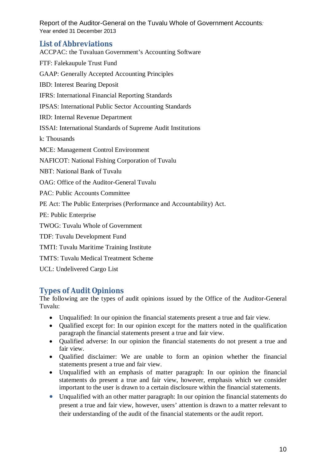## **List of Abbreviations**

ACCPAC: the Tuvaluan Government's Accounting Software FTF: Falekaupule Trust Fund GAAP: Generally Accepted Accounting Principles IBD: Interest Bearing Deposit IFRS: International Financial Reporting Standards IPSAS: International Public Sector Accounting Standards IRD: Internal Revenue Department ISSAI: International Standards of Supreme Audit Institutions k: Thousands MCE: Management Control Environment NAFICOT: National Fishing Corporation of Tuvalu NBT: National Bank of Tuvalu OAG: Office of the Auditor-General Tuvalu PAC: Public Accounts Committee PE Act: The Public Enterprises (Performance and Accountability) Act. PE: Public Enterprise TWOG: Tuvalu Whole of Government TDF: Tuvalu Development Fund TMTI: Tuvalu Maritime Training Institute TMTS: Tuvalu Medical Treatment Scheme UCL: Undelivered Cargo List

## **Types of Audit Opinions**

The following are the types of audit opinions issued by the Office of the Auditor-General Tuvalu:

- Unqualified: In our opinion the financial statements present a true and fair view.
- Qualified except for: In our opinion except for the matters noted in the qualification paragraph the financial statements present a true and fair view.
- Qualified adverse: In our opinion the financial statements do not present a true and fair view.
- Qualified disclaimer: We are unable to form an opinion whether the financial statements present a true and fair view.
- Unqualified with an emphasis of matter paragraph: In our opinion the financial statements do present a true and fair view, however, emphasis which we consider important to the user is drawn to a certain disclosure within the financial statements.
- Unqualified with an other matter paragraph: In our opinion the financial statements do present a true and fair view, however, users' attention is drawn to a matter relevant to their understanding of the audit of the financial statements or the audit report.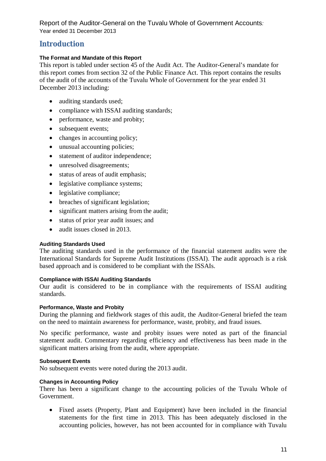### **Introduction**

#### **The Format and Mandate of this Report**

This report is tabled under section 45 of the Audit Act. The Auditor-General's mandate for this report comes from section 32 of the Public Finance Act. This report contains the results of the audit of the accounts of the Tuvalu Whole of Government for the year ended 31 December 2013 including:

- auditing standards used;
- compliance with ISSAI auditing standards;
- performance, waste and probity;
- subsequent events;
- changes in accounting policy;
- unusual accounting policies;
- statement of auditor independence;
- unresolved disagreements;
- status of areas of audit emphasis;
- legislative compliance systems;
- legislative compliance;
- breaches of significant legislation;
- significant matters arising from the audit;
- status of prior year audit issues; and
- audit issues closed in 2013.

#### **Auditing Standards Used**

The auditing standards used in the performance of the financial statement audits were the International Standards for Supreme Audit Institutions (ISSAI). The audit approach is a risk based approach and is considered to be compliant with the ISSAIs.

#### **Compliance with ISSAI Auditing Standards**

Our audit is considered to be in compliance with the requirements of ISSAI auditing standards.

#### **Performance, Waste and Probity**

During the planning and fieldwork stages of this audit, the Auditor-General briefed the team on the need to maintain awareness for performance, waste, probity, and fraud issues.

No specific performance, waste and probity issues were noted as part of the financial statement audit. Commentary regarding efficiency and effectiveness has been made in the significant matters arising from the audit, where appropriate.

#### **Subsequent Events**

No subsequent events were noted during the 2013 audit.

#### **Changes in Accounting Policy**

There has been a significant change to the accounting policies of the Tuvalu Whole of Government.

 Fixed assets (Property, Plant and Equipment) have been included in the financial statements for the first time in 2013. This has been adequately disclosed in the accounting policies, however, has not been accounted for in compliance with Tuvalu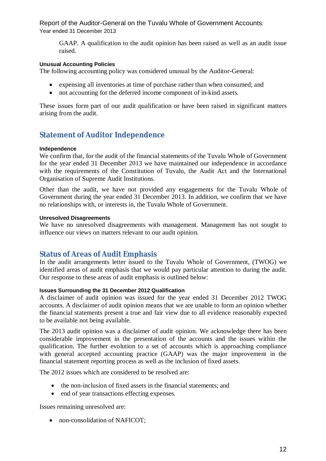GAAP. A qualification to the audit opinion has been raised as well as an audit issue raised.

#### **Unusual Accounting Policies**

The following accounting policy was considered unusual by the Auditor-General:

- expensing all inventories at time of purchase rather than when consumed; and
- not accounting for the deferred income component of in-kind assets.

These issues form part of our audit qualification or have been raised in significant matters arising from the audit.

### **Statement of Auditor Independence**

#### **Independence**

We confirm that, for the audit of the financial statements of the Tuvalu Whole of Government for the year ended 31 December 2013 we have maintained our independence in accordance with the requirements of the Constitution of Tuvalu, the Audit Act and the International Organisation of Supreme Audit Institutions.

Other than the audit, we have not provided any engagements for the Tuvalu Whole of Government during the year ended 31 December 2013. In addition, we confirm that we have no relationships with, or interests in, the Tuvalu Whole of Government.

#### **Unresolved Disagreements**

We have no unresolved disagreements with management. Management has not sought to influence our views on matters relevant to our audit opinion.

### **Status of Areas of Audit Emphasis**

In the audit arrangements letter issued to the Tuvalu Whole of Government, (TWOG) we identified areas of audit emphasis that we would pay particular attention to during the audit. Our response to these areas of audit emphasis is outlined below:

#### **Issues Surrounding the 31 December 2012 Qualification**

A disclaimer of audit opinion was issued for the year ended 31 December 2012 TWOG accounts. A disclaimer of audit opinion means that we are unable to form an opinion whether the financial statements present a true and fair view due to all evidence reasonably expected to be available not being available.

The 2013 audit opinion was a disclaimer of audit opinion. We acknowledge there has been considerable improvement in the presentation of the accounts and the issues within the qualification. The further evolution to a set of accounts which is approaching compliance with general accepted accounting practice (GAAP) was the major improvement in the financial statement reporting process as well as the inclusion of fixed assets.

The 2012 issues which are considered to be resolved are:

- the non-inclusion of fixed assets in the financial statements; and
- end of year transactions effecting expenses.

Issues remaining unresolved are:

• non-consolidation of NAFICOT;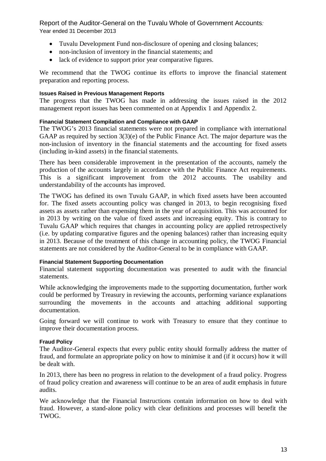- Tuvalu Development Fund non-disclosure of opening and closing balances;
- non-inclusion of inventory in the financial statements; and
- lack of evidence to support prior year comparative figures.

We recommend that the TWOG continue its efforts to improve the financial statement preparation and reporting process.

#### **Issues Raised in Previous Management Reports**

The progress that the TWOG has made in addressing the issues raised in the 2012 management report issues has been commented on at Appendix 1 and Appendix 2.

#### **Financial Statement Compilation and Compliance with GAAP**

The TWOG's 2013 financial statements were not prepared in compliance with international GAAP as required by section 3(3)(e) of the Public Finance Act. The major departure was the non-inclusion of inventory in the financial statements and the accounting for fixed assets (including in-kind assets) in the financial statements.

There has been considerable improvement in the presentation of the accounts, namely the production of the accounts largely in accordance with the Public Finance Act requirements. This is a significant improvement from the 2012 accounts. The usability and understandability of the accounts has improved.

The TWOG has defined its own Tuvalu GAAP, in which fixed assets have been accounted for. The fixed assets accounting policy was changed in 2013, to begin recognising fixed assets as assets rather than expensing them in the year of acquisition. This was accounted for in 2013 by writing on the value of fixed assets and increasing equity. This is contrary to Tuvalu GAAP which requires that changes in accounting policy are applied retrospectively (i.e. by updating comparative figures and the opening balances) rather than increasing equity in 2013. Because of the treatment of this change in accounting policy, the TWOG Financial statements are not considered by the Auditor-General to be in compliance with GAAP.

#### **Financial Statement Supporting Documentation**

Financial statement supporting documentation was presented to audit with the financial statements.

While acknowledging the improvements made to the supporting documentation, further work could be performed by Treasury in reviewing the accounts, performing variance explanations surrounding the movements in the accounts and attaching additional supporting documentation.

Going forward we will continue to work with Treasury to ensure that they continue to improve their documentation process.

#### **Fraud Policy**

The Auditor-General expects that every public entity should formally address the matter of fraud, and formulate an appropriate policy on how to minimise it and (if it occurs) how it will be dealt with.

In 2013, there has been no progress in relation to the development of a fraud policy. Progress of fraud policy creation and awareness will continue to be an area of audit emphasis in future audits.

We acknowledge that the Financial Instructions contain information on how to deal with fraud. However, a stand-alone policy with clear definitions and processes will benefit the TWOG.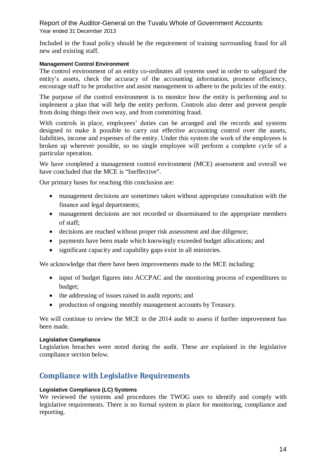Included in the fraud policy should be the requirement of training surrounding fraud for all new and existing staff.

#### **Management Control Environment**

The control environment of an entity co-ordinates all systems used in order to safeguard the entity's assets, check the accuracy of the accounting information, promote efficiency, encourage staff to be productive and assist management to adhere to the policies of the entity.

The purpose of the control environment is to monitor how the entity is performing and to implement a plan that will help the entity perform. Controls also deter and prevent people from doing things their own way, and from committing fraud.

With controls in place, employees' duties can be arranged and the records and systems designed to make it possible to carry out effective accounting control over the assets, liabilities, income and expenses of the entity. Under this system the work of the employees is broken up wherever possible, so no single employee will perform a complete cycle of a particular operation.

We have completed a management control environment (MCE) assessment and overall we have concluded that the MCE is "Ineffective".

Our primary bases for reaching this conclusion are:

- management decisions are sometimes taken without appropriate consultation with the finance and legal departments;
- management decisions are not recorded or disseminated to the appropriate members of staff;
- decisions are reached without proper risk assessment and due diligence;
- payments have been made which knowingly exceeded budget allocations; and
- significant capacity and capability gaps exist in all ministries.

We acknowledge that there have been improvements made to the MCE including:

- input of budget figures into ACCPAC and the monitoring process of expenditures to budget;
- the addressing of issues raised in audit reports; and
- production of ongoing monthly management accounts by Treasury.

We will continue to review the MCE in the 2014 audit to assess if further improvement has been made.

#### **Legislative Compliance**

Legislation breaches were noted during the audit. These are explained in the legislative compliance section below.

### **Compliance with Legislative Requirements**

#### **Legislative Compliance (LC) Systems**

We reviewed the systems and procedures the TWOG uses to identify and comply with legislative requirements. There is no formal system in place for monitoring, compliance and reporting.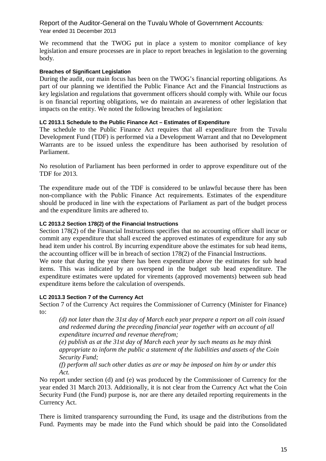We recommend that the TWOG put in place a system to monitor compliance of key legislation and ensure processes are in place to report breaches in legislation to the governing body.

#### **Breaches of Significant Legislation**

During the audit, our main focus has been on the TWOG's financial reporting obligations. As part of our planning we identified the Public Finance Act and the Financial Instructions as key legislation and regulations that government officers should comply with. While our focus is on financial reporting obligations, we do maintain an awareness of other legislation that impacts on the entity. We noted the following breaches of legislation:

#### **LC 2013.1 Schedule to the Public Finance Act – Estimates of Expenditure**

The schedule to the Public Finance Act requires that all expenditure from the Tuvalu Development Fund (TDF) is performed via a Development Warrant and that no Development Warrants are to be issued unless the expenditure has been authorised by resolution of Parliament.

No resolution of Parliament has been performed in order to approve expenditure out of the TDF for 2013.

The expenditure made out of the TDF is considered to be unlawful because there has been non-compliance with the Public Finance Act requirements. Estimates of the expenditure should be produced in line with the expectations of Parliament as part of the budget process and the expenditure limits are adhered to.

#### **LC 2013.2 Section 178(2) of the Financial Instructions**

Section 178(2) of the Financial Instructions specifies that no accounting officer shall incur or commit any expenditure that shall exceed the approved estimates of expenditure for any sub head item under his control. By incurring expenditure above the estimates for sub head items, the accounting officer will be in breach of section 178(2) of the Financial Instructions.

We note that during the year there has been expenditure above the estimates for sub head items. This was indicated by an overspend in the budget sub head expenditure. The expenditure estimates were updated for virements (approved movements) between sub head expenditure items before the calculation of overspends.

#### **LC 2013.3 Section 7 of the Currency Act**

Section 7 of the Currency Act requires the Commissioner of Currency (Minister for Finance) to:

*(d) not later than the 31st day of March each year prepare a report on all coin issued and redeemed during the preceding financial year together with an account of all expenditure incurred and revenue therefrom;*

*(e) publish as at the 31st day of March each year by such means as he may think appropriate to inform the public a statement of the liabilities and assets of the Coin Security Fund;*

*(f) perform all such other duties as are or may be imposed on him by or under this Act.*

No report under section (d) and (e) was produced by the Commissioner of Currency for the year ended 31 March 2013. Additionally, it is not clear from the Currency Act what the Coin Security Fund (the Fund) purpose is, nor are there any detailed reporting requirements in the Currency Act.

There is limited transparency surrounding the Fund, its usage and the distributions from the Fund. Payments may be made into the Fund which should be paid into the Consolidated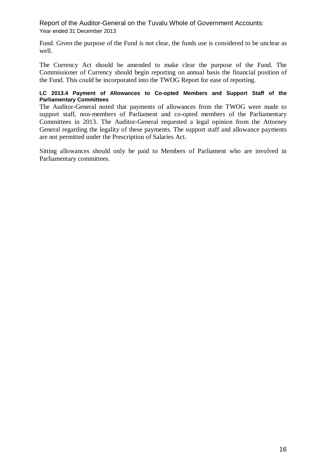Fund. Given the purpose of the Fund is not clear, the funds use is considered to be unclear as well.

The Currency Act should be amended to make clear the purpose of the Fund. The Commissioner of Currency should begin reporting on annual basis the financial position of the Fund. This could be incorporated into the TWOG Report for ease of reporting.

#### **LC 2013.4 Payment of Allowances to Co-opted Members and Support Staff of the Parliamentary Committees**

The Auditor-General noted that payments of allowances from the TWOG were made to support staff, non-members of Parliament and co-opted members of the Parliamentary Committees in 2013. The Auditor-General requested a legal opinion from the Attorney General regarding the legality of these payments. The support staff and allowance payments are not permitted under the Prescription of Salaries Act.

Sitting allowances should only be paid to Members of Parliament who are involved in Parliamentary committees.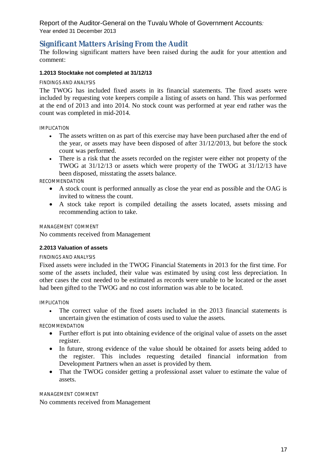### **Significant Matters Arising From the Audit**

The following significant matters have been raised during the audit for your attention and comment:

#### **1.2013 Stocktake not completed at 31/12/13**

FINDINGS AND ANALYSIS

The TWOG has included fixed assets in its financial statements. The fixed assets were included by requesting vote keepers compile a listing of assets on hand. This was performed at the end of 2013 and into 2014. No stock count was performed at year end rather was the count was completed in mid-2014.

IMPLICATION

- The assets written on as part of this exercise may have been purchased after the end of the year, or assets may have been disposed of after 31/12/2013, but before the stock count was performed.
- There is a risk that the assets recorded on the register were either not property of the TWOG at 31/12/13 or assets which were property of the TWOG at 31/12/13 have been disposed, misstating the assets balance.

RECOMMENDATION

- A stock count is performed annually as close the year end as possible and the OAG is invited to witness the count.
- A stock take report is compiled detailing the assets located, assets missing and recommending action to take.

#### MANAGEMENT COMMENT

No comments received from Management

#### **2.2013 Valuation of assets**

#### FINDINGS AND ANALYSIS

Fixed assets were included in the TWOG Financial Statements in 2013 for the first time. For some of the assets included, their value was estimated by using cost less depreciation. In other cases the cost needed to be estimated as records were unable to be located or the asset had been gifted to the TWOG and no cost information was able to be located.

IMPLICATION

 The correct value of the fixed assets included in the 2013 financial statements is uncertain given the estimation of costs used to value the assets.

RECOMMENDATION

- Further effort is put into obtaining evidence of the original value of assets on the asset register.
- In future, strong evidence of the value should be obtained for assets being added to the register. This includes requesting detailed financial information from Development Partners when an asset is provided by them.
- That the TWOG consider getting a professional asset valuer to estimate the value of assets.

MANAGEMENT COMMENT

No comments received from Management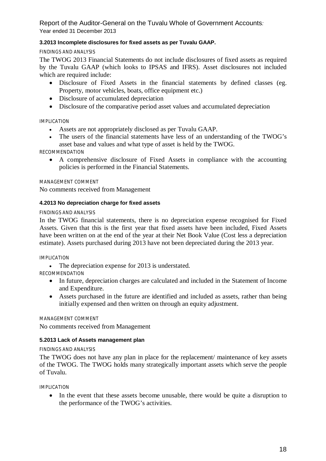#### **3.2013 Incomplete disclosures for fixed assets as per Tuvalu GAAP.**

#### FINDINGS AND ANALYSIS

The TWOG 2013 Financial Statements do not include disclosures of fixed assets as required by the Tuvalu GAAP (which looks to IPSAS and IFRS). Asset disclosures not included which are required include:

- Disclosure of Fixed Assets in the financial statements by defined classes (eg. Property, motor vehicles, boats, office equipment etc.)
- Disclosure of accumulated depreciation
- Disclosure of the comparative period asset values and accumulated depreciation

#### IMPLICATION

- Assets are not appropriately disclosed as per Tuvalu GAAP.
- The users of the financial statements have less of an understanding of the TWOG's asset base and values and what type of asset is held by the TWOG.

RECOMMENDATION

 A comprehensive disclosure of Fixed Assets in compliance with the accounting policies is performed in the Financial Statements.

MANAGEMENT COMMENT

No comments received from Management

#### **4.2013 No depreciation charge for fixed assets**

#### FINDINGS AND ANALYSIS

In the TWOG financial statements, there is no depreciation expense recognised for Fixed Assets. Given that this is the first year that fixed assets have been included, Fixed Assets have been written on at the end of the year at their Net Book Value (Cost less a depreciation estimate). Assets purchased during 2013 have not been depreciated during the 2013 year.

#### IMPLICATION

• The depreciation expense for 2013 is understated.

RECOMMENDATION

- In future, depreciation charges are calculated and included in the Statement of Income and Expenditure.
- Assets purchased in the future are identified and included as assets, rather than being initially expensed and then written on through an equity adjustment.

#### MANAGEMENT COMMENT

No comments received from Management

#### **5.2013 Lack of Assets management plan**

#### FINDINGS AND ANALYSIS

The TWOG does not have any plan in place for the replacement/ maintenance of key assets of the TWOG. The TWOG holds many strategically important assets which serve the people of Tuvalu.

IMPLICATION

• In the event that these assets become unusable, there would be quite a disruption to the performance of the TWOG's activities.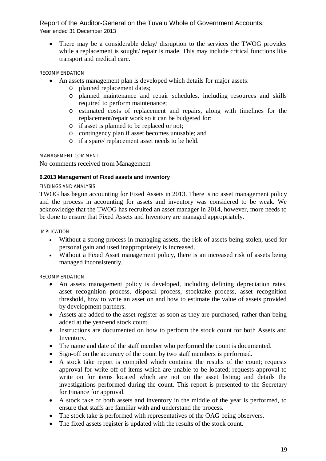• There may be a considerable delay/ disruption to the services the TWOG provides while a replacement is sought/ repair is made. This may include critical functions like transport and medical care.

#### RECOMMENDATION

- An assets management plan is developed which details for major assets:
	- o planned replacement dates;
	- o planned maintenance and repair schedules, including resources and skills required to perform maintenance;
	- o estimated costs of replacement and repairs, along with timelines for the replacement/repair work so it can be budgeted for;
	- o if asset is planned to be replaced or not;
	- o contingency plan if asset becomes unusable; and
	- o if a spare/ replacement asset needs to be held.

MANAGEMENT COMMENT

No comments received from Management

#### **6.2013 Management of Fixed assets and inventory**

#### FINDINGS AND ANALYSIS

TWOG has begun accounting for Fixed Assets in 2013. There is no asset management policy and the process in accounting for assets and inventory was considered to be weak. We acknowledge that the TWOG has recruited an asset manager in 2014, however, more needs to be done to ensure that Fixed Assets and Inventory are managed appropriately.

IMPLICATION

- Without a strong process in managing assets, the risk of assets being stolen, used for personal gain and used inappropriately is increased.
- Without a Fixed Asset management policy, there is an increased risk of assets being managed inconsistently.

#### RECOMMENDATION

- An assets management policy is developed, including defining depreciation rates, asset recognition process, disposal process, stocktake process, asset recognition threshold, how to write an asset on and how to estimate the value of assets provided by development partners.
- Assets are added to the asset register as soon as they are purchased, rather than being added at the year-end stock count.
- Instructions are documented on how to perform the stock count for both Assets and Inventory.
- The name and date of the staff member who performed the count is documented.
- Sign-off on the accuracy of the count by two staff members is performed.
- A stock take report is compiled which contains: the results of the count; requests approval for write off of items which are unable to be located; requests approval to write on for items located which are not on the asset listing; and details the investigations performed during the count. This report is presented to the Secretary for Finance for approval.
- A stock take of both assets and inventory in the middle of the year is performed, to ensure that staffs are familiar with and understand the process.
- The stock take is performed with representatives of the OAG being observers.
- The fixed assets register is updated with the results of the stock count.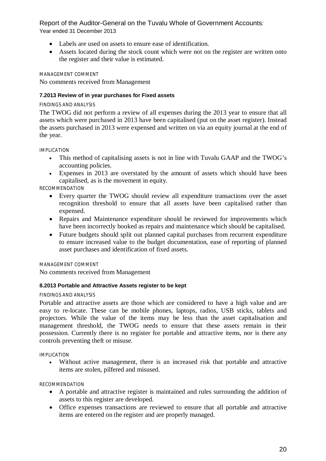- Labels are used on assets to ensure ease of identification.
- Assets located during the stock count which were not on the register are written onto the register and their value is estimated.

MANAGEMENT COMMENT

No comments received from Management

#### **7.2013 Review of in year purchases for Fixed assets**

FINDINGS AND ANALYSIS

The TWOG did not perform a review of all expenses during the 2013 year to ensure that all assets which were purchased in 2013 have been capitalised (put on the asset register). Instead the assets purchased in 2013 were expensed and written on via an equity journal at the end of the year.

IMPLICATION

- This method of capitalising assets is not in line with Tuvalu GAAP and the TWOG's accounting policies.
- Expenses in 2013 are overstated by the amount of assets which should have been capitalised, as is the movement in equity.

RECOMMENDATION

- Every quarter the TWOG should review all expenditure transactions over the asset recognition threshold to ensure that all assets have been capitalised rather than expensed.
- Repairs and Maintenance expenditure should be reviewed for improvements which have been incorrectly booked as repairs and maintenance which should be capitalised.
- Future budgets should split out planned capital purchases from recurrent expenditure to ensure increased value to the budget documentation, ease of reporting of planned asset purchases and identification of fixed assets.

MANAGEMENT COMMENT

No comments received from Management

#### **8.2013 Portable and Attractive Assets register to be kept**

#### FINDINGS AND ANALYSIS

Portable and attractive assets are those which are considered to have a high value and are easy to re-locate. These can be mobile phones, laptops, radios, USB sticks, tablets and projectors. While the value of the items may be less than the asset capitalisation and management threshold, the TWOG needs to ensure that these assets remain in their possession. Currently there is no register for portable and attractive items, nor is there any controls preventing theft or misuse.

IMPLICATION

 Without active management, there is an increased risk that portable and attractive items are stolen, pilfered and misused.

RECOMMENDATION

- A portable and attractive register is maintained and rules surrounding the addition of assets to this register are developed.
- Office expenses transactions are reviewed to ensure that all portable and attractive items are entered on the register and are properly managed.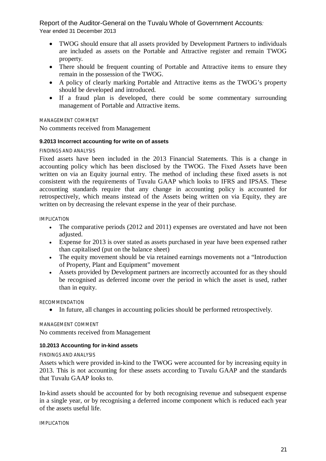- TWOG should ensure that all assets provided by Development Partners to individuals are included as assets on the Portable and Attractive register and remain TWOG property.
- There should be frequent counting of Portable and Attractive items to ensure they remain in the possession of the TWOG.
- A policy of clearly marking Portable and Attractive items as the TWOG's property should be developed and introduced.
- If a fraud plan is developed, there could be some commentary surrounding management of Portable and Attractive items.

#### MANAGEMENT COMMENT

No comments received from Management

#### **9.2013 Incorrect accounting for write on of assets**

#### FINDINGS AND ANALYSIS

Fixed assets have been included in the 2013 Financial Statements. This is a change in accounting policy which has been disclosed by the TWOG. The Fixed Assets have been written on via an Equity journal entry. The method of including these fixed assets is not consistent with the requirements of Tuvalu GAAP which looks to IFRS and IPSAS. These accounting standards require that any change in accounting policy is accounted for retrospectively, which means instead of the Assets being written on via Equity, they are written on by decreasing the relevant expense in the year of their purchase.

#### IMPLICATION

- The comparative periods (2012 and 2011) expenses are overstated and have not been adjusted.
- Expense for 2013 is over stated as assets purchased in year have been expensed rather than capitalised (put on the balance sheet)
- The equity movement should be via retained earnings movements not a "Introduction of Property, Plant and Equipment" movement
- Assets provided by Development partners are incorrectly accounted for as they should be recognised as deferred income over the period in which the asset is used, rather than in equity.

RECOMMENDATION

In future, all changes in accounting policies should be performed retrospectively.

#### MANAGEMENT COMMENT

No comments received from Management

#### **10.2013 Accounting for in-kind assets**

#### FINDINGS AND ANALYSIS

Assets which were provided in-kind to the TWOG were accounted for by increasing equity in 2013. This is not accounting for these assets according to Tuvalu GAAP and the standards that Tuvalu GAAP looks to.

In-kind assets should be accounted for by both recognising revenue and subsequent expense in a single year, or by recognising a deferred income component which is reduced each year of the assets useful life.

IMPLICATION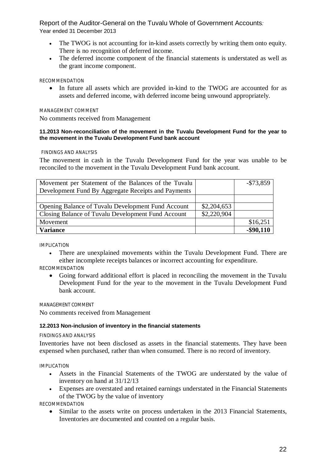- The TWOG is not accounting for in-kind assets correctly by writing them onto equity. There is no recognition of deferred income.
- The deferred income component of the financial statements is understated as well as the grant income component.

RECOMMENDATION

 In future all assets which are provided in-kind to the TWOG are accounted for as assets and deferred income, with deferred income being unwound appropriately.

MANAGEMENT COMMENT

No comments received from Management

#### **11.2013 Non-reconciliation of the movement in the Tuvalu Development Fund for the year to the movement in the Tuvalu Development Fund bank account**

FINDINGS AND ANALYSIS

The movement in cash in the Tuvalu Development Fund for the year was unable to be reconciled to the movement in the Tuvalu Development Fund bank account.

| Movement per Statement of the Balances of the Tuvalu      |             | $-$ \$73,859 |
|-----------------------------------------------------------|-------------|--------------|
| Development Fund By Aggregate Receipts and Payments       |             |              |
|                                                           |             |              |
| <b>Opening Balance of Tuvalu Development Fund Account</b> | \$2,204,653 |              |
| Closing Balance of Tuvalu Development Fund Account        | \$2,220,904 |              |
| Movement                                                  |             | \$16,251     |
| <b>Variance</b>                                           |             | $-$ \$90,110 |

IMPLICATION

 There are unexplained movements within the Tuvalu Development Fund. There are either incomplete receipts balances or incorrect accounting for expenditure.

RECOMMENDATION

 Going forward additional effort is placed in reconciling the movement in the Tuvalu Development Fund for the year to the movement in the Tuvalu Development Fund bank account.

MANAGEMENT COMMENT

No comments received from Management

#### **12.2013 Non-inclusion of inventory in the financial statements**

#### FINDINGS AND ANALYSIS

Inventories have not been disclosed as assets in the financial statements. They have been expensed when purchased, rather than when consumed. There is no record of inventory.

IMPLICATION

- Assets in the Financial Statements of the TWOG are understated by the value of inventory on hand at 31/12/13
- Expenses are overstated and retained earnings understated in the Financial Statements of the TWOG by the value of inventory

RECOMMENDATION

 Similar to the assets write on process undertaken in the 2013 Financial Statements, Inventories are documented and counted on a regular basis.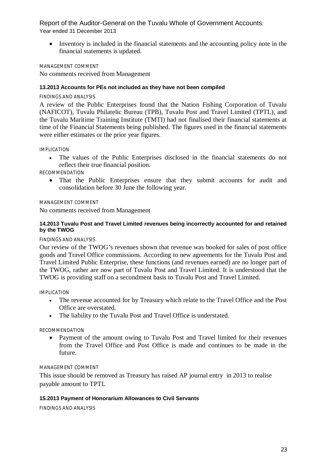• Inventory is included in the financial statements and the accounting policy note in the financial statements is updated.

MANAGEMENT COMMENT

No comments received from Management

#### **13.2013 Accounts for PEs not included as they have not been compiled**

FINDINGS AND ANALYSIS

A review of the Public Enterprises found that the Nation Fishing Corporation of Tuvalu (NAFICOT), Tuvalu Philatelic Bureau (TPB), Tuvalu Post and Travel Limited (TPTL), and the Tuvalu Maritime Training Institute (TMTI) had not finalised their financial statements at time of the Financial Statements being published. The figures used in the financial statements were either estimates or the prior year figures.

IMPLICATION

 The values of the Public Enterprises disclosed in the financial statements do not reflect their true financial position.

RECOMMENDATION

• That the Public Enterprises ensure that they submit accounts for audit and consolidation before 30 June the following year.

MANAGEMENT COMMENT

No comments received from Management

#### **14.2013 Tuvalu Post and Travel Limited revenues being incorrectly accounted for and retained by the TWOG**

FINDINGS AND ANALYSIS

Our review of the TWOG's revenues shown that revenue was booked for sales of post office goods and Travel Office commissions. According to new agreements for the Tuvalu Post and Travel Limited Public Enterprise, these functions (and revenues earned) are no longer part of the TWOG, rather are now part of Tuvalu Post and Travel Limited. It is understood that the TWOG is providing staff on a secondment basis to Tuvalu Post and Travel Limited.

IMPLICATION

- The revenue accounted for by Treasury which relate to the Travel Office and the Post Office are overstated.
- The liability to the Tuvalu Post and Travel Office is understated.

RECOMMENDATION

 Payment of the amount owing to Tuvalu Post and Travel limited for their revenues from the Travel Office and Post Office is made and continues to be made in the future.

#### MANAGEMENT COMMENT

This issue should be removed as Treasury has raised AP journal entry in 2013 to realise payable amount to TPTL

#### **15.2013 Payment of Honorarium Allowances to Civil Servants**

FINDINGS AND ANALYSIS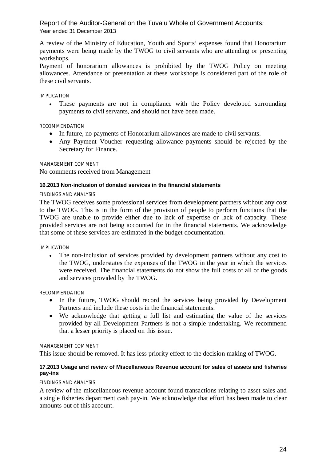A review of the Ministry of Education, Youth and Sports' expenses found that Honorarium payments were being made by the TWOG to civil servants who are attending or presenting workshops.

Payment of honorarium allowances is prohibited by the TWOG Policy on meeting allowances. Attendance or presentation at these workshops is considered part of the role of these civil servants.

IMPLICATION

 These payments are not in compliance with the Policy developed surrounding payments to civil servants, and should not have been made.

RECOMMENDATION

- In future, no payments of Honorarium allowances are made to civil servants.
- Any Payment Voucher requesting allowance payments should be rejected by the Secretary for Finance.

MANAGEMENT COMMENT

No comments received from Management

#### **16.2013 Non-inclusion of donated services in the financial statements**

#### FINDINGS AND ANALYSIS

The TWOG receives some professional services from development partners without any cost to the TWOG. This is in the form of the provision of people to perform functions that the TWOG are unable to provide either due to lack of expertise or lack of capacity. These provided services are not being accounted for in the financial statements. We acknowledge that some of these services are estimated in the budget documentation.

IMPLICATION

 The non-inclusion of services provided by development partners without any cost to the TWOG, understates the expenses of the TWOG in the year in which the services were received. The financial statements do not show the full costs of all of the goods and services provided by the TWOG.

RECOMMENDATION

- In the future, TWOG should record the services being provided by Development Partners and include these costs in the financial statements.
- We acknowledge that getting a full list and estimating the value of the services provided by all Development Partners is not a simple undertaking. We recommend that a lesser priority is placed on this issue.

#### MANAGEMENT COMMENT

This issue should be removed. It has less priority effect to the decision making of TWOG.

#### **17.2013 Usage and review of Miscellaneous Revenue account for sales of assets and fisheries pay-ins**

#### FINDINGS AND ANALYSIS

A review of the miscellaneous revenue account found transactions relating to asset sales and a single fisheries department cash pay-in. We acknowledge that effort has been made to clear amounts out of this account.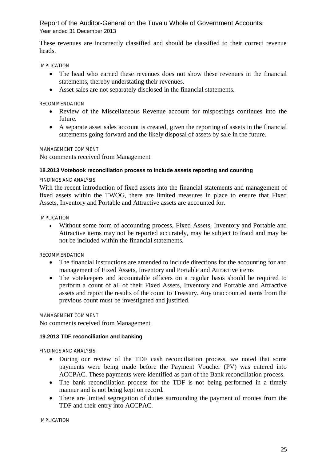These revenues are incorrectly classified and should be classified to their correct revenue heads.

IMPLICATION

- The head who earned these revenues does not show these revenues in the financial statements, thereby understating their revenues.
- Asset sales are not separately disclosed in the financial statements.

**RECOMMENDATION** 

- Review of the Miscellaneous Revenue account for mispostings continues into the future.
- A separate asset sales account is created, given the reporting of assets in the financial statements going forward and the likely disposal of assets by sale in the future.

MANAGEMENT COMMENT

No comments received from Management

#### **18.2013 Votebook reconciliation process to include assets reporting and counting**

#### FINDINGS AND ANALYSIS

With the recent introduction of fixed assets into the financial statements and management of fixed assets within the TWOG, there are limited measures in place to ensure that Fixed Assets, Inventory and Portable and Attractive assets are accounted for.

IMPLICATION

 Without some form of accounting process, Fixed Assets, Inventory and Portable and Attractive items may not be reported accurately, may be subject to fraud and may be not be included within the financial statements.

RECOMMENDATION

- The financial instructions are amended to include directions for the accounting for and management of Fixed Assets, Inventory and Portable and Attractive items
- The votekeepers and accountable officers on a regular basis should be required to perform a count of all of their Fixed Assets, Inventory and Portable and Attractive assets and report the results of the count to Treasury. Any unaccounted items from the previous count must be investigated and justified.

MANAGEMENT COMMENT No comments received from Management

#### **19.2013 TDF reconciliation and banking**

FINDINGS AND ANALYSIS:

- During our review of the TDF cash reconciliation process, we noted that some payments were being made before the Payment Voucher (PV) was entered into ACCPAC. These payments were identified as part of the Bank reconciliation process.
- The bank reconciliation process for the TDF is not being performed in a timely manner and is not being kept on record.
- There are limited segregation of duties surrounding the payment of monies from the TDF and their entry into ACCPAC.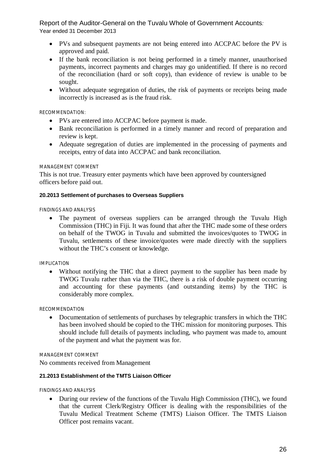- PVs and subsequent payments are not being entered into ACCPAC before the PV is approved and paid.
- If the bank reconciliation is not being performed in a timely manner, unauthorised payments, incorrect payments and charges may go unidentified. If there is no record of the reconciliation (hard or soft copy), than evidence of review is unable to be sought.
- Without adequate segregation of duties, the risk of payments or receipts being made incorrectly is increased as is the fraud risk.

RECOMMENDATION:

- PVs are entered into ACCPAC before payment is made.
- Bank reconciliation is performed in a timely manner and record of preparation and review is kept.
- Adequate segregation of duties are implemented in the processing of payments and receipts, entry of data into ACCPAC and bank reconciliation.

#### MANAGEMENT COMMENT

This is not true. Treasury enter payments which have been approved by countersigned officers before paid out.

#### **20.2013 Settlement of purchases to Overseas Suppliers**

FINDINGS AND ANALYSIS

• The payment of overseas suppliers can be arranged through the Tuvalu High Commission (THC) in Fiji. It was found that after the THC made some of these orders on behalf of the TWOG in Tuvalu and submitted the invoices/quotes to TWOG in Tuvalu, settlements of these invoice/quotes were made directly with the suppliers without the THC's consent or knowledge.

IMPLICATION

• Without notifying the THC that a direct payment to the supplier has been made by TWOG Tuvalu rather than via the THC, there is a risk of double payment occurring and accounting for these payments (and outstanding items) by the THC is considerably more complex.

RECOMMENDATION

 Documentation of settlements of purchases by telegraphic transfers in which the THC has been involved should be copied to the THC mission for monitoring purposes. This should include full details of payments including, who payment was made to, amount of the payment and what the payment was for.

MANAGEMENT COMMENT

No comments received from Management

#### **21.2013 Establishment of the TMTS Liaison Officer**

FINDINGS AND ANALYSIS

 During our review of the functions of the Tuvalu High Commission (THC), we found that the current Clerk/Registry Officer is dealing with the responsibilities of the Tuvalu Medical Treatment Scheme (TMTS) Liaison Officer. The TMTS Liaison Officer post remains vacant.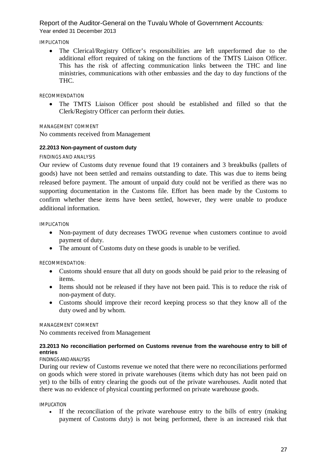IMPLICATION

 The Clerical/Registry Officer's responsibilities are left unperformed due to the additional effort required of taking on the functions of the TMTS Liaison Officer. This has the risk of affecting communication links between the THC and line ministries, communications with other embassies and the day to day functions of the THC.

RECOMMENDATION

 The TMTS Liaison Officer post should be established and filled so that the Clerk/Registry Officer can perform their duties.

MANAGEMENT COMMENT

No comments received from Management

#### **22.2013 Non-payment of custom duty**

FINDINGS AND ANALYSIS

Our review of Customs duty revenue found that 19 containers and 3 breakbulks (pallets of goods) have not been settled and remains outstanding to date. This was due to items being released before payment. The amount of unpaid duty could not be verified as there was no supporting documentation in the Customs file. Effort has been made by the Customs to confirm whether these items have been settled, however, they were unable to produce additional information.

IMPLICATION

- Non-payment of duty decreases TWOG revenue when customers continue to avoid payment of duty.
- The amount of Customs duty on these goods is unable to be verified.

RECOMMENDATION:

- Customs should ensure that all duty on goods should be paid prior to the releasing of items.
- Items should not be released if they have not been paid. This is to reduce the risk of non-payment of duty.
- Customs should improve their record keeping process so that they know all of the duty owed and by whom.

MANAGEMENT COMMENT

No comments received from Management

#### **23.2013 No reconciliation performed on Customs revenue from the warehouse entry to bill of entries**

#### FINDINGS AND ANALYSIS

During our review of Customs revenue we noted that there were no reconciliations performed on goods which were stored in private warehouses (items which duty has not been paid on yet) to the bills of entry clearing the goods out of the private warehouses. Audit noted that there was no evidence of physical counting performed on private warehouse goods.

IMPLICATION

 If the reconciliation of the private warehouse entry to the bills of entry (making payment of Customs duty) is not being performed, there is an increased risk that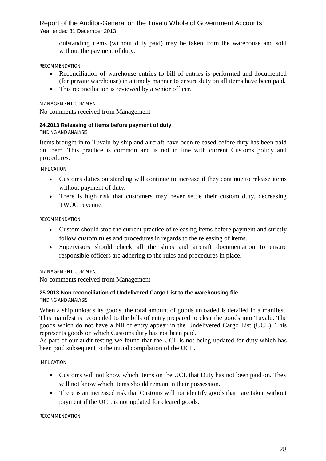outstanding items (without duty paid) may be taken from the warehouse and sold without the payment of duty.

RECOMMENDATION:

- Reconciliation of warehouse entries to bill of entries is performed and documented (for private warehouse) in a timely manner to ensure duty on all items have been paid.
- This reconciliation is reviewed by a senior officer.

MANAGEMENT COMMENT

No comments received from Management

#### **24.2013 Releasing of items before payment of duty**

#### FINDING AND ANALYSIS

Items brought in to Tuvalu by ship and aircraft have been released before duty has been paid on them. This practice is common and is not in line with current Customs policy and procedures.

IMPLICATION

- Customs duties outstanding will continue to increase if they continue to release items without payment of duty.
- There is high risk that customers may never settle their custom duty, decreasing TWOG revenue.

RECOMMENDATION:

- Custom should stop the current practice of releasing items before payment and strictly follow custom rules and procedures in regards to the releasing of items.
- Supervisors should check all the ships and aircraft documentation to ensure responsible officers are adhering to the rules and procedures in place.

MANAGEMENT COMMENT

No comments received from Management

#### **25.2013 Non reconciliation of Undelivered Cargo List to the warehousing file**

FINDING AND ANALYSIS

When a ship unloads its goods, the total amount of goods unloaded is detailed in a manifest. This manifest is reconciled to the bills of entry prepared to clear the goods into Tuvalu. The goods which do not have a bill of entry appear in the Undelivered Cargo List (UCL). This represents goods on which Customs duty has not been paid.

As part of our audit testing we found that the UCL is not being updated for duty which has been paid subsequent to the initial compilation of the UCL.

IMPLICATION

- Customs will not know which items on the UCL that Duty has not been paid on. They will not know which items should remain in their possession.
- There is an increased risk that Customs will not identify goods that are taken without payment if the UCL is not updated for cleared goods.

RECOMMENDATION: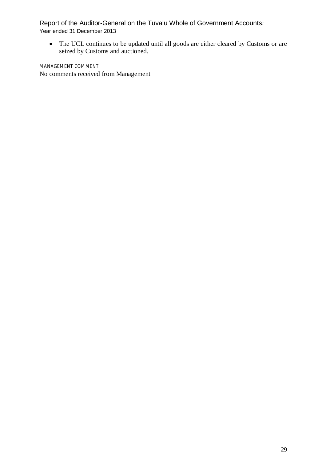The UCL continues to be updated until all goods are either cleared by Customs or are seized by Customs and auctioned.

MANAGEMENT COMMENT No comments received from Management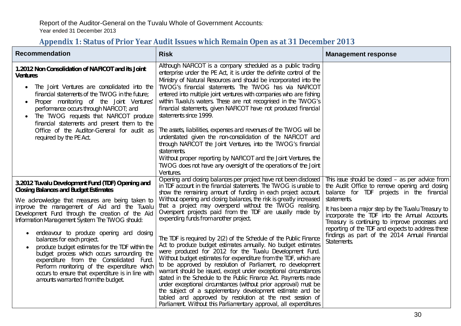Year ended 31 December 2013

### **Appendix 1: Status of Prior Year Audit Issues which Remain Open as at 31 December 2013**

| <b>Recommendation</b>                                                                                                                                                                                                                                                                                                                                                                                                                                                                                                                                                                                                                                                                    | <b>Risk</b>                                                                                                                                                                                                                                                                                                                                                                                                                                                                                                                                                                                                                                                                                                                                                                                                                                                                                                                                                                                                                                                                                                                                                                                 | <b>Management response</b>                                                                                                                                                                                                                                                                                                                                                                                                                      |
|------------------------------------------------------------------------------------------------------------------------------------------------------------------------------------------------------------------------------------------------------------------------------------------------------------------------------------------------------------------------------------------------------------------------------------------------------------------------------------------------------------------------------------------------------------------------------------------------------------------------------------------------------------------------------------------|---------------------------------------------------------------------------------------------------------------------------------------------------------------------------------------------------------------------------------------------------------------------------------------------------------------------------------------------------------------------------------------------------------------------------------------------------------------------------------------------------------------------------------------------------------------------------------------------------------------------------------------------------------------------------------------------------------------------------------------------------------------------------------------------------------------------------------------------------------------------------------------------------------------------------------------------------------------------------------------------------------------------------------------------------------------------------------------------------------------------------------------------------------------------------------------------|-------------------------------------------------------------------------------------------------------------------------------------------------------------------------------------------------------------------------------------------------------------------------------------------------------------------------------------------------------------------------------------------------------------------------------------------------|
| 1.2012 Non Consolidation of NAFICOT and its Joint<br><b>Ventures</b><br>The Joint Ventures are consolidated into the<br>$\bullet$<br>financial statements of the TWOG in the future;<br>Proper monitoring of the Joint Ventures'<br>performance occurs through NAFICOT; and<br>The TWOG requests that NAFICOT produce<br>financial statements and present them to the<br>Office of the Auditor-General for audit as<br>required by the PE Act.                                                                                                                                                                                                                                           | Although NAFICOT is a company scheduled as a public trading<br>enterprise under the PE Act, it is under the definite control of the<br>Ministry of Natural Resources and should be incorporated into the<br>TWOG's financial statements. The TWOG has via NAFICOT<br>entered into multiple joint ventures with companies who are fishing<br>within Tuvalu's waters. These are not recognised in the TWOG's<br>financial statements, given NAFICOT have not produced financial<br>statements since 1999.<br>The assets, liabilities, expenses and revenues of the TWOG will be<br>understated given the non-consolidation of the NAFICOT and<br>through NAFICOT the Joint Ventures, into the TWOG's financial<br>statements.<br>Without proper reporting by NAFICOT and the Joint Ventures, the<br>TWOG does not have any oversight of the operations of the Joint<br>Ventures.                                                                                                                                                                                                                                                                                                              |                                                                                                                                                                                                                                                                                                                                                                                                                                                 |
| 3.2012 Tuvalu Development Fund (TDF) Opening and<br><b>Closing Balances and Budget Estimates</b><br>We acknowledge that measures are being taken to<br>improve the management of Aid and the Tuvalu<br>Development Fund through the creation of the Aid<br>Information Management System. The TWOG should:<br>endeavour to produce opening and closing<br>$\bullet$<br>balances for each project.<br>produce budget estimates for the TDF within the<br>budget process which occurs surrounding the<br>expenditure from the Consolidated Fund.<br>Perform monitoring of the expenditure which<br>occurs to ensure that expenditure is in line with<br>amounts warranted from the budget. | Opening and closing balances per project have not been disclosed<br>in TDF account in the financial statements. The TWOG is unable to<br>show the remaining amount of funding in each project account.<br>Without opening and closing balances, the risk is greatly increased<br>that a project may overspend without the TWOG realising.<br>Overspent projects paid from the TDF are usually made by<br>expending funds from another project.<br>The TDF is required by 2(2) of the Schedule of the Public Finance<br>Act to produce budget estimates annually. No budget estimates<br>were produced for 2012 for the Tuvalu Development Fund.<br>Without budget estimates for expenditure from the TDF, which are<br>to be approved by resolution of Parliament, no development<br>warrant should be issued, except under exceptional circumstances<br>stated in the Schedule to the Public Finance Act. Payments made<br>under exceptional circumstances (without prior approval) must be<br>the subject of a supplementary development estimate and be<br>tabled and approved by resolution at the next session of<br>Parliament. Without this Parliamentary approval, all expenditures | This issue should be closed $-$ as per advice from<br>the Audit Office to remove opening and closing<br>balance for TDF projects in the financial<br>statements.<br>It has been a major step by the Tuvalu Treasury to<br>incorporate the TDF into the Annual Accounts.<br>Treasury is continuing to improve processes and<br>reporting of the TDF and expects to address these<br>findings as part of the 2014 Annual Financial<br>Statements. |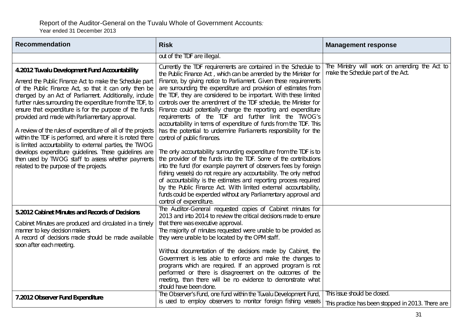| <b>Recommendation</b>                                                                                                                                                                                                                                                                                                                                                                                                                                                                                                                                                                                                                                                                                                                                  | <b>Risk</b>                                                                                                                                                                                                                                                                                                                                                                                                                                                                                                                                                                                                                                                                                                                                                                                                                                                                                                                                                                                                                                                                                                                                                                                                                                         | <b>Management response</b>                                                          |
|--------------------------------------------------------------------------------------------------------------------------------------------------------------------------------------------------------------------------------------------------------------------------------------------------------------------------------------------------------------------------------------------------------------------------------------------------------------------------------------------------------------------------------------------------------------------------------------------------------------------------------------------------------------------------------------------------------------------------------------------------------|-----------------------------------------------------------------------------------------------------------------------------------------------------------------------------------------------------------------------------------------------------------------------------------------------------------------------------------------------------------------------------------------------------------------------------------------------------------------------------------------------------------------------------------------------------------------------------------------------------------------------------------------------------------------------------------------------------------------------------------------------------------------------------------------------------------------------------------------------------------------------------------------------------------------------------------------------------------------------------------------------------------------------------------------------------------------------------------------------------------------------------------------------------------------------------------------------------------------------------------------------------|-------------------------------------------------------------------------------------|
|                                                                                                                                                                                                                                                                                                                                                                                                                                                                                                                                                                                                                                                                                                                                                        | out of the TDF are illegal.                                                                                                                                                                                                                                                                                                                                                                                                                                                                                                                                                                                                                                                                                                                                                                                                                                                                                                                                                                                                                                                                                                                                                                                                                         |                                                                                     |
| 4.2012 Tuvalu Development Fund Accountability<br>Amend the Public Finance Act to make the Schedule part<br>of the Public Finance Act, so that it can only then be<br>changed by an Act of Parliament. Additionally, include<br>further rules surrounding the expenditure from the TDF, to<br>ensure that expenditure is for the purpose of the funds<br>provided and made with Parliamentary approval.<br>A review of the rules of expenditure of all of the projects<br>within the TDF is performed, and where it is noted there<br>is limited accountability to external parties, the TWOG<br>develops expenditure guidelines. These guidelines are<br>then used by TWOG staff to assess whether payments<br>related to the purpose of the projects. | Currently the TDF requirements are contained in the Schedule to<br>the Public Finance Act, which can be amended by the Minister for<br>Finance, by giving notice to Parliament. Given these requirements<br>are surrounding the expenditure and provision of estimates from<br>the TDF, they are considered to be important. With these limited<br>controls over the amendment of the TDF schedule, the Minister for<br>Finance could potentially change the reporting and expenditure<br>requirements of the TDF and further limit the TWOG's<br>accountability in terms of expenditure of funds from the TDF. This<br>has the potential to undermine Parliaments responsibility for the<br>control of public finances.<br>The only accountability surrounding expenditure from the TDF is to<br>the provider of the funds into the TDF. Some of the contributions<br>into the fund (for example payment of observers fees by foreign<br>fishing vessels) do not require any accountability. The only method<br>of accountability is the estimates and reporting process required<br>by the Public Finance Act. With limited external accountability,<br>funds could be expended without any Parliamentary approval and<br>control of expenditure. | The Ministry will work on amending the Act to<br>make the Schedule part of the Act. |
| 5.2012 Cabinet Minutes and Records of Decisions<br>Cabinet Minutes are produced and circulated in a timely<br>manner to key decision makers.<br>A record of decisions made should be made available<br>soon after each meeting.                                                                                                                                                                                                                                                                                                                                                                                                                                                                                                                        | The Auditor-General requested copies of Cabinet minutes for<br>2013 and into 2014 to review the critical decisions made to ensure<br>that there was executive approval.<br>The majority of minutes requested were unable to be provided as<br>they were unable to be located by the OPM staff.<br>Without documentation of the decisions made by Cabinet, the<br>Government is less able to enforce and make the changes to<br>programs which are required. If an approved program is not<br>performed or there is disagreement on the outcomes of the<br>meeting, than there will be no evidence to demonstrate what<br>should have been done.                                                                                                                                                                                                                                                                                                                                                                                                                                                                                                                                                                                                     |                                                                                     |
| 7.2012 Observer Fund Expenditure                                                                                                                                                                                                                                                                                                                                                                                                                                                                                                                                                                                                                                                                                                                       | The Observer's Fund, one fund within the Tuvalu Development Fund,<br>is used to employ observers to monitor foreign fishing vessels                                                                                                                                                                                                                                                                                                                                                                                                                                                                                                                                                                                                                                                                                                                                                                                                                                                                                                                                                                                                                                                                                                                 | This issue should be closed.<br>This practice has been stopped in 2013. There are   |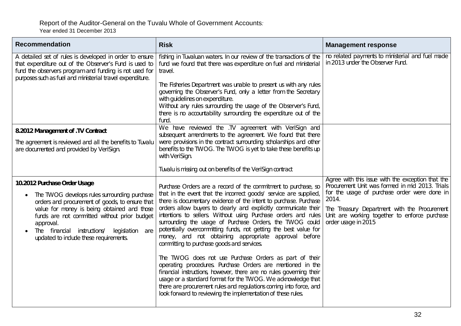| <b>Recommendation</b>                                                                                                                                                                                                                                                                                                                                         | <b>Risk</b>                                                                                                                                                                                                                                                                                                                                                                                                                                                                                                                                                                                                                                                                                                                                                                                                                                                                                                                                                                              | <b>Management response</b>                                                                                                                                                                                                                                                            |
|---------------------------------------------------------------------------------------------------------------------------------------------------------------------------------------------------------------------------------------------------------------------------------------------------------------------------------------------------------------|------------------------------------------------------------------------------------------------------------------------------------------------------------------------------------------------------------------------------------------------------------------------------------------------------------------------------------------------------------------------------------------------------------------------------------------------------------------------------------------------------------------------------------------------------------------------------------------------------------------------------------------------------------------------------------------------------------------------------------------------------------------------------------------------------------------------------------------------------------------------------------------------------------------------------------------------------------------------------------------|---------------------------------------------------------------------------------------------------------------------------------------------------------------------------------------------------------------------------------------------------------------------------------------|
| A detailed set of rules is developed in order to ensure<br>that expenditure out of the Observer's Fund is used to<br>fund the observers program and funding is not used for<br>purposes such as fuel and ministerial travel expenditure.                                                                                                                      | fishing in Tuvaluan waters. In our review of the transactions of the<br>fund we found that there was expenditure on fuel and ministerial<br>travel.<br>The Fisheries Department was unable to present us with any rules<br>governing the Observer's Fund, only a letter from the Secretary<br>with quidelines on expenditure.<br>Without any rules surrounding the usage of the Observer's Fund,<br>there is no accountability surrounding the expenditure out of the<br>fund.                                                                                                                                                                                                                                                                                                                                                                                                                                                                                                           | no related payments to ministerial and fuel made<br>in 2013 under the Observer Fund.                                                                                                                                                                                                  |
| 8.2012 Management of .TV Contract<br>The agreement is reviewed and all the benefits to Tuvalu<br>are documented and provided by VeriSign.                                                                                                                                                                                                                     | We have reviewed the .TV agreement with VeriSign and<br>subsequent amendments to the agreement. We found that there<br>were provisions in the contract surrounding scholarships and other<br>benefits to the TWOG. The TWOG is yet to take these benefits up<br>with VeriSign.<br>Tuvalu is missing out on benefits of the VeriSign contract                                                                                                                                                                                                                                                                                                                                                                                                                                                                                                                                                                                                                                             |                                                                                                                                                                                                                                                                                       |
| 10.2012 Purchase Order Usage<br>The TWOG develops rules surrounding purchase<br>$\bullet$<br>orders and procurement of goods, to ensure that<br>value for money is being obtained and those<br>funds are not committed without prior budget<br>approval.<br>financial<br>instructions/<br>legislation<br>The<br>are<br>updated to include these requirements. | Purchase Orders are a record of the commitment to purchase, so<br>that in the event that the incorrect goods/ service are supplied,<br>there is documentary evidence of the intent to purchase. Purchase<br>orders allow buyers to clearly and explicitly communicate their<br>intentions to sellers. Without using Purchase orders and rules<br>surrounding the usage of Purchase Orders, the TWOG could<br>potentially overcommitting funds, not getting the best value for<br>money, and not obtaining appropriate approval before<br>committing to purchase goods and services.<br>The TWOG does not use Purchase Orders as part of their<br>operating procedures. Purchase Orders are mentioned in the<br>financial instructions, however, there are no rules governing their<br>usage or a standard format for the TWOG. We acknowledge that<br>there are procurement rules and regulations coming into force, and<br>look forward to reviewing the implementation of these rules. | Agree with this issue with the exception that the<br>Procurement Unit was formed in mid 2013. Trials<br>for the usage of purchase order were done in<br>2014.<br>The Treasury Department with the Procurement<br>Unit are working together to enforce purchase<br>order usage in 2015 |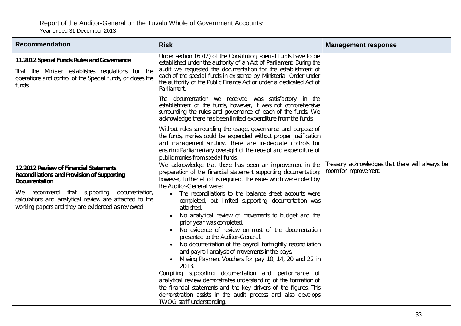| <b>Recommendation</b>                                                                                                                                                   | <b>Risk</b>                                                                                                                                                                                                                                                                                                                                                           | <b>Management response</b>                                               |
|-------------------------------------------------------------------------------------------------------------------------------------------------------------------------|-----------------------------------------------------------------------------------------------------------------------------------------------------------------------------------------------------------------------------------------------------------------------------------------------------------------------------------------------------------------------|--------------------------------------------------------------------------|
| 11.2012 Special Funds Rules and Governance<br>That the Minister establishes regulations for the<br>operations and control of the Special funds, or closes the<br>funds. | Under section 167(2) of the Constitution, special funds have to be<br>established under the authority of an Act of Parliament. During the<br>audit we requested the documentation for the establishment of<br>each of the special funds in existence by Ministerial Order under<br>the authority of the Public Finance Act or under a dedicated Act of<br>Parliament. |                                                                          |
|                                                                                                                                                                         | The documentation we received was satisfactory in the<br>establishment of the funds, however, it was not comprehensive<br>surrounding the rules and governance of each of the funds. We<br>acknowledge there has been limited expenditure from the funds.                                                                                                             |                                                                          |
|                                                                                                                                                                         | Without rules surrounding the usage, governance and purpose of<br>the funds, monies could be expended without proper justification<br>and management scrutiny. There are inadequate controls for<br>ensuring Parliamentary oversight of the receipt and expenditure of<br>public monies from special funds.                                                           |                                                                          |
| 12.2012 Review of Financial Statements<br><b>Reconciliations and Provision of Supporting</b><br><b>Documentation</b>                                                    | We acknowledge that there has been an improvement in the<br>preparation of the financial statement supporting documentation;<br>however, further effort is required. The issues which were noted by<br>the Auditor-General were:                                                                                                                                      | Treasury acknowledges that there will always be<br>room for improvement. |
| that supporting<br>recommend<br>documentation,<br>We<br>calculations and analytical review are attached to the<br>working papers and they are evidenced as reviewed.    | The reconciliations to the balance sheet accounts were<br>$\bullet$<br>completed, but limited supporting documentation was<br>attached.                                                                                                                                                                                                                               |                                                                          |
|                                                                                                                                                                         | No analytical review of movements to budget and the<br>prior year was completed.<br>No evidence of review on most of the documentation<br>presented to the Auditor-General.                                                                                                                                                                                           |                                                                          |
|                                                                                                                                                                         | No documentation of the payroll fortnightly reconciliation<br>and payroll analysis of movements in the pays.<br>Missing Payment Vouchers for pay 10, 14, 20 and 22 in<br>2013.                                                                                                                                                                                        |                                                                          |
|                                                                                                                                                                         | Compiling supporting documentation and performance of<br>analytical review demonstrates understanding of the formation of<br>the financial statements and the key drivers of the figures. This                                                                                                                                                                        |                                                                          |
|                                                                                                                                                                         | demonstration assists in the audit process and also develops<br>TWOG staff understanding.                                                                                                                                                                                                                                                                             |                                                                          |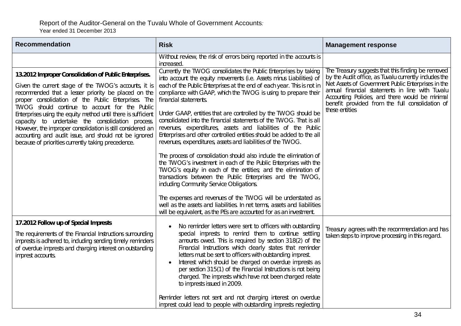| <b>Recommendation</b>                                                                                                                                                                                                                                                                                                                                                                                                                                                                                                                                                            | <b>Risk</b>                                                                                                                                                                                                                                                                                                                                                                                                                                                                                                                                                                                                                                                                                                                                                                                                                                                                                                                                                                                                                                                                                                                                                                                          | <b>Management response</b>                                                                                                                                                                                                                                                                                                                   |
|----------------------------------------------------------------------------------------------------------------------------------------------------------------------------------------------------------------------------------------------------------------------------------------------------------------------------------------------------------------------------------------------------------------------------------------------------------------------------------------------------------------------------------------------------------------------------------|------------------------------------------------------------------------------------------------------------------------------------------------------------------------------------------------------------------------------------------------------------------------------------------------------------------------------------------------------------------------------------------------------------------------------------------------------------------------------------------------------------------------------------------------------------------------------------------------------------------------------------------------------------------------------------------------------------------------------------------------------------------------------------------------------------------------------------------------------------------------------------------------------------------------------------------------------------------------------------------------------------------------------------------------------------------------------------------------------------------------------------------------------------------------------------------------------|----------------------------------------------------------------------------------------------------------------------------------------------------------------------------------------------------------------------------------------------------------------------------------------------------------------------------------------------|
|                                                                                                                                                                                                                                                                                                                                                                                                                                                                                                                                                                                  | Without review, the risk of errors being reported in the accounts is<br>increased.                                                                                                                                                                                                                                                                                                                                                                                                                                                                                                                                                                                                                                                                                                                                                                                                                                                                                                                                                                                                                                                                                                                   |                                                                                                                                                                                                                                                                                                                                              |
| 13.2012 Improper Consolidation of Public Enterprises.<br>Given the current stage of the TWOG's accounts, it is<br>recommended that a lesser priority be placed on the<br>proper consolidation of the Public Enterprises. The<br>TWOG should continue to account for the Public<br>Enterprises using the equity method until there is sufficient<br>capacity to undertake the consolidation process.<br>However, the improper consolidation is still considered an<br>accounting and audit issue, and should not be ignored<br>because of priorities currently taking precedence. | Currently the TWOG consolidates the Public Enterprises by taking<br>into account the equity movements (i.e. Assets minus Liabilities) of<br>each of the Public Enterprises at the end of each year. This is not in<br>compliance with GAAP, which the TWOG is using to prepare their<br>financial statements.<br>Under GAAP, entities that are controlled by the TWOG should be<br>consolidated into the financial statements of the TWOG. That is all<br>revenues, expenditures, assets and liabilities of the Public<br>Enterprises and other controlled entities should be added to the all<br>revenues, expenditures, assets and liabilities of the TWOG.<br>The process of consolidation should also include the elimination of<br>the TWOG's investment in each of the Public Enterprises with the<br>TWOG's equity in each of the entities; and the elimination of<br>transactions between the Public Enterprises and the TWOG,<br>including Community Service Obligations.<br>The expenses and revenues of the TWOG will be understated as<br>well as the assets and liabilities. In net terms, assets and liabilities<br>will be equivalent, as the PEs are accounted for as an investment. | The Treasury suggests that this finding be removed<br>by the Audit office, as Tuvalu currently includes the<br>Net Assets of Government Public Enterprises in the<br>annual financial statements in line with Tuvalu<br>Accounting Policies, and there would be minimal<br>benefit provided from the full consolidation of<br>these entities |
| 17.2012 Follow up of Special Imprests<br>The requirements of the Financial Instructions surrounding<br>imprests is adhered to, including sending timely reminders<br>of overdue imprests and charging interest on outstanding<br>imprest accounts.                                                                                                                                                                                                                                                                                                                               | No reminder letters were sent to officers with outstanding<br>special imprests to remind them to continue settling<br>amounts owed. This is required by section 318(2) of the<br>Financial Instructions which clearly states that reminder<br>letters must be sent to officers with outstanding imprest.<br>Interest which should be charged on overdue imprests as<br>per section 315(1) of the Financial Instructions is not being<br>charged. The imprests which have not been charged relate<br>to imprests issued in 2009.<br>Reminder letters not sent and not charging interest on overdue<br>imprest could lead to people with outstanding imprests neglecting                                                                                                                                                                                                                                                                                                                                                                                                                                                                                                                               | Treasury agrees with the recommendation and has<br>taken steps to improve processing in this regard.                                                                                                                                                                                                                                         |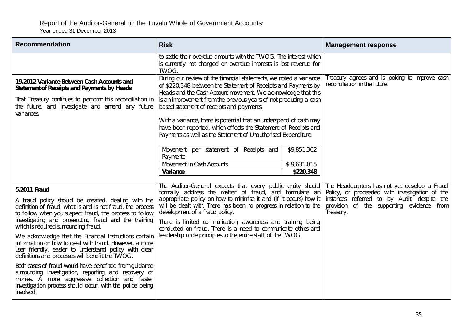| <b>Recommendation</b>                                                                                                                                                                                                                                                                                                                                                                                                                                                                                                                                                                                                                                                                                                                                                       | <b>Risk</b>                                                                                                                                                                                                                                                                                                                                                                                                                                                                                                                                                                                                                          | <b>Management response</b>                                                                                                                                                                              |
|-----------------------------------------------------------------------------------------------------------------------------------------------------------------------------------------------------------------------------------------------------------------------------------------------------------------------------------------------------------------------------------------------------------------------------------------------------------------------------------------------------------------------------------------------------------------------------------------------------------------------------------------------------------------------------------------------------------------------------------------------------------------------------|--------------------------------------------------------------------------------------------------------------------------------------------------------------------------------------------------------------------------------------------------------------------------------------------------------------------------------------------------------------------------------------------------------------------------------------------------------------------------------------------------------------------------------------------------------------------------------------------------------------------------------------|---------------------------------------------------------------------------------------------------------------------------------------------------------------------------------------------------------|
|                                                                                                                                                                                                                                                                                                                                                                                                                                                                                                                                                                                                                                                                                                                                                                             | to settle their overdue amounts with the TWOG. The interest which<br>is currently not charged on overdue imprests is lost revenue for<br>TWOG.                                                                                                                                                                                                                                                                                                                                                                                                                                                                                       |                                                                                                                                                                                                         |
| 19.2012 Variance Between Cash Accounts and<br><b>Statement of Receipts and Payments by Heads</b><br>That Treasury continues to perform this reconciliation in<br>the future, and investigate and amend any future<br>variances.                                                                                                                                                                                                                                                                                                                                                                                                                                                                                                                                             | During our review of the financial statements, we noted a variance<br>of \$220,348 between the Statement of Receipts and Payments by<br>Heads and the Cash Account movement. We acknowledge that this<br>is an improvement from the previous years of not producing a cash<br>based statement of receipts and payments.<br>With a variance, there is potential that an underspend of cash may<br>have been reported, which effects the Statement of Receipts and<br>Payments as well as the Statement of Unauthorised Expenditure.<br>\$9,851,362<br>Movement per statement of Receipts and<br>Payments<br>Movement in Cash Accounts | Treasury agrees and is looking to improve cash<br>reconciliation in the future.                                                                                                                         |
|                                                                                                                                                                                                                                                                                                                                                                                                                                                                                                                                                                                                                                                                                                                                                                             | \$9,631,015<br><b>Variance</b><br>\$220,348                                                                                                                                                                                                                                                                                                                                                                                                                                                                                                                                                                                          |                                                                                                                                                                                                         |
| 5.2011 Fraud<br>A fraud policy should be created, dealing with the<br>definition of fraud, what is and is not fraud, the process<br>to follow when you suspect fraud, the process to follow<br>investigating and prosecuting fraud and the training<br>which is required surrounding fraud.<br>We acknowledge that the Financial Instructions contain<br>information on how to deal with fraud. However, a more<br>user friendly, easier to understand policy with clear<br>definitions and processes will benefit the TWOG.<br>Both cases of fraud would have benefited from quidance<br>surrounding investigation, reporting and recovery of<br>monies. A more aggressive collection and faster<br>investigation process should occur, with the police being<br>involved. | The Auditor-General expects that every public entity should<br>formally address the matter of fraud, and formulate an<br>appropriate policy on how to minimise it and (if it occurs) how it<br>will be dealt with. There has been no progress in relation to the<br>development of a fraud policy.<br>There is limited communication, awareness and training being<br>conducted on fraud. There is a need to communicate ethics and<br>leadership code principles to the entire staff of the TWOG.                                                                                                                                   | The Headquarters has not yet develop a Fraud<br>Policy, or proceeded with investigation of the<br>instances referred to by Audit, despite the<br>provision of the supporting evidence from<br>Treasury. |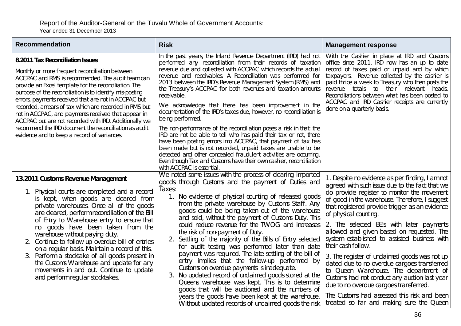| <b>Recommendation</b>                                                                                                                                                                                                                                                                                                                                                                                                                                                                                                                                                                                                                  | <b>Risk</b>                                                                                                                                                                                                                                                                                                                                                                                                                                                                                                                                                                                                                                                                                                                                                                                                                                                                                                                                                                                                     | <b>Management response</b>                                                                                                                                                                                                                                                                                                                                                                                                                                                                                                                                                                                                                                                                                                                                                  |
|----------------------------------------------------------------------------------------------------------------------------------------------------------------------------------------------------------------------------------------------------------------------------------------------------------------------------------------------------------------------------------------------------------------------------------------------------------------------------------------------------------------------------------------------------------------------------------------------------------------------------------------|-----------------------------------------------------------------------------------------------------------------------------------------------------------------------------------------------------------------------------------------------------------------------------------------------------------------------------------------------------------------------------------------------------------------------------------------------------------------------------------------------------------------------------------------------------------------------------------------------------------------------------------------------------------------------------------------------------------------------------------------------------------------------------------------------------------------------------------------------------------------------------------------------------------------------------------------------------------------------------------------------------------------|-----------------------------------------------------------------------------------------------------------------------------------------------------------------------------------------------------------------------------------------------------------------------------------------------------------------------------------------------------------------------------------------------------------------------------------------------------------------------------------------------------------------------------------------------------------------------------------------------------------------------------------------------------------------------------------------------------------------------------------------------------------------------------|
| 8.2011 Tax Reconciliation Issues<br>Monthly or more frequent reconciliation between<br>ACCPAC and RMS is recommended. The audit team can<br>provide an Excel template for the reconciliation. The<br>purpose of the reconciliation is to identify mis-posting<br>errors, payments received that are not in ACCPAC but<br>recorded, arrears of tax which are recorded in RMS but<br>not in ACCPAC, and payments received that appear in<br>ACCPAC but are not recorded with IRD. Additionally we                                                                                                                                        | In the past years, the Inland Revenue Department (IRD) had not<br>performed any reconciliation from their records of taxation<br>revenue due and collected with ACCPAC which records the actual<br>revenue and receivables. A Reconciliation was performed for<br>2013 between the IRD's Revenue Management System (RMS) and<br>the Treasury's ACCPAC for both revenues and taxation amounts<br>receivable.<br>We acknowledge that there has been improvement in the<br>documentation of the IRD's taxes due, however, no reconciliation is<br>being performed.                                                                                                                                                                                                                                                                                                                                                                                                                                                 | With the Cashier in place at IRD and Customs<br>office since 2011, IRD now has an up to date<br>record of taxes paid or unpaid and by which<br>taxpayers. Revenue collected by the cashier is<br>paid thrice a week to Treasury who then posts the<br>revenue totals to their relevant heads.<br>Reconciliations between what has been posted to<br>ACCPAC and IRD Cashier receipts are currently<br>done on a quarterly basis.                                                                                                                                                                                                                                                                                                                                             |
| recommend the IRD document the reconciliation as audit<br>evidence and to keep a record of variances.                                                                                                                                                                                                                                                                                                                                                                                                                                                                                                                                  | The non-performance of the reconciliation poses a risk in that: the<br>IRD are not be able to tell who has paid their tax or not, there<br>have been posting errors into ACCPAC, that payment of tax has<br>been made but is not recorded, unpaid taxes are unable to be<br>detected and other concealed fraudulent activities are occurring.<br>Even though Tax and Customs have their own cashier, reconciliation<br>with ACCPAC is essential.                                                                                                                                                                                                                                                                                                                                                                                                                                                                                                                                                                |                                                                                                                                                                                                                                                                                                                                                                                                                                                                                                                                                                                                                                                                                                                                                                             |
| 13.2011 Customs Revenue Management<br>Physical counts are completed and a record<br>is kept, when goods are cleared from<br>private warehouses. Once all of the goods<br>are cleared, perform reconciliation of the Bill<br>of Entry to Warehouse entry to ensure that<br>no goods have been taken from the<br>warehouse without paying duty.<br>Continue to follow up overdue bill of entries<br>2.<br>on a regular basis. Maintain a record of this.<br>Perform a stocktake of all goods present in<br>3.<br>the Customs Warehouse and update for any<br>movements in and out. Continue to update<br>and perform regular stocktakes. | We noted some issues with the process of clearing imported<br>goods through Customs and the payment of Duties and<br>Taxes:<br>No evidence of physical counting of released goods<br>$1_{\cdot}$<br>from the private warehouse by Customs Staff. Any<br>goods could be being taken out of the warehouse<br>and sold, without the payment of Customs Duty. This<br>could reduce revenue for the TWOG and increases<br>the risk of non-payment of Duty.<br>Settling of the majority of the Bills of Entry selected<br>2.<br>for audit testing was performed later than date<br>payment was required. The late settling of the bill of<br>entry implies that the follow-up performed by<br>Customs on overdue payments is inadequate.<br>No updated record of unclaimed goods stored at the<br>3.<br>Queens warehouse was kept. This is to determine<br>goods that will be auctioned and the numbers of<br>years the goods have been kept at the warehouse.<br>Without updated records of unclaimed goods the risk | 1. Despite no evidence as per finding, I am not<br>agreed with such issue due to the fact that we<br>do provide register to monitor the movement<br>of good in the warehouse. Therefore, I suggest<br>that registered provide trigger as an evidence<br>of physical counting.<br>2. The selected BE's with later payments<br>allowed and given based on requested. The<br>system established to assisted business with<br>their cash follow.<br>3. The register of unclaimed goods was not up<br>dated due to no overdue cargoes transferred<br>to Queen Warehouse. The department of<br>Customs had not conduct any auction last year<br>due to no overdue cargoes transferred.<br>The Customs had assessed this risk and been<br>treated so far and making sure the Queen |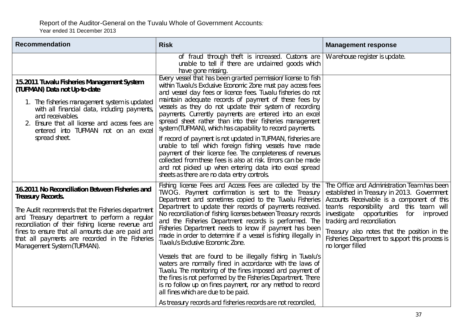| <b>Recommendation</b>                                                                                                                                                                                                                                                                                                                                                           | <b>Risk</b>                                                                                                                                                                                                                                                                                                                                                                                                                                                                                                                                                                                                                                                                                                                                                                                                                                                                                                                                                        | <b>Management response</b>                                                                                                                                                                                                                                                                                                                                                                  |
|---------------------------------------------------------------------------------------------------------------------------------------------------------------------------------------------------------------------------------------------------------------------------------------------------------------------------------------------------------------------------------|--------------------------------------------------------------------------------------------------------------------------------------------------------------------------------------------------------------------------------------------------------------------------------------------------------------------------------------------------------------------------------------------------------------------------------------------------------------------------------------------------------------------------------------------------------------------------------------------------------------------------------------------------------------------------------------------------------------------------------------------------------------------------------------------------------------------------------------------------------------------------------------------------------------------------------------------------------------------|---------------------------------------------------------------------------------------------------------------------------------------------------------------------------------------------------------------------------------------------------------------------------------------------------------------------------------------------------------------------------------------------|
|                                                                                                                                                                                                                                                                                                                                                                                 | of fraud through theft is increased. Customs are<br>unable to tell if there are unclaimed goods which<br>have gone missing.                                                                                                                                                                                                                                                                                                                                                                                                                                                                                                                                                                                                                                                                                                                                                                                                                                        | Warehouse register is update.                                                                                                                                                                                                                                                                                                                                                               |
| 15.2011 Tuvalu Fisheries Management System<br>(TUFMAN) Data not Up-to-date<br>1. The fisheries management system is updated<br>with all financial data, including payments,<br>and receivables.<br>2. Ensure that all license and access fees are<br>entered into TUFMAN not on an excel<br>spread sheet.                                                                       | Every vessel that has been granted permission/license to fish<br>within Tuvalu's Exclusive Economic Zone must pay access fees<br>and vessel day fees or licence fees. Tuvalu fisheries do not<br>maintain adequate records of payment of these fees by<br>vessels as they do not update their system of recording<br>payments. Currently payments are entered into an excel<br>spread sheet rather than into their fisheries management<br>system (TUFMAN), which has capability to record payments.<br>If record of payment is not updated in TUFMAN, fisheries are<br>unable to tell which foreign fishing vessels have made<br>payment of their licence fee. The completeness of revenues<br>collected from these fees is also at risk. Errors can be made<br>and not picked up when entering data into excel spread<br>sheets as there are no data entry controls.                                                                                             |                                                                                                                                                                                                                                                                                                                                                                                             |
| 16.2011 No Reconciliation Between Fisheries and<br><b>Treasury Records.</b><br>The Audit recommends that the Fisheries department<br>and Treasury department to perform a regular<br>reconciliation of their fishing license revenue and<br>fines to ensure that all amounts due are paid and<br>that all payments are recorded in the Fisheries<br>Management System (TUFMAN). | Fishing license Fees and Access Fees are collected by the<br>TWOG. Payment confirmation is sent to the Treasury<br>Department and sometimes copied to the Tuvalu Fisheries<br>Department to update their records of payments received.<br>No reconciliation of fishing licenses between Treasury records<br>and the Fisheries Department records is performed. The<br>Fisheries Department needs to know if payment has been<br>made in order to determine if a vessel is fishing illegally in<br>Tuvalu's Exclusive Economic Zone.<br>Vessels that are found to be illegally fishing in Tuvalu's<br>waters are normally fined in accordance with the laws of<br>Tuvalu. The monitoring of the fines imposed and payment of<br>the fines is not performed by the Fisheries Department. There<br>is no follow up on fines payment, nor any method to record<br>all fines which are due to be paid.<br>As treasury records and fisheries records are not reconciled, | The Office and Administration Team has been<br>established in Treasury in 2013. Government<br>Accounts Receivable is a component of this<br>team's responsibility and this team will<br>investigate opportunities<br>for<br>improved<br>tracking and reconciliation.<br>Treasury also notes that the position in the<br>Fisheries Department to support this process is<br>no longer filled |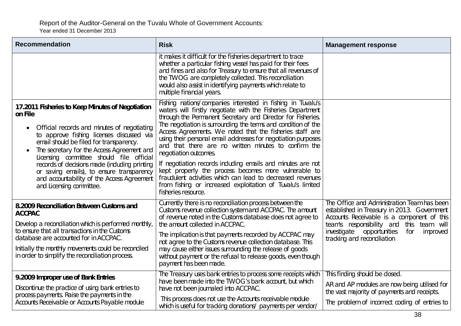| <b>Recommendation</b>                                                                                                                                                                                                                                                                                                    | <b>Risk</b>                                                                                                                                                                                                                                                                                                                                                                                                                                                                                          | <b>Management response</b>                                                                                                                                                                                                                                             |
|--------------------------------------------------------------------------------------------------------------------------------------------------------------------------------------------------------------------------------------------------------------------------------------------------------------------------|------------------------------------------------------------------------------------------------------------------------------------------------------------------------------------------------------------------------------------------------------------------------------------------------------------------------------------------------------------------------------------------------------------------------------------------------------------------------------------------------------|------------------------------------------------------------------------------------------------------------------------------------------------------------------------------------------------------------------------------------------------------------------------|
|                                                                                                                                                                                                                                                                                                                          | it makes it difficult for the fisheries department to trace<br>whether a particular fishing vessel has paid for their fees<br>and fines and also for Treasury to ensure that all revenues of<br>the TWOG are completely collected. This reconciliation<br>would also assist in identifying payments which relate to<br>multiple financial years.                                                                                                                                                     |                                                                                                                                                                                                                                                                        |
| 17.2011 Fisheries to Keep Minutes of Negotiation<br>on File<br>Official records and minutes of negotiating<br>$\bullet$<br>to approve fishing licenses discussed via<br>email should be filed for transparency.<br>The secretary for the Access Agreement and<br>$\bullet$<br>Licensing committee should file official   | Fishing nations/companies interested in fishing in Tuvalu's<br>waters will firstly negotiate with the Fisheries Department<br>through the Permanent Secretary and Director for Fisheries.<br>The negotiation is surrounding the terms and condition of the<br>Access Agreements. We noted that the fisheries staff are<br>using their personal email addresses for negotiation purposes<br>and that there are no written minutes to confirm the<br>negotiation outcomes.                             |                                                                                                                                                                                                                                                                        |
| records of decisions made (including printing<br>or saving emails), to ensure transparency<br>and accountability of the Access Agreement<br>and Licensing committee.                                                                                                                                                     | If negotiation records including emails and minutes are not<br>kept properly the process becomes more vulnerable to<br>fraudulent activities which can lead to decreased revenues<br>from fishing or increased exploitation of Tuvalu's limited<br>fisheries resource.                                                                                                                                                                                                                               |                                                                                                                                                                                                                                                                        |
| 8.2009 Reconciliation Between Customs and<br><b>ACCPAC</b><br>Develop a reconciliation which is performed monthly,<br>to ensure that all transactions in the Customs<br>database are accounted for in ACCPAC.<br>Initially the monthly movements could be reconciled<br>in order to simplify the reconciliation process. | Currently there is no reconciliation process between the<br>Customs revenue collection system and ACCPAC. The amount<br>of revenue noted in the Customs database does not agree to<br>the amount collected in ACCPAC.<br>The implication is that payments recorded by ACCPAC may<br>not agree to the Customs revenue collection database. This<br>may cause either issues surrounding the release of goods<br>without payment or the refusal to release goods, even though<br>payment has been made. | The Office and Administration Team has been<br>established in Treasury in 2013. Government<br>Accounts Receivable is a component of this<br>team's responsibility and this team will<br>investigate<br>opportunities<br>for<br>improved<br>tracking and reconciliation |
| 9.2009 Improper use of Bank Entries<br>Discontinue the practice of using bank entries to<br>process payments. Raise the payments in the<br>Accounts Receivable or Accounts Payable module                                                                                                                                | The Treasury uses bank entries to process some receipts which<br>have been made into the TWOG's bank account, but which<br>have not been journaled into ACCPAC.<br>This process does not use the Accounts receivable module<br>which is useful for tracking donations/ payments per vendor/                                                                                                                                                                                                          | This finding should be closed.<br>AR and AP modules are now being utilised for<br>the vast majority of payments and receipts.<br>The problem of incorrect coding of entries to                                                                                         |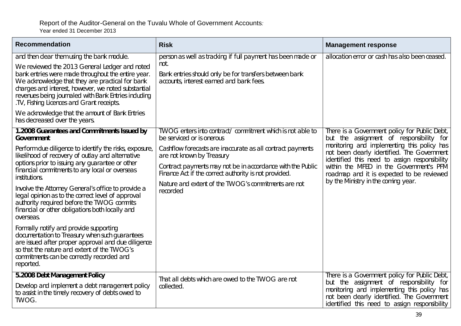| <b>Recommendation</b>                                                                                                                                                                                                                                                                                                                                                                                                                                                                                                                                                                                                                                                                                                                                                                    | <b>Risk</b>                                                                                                                                                                                                                                                                                                                                                                  | <b>Management response</b>                                                                                                                                                                                                                                                                                                                                              |
|------------------------------------------------------------------------------------------------------------------------------------------------------------------------------------------------------------------------------------------------------------------------------------------------------------------------------------------------------------------------------------------------------------------------------------------------------------------------------------------------------------------------------------------------------------------------------------------------------------------------------------------------------------------------------------------------------------------------------------------------------------------------------------------|------------------------------------------------------------------------------------------------------------------------------------------------------------------------------------------------------------------------------------------------------------------------------------------------------------------------------------------------------------------------------|-------------------------------------------------------------------------------------------------------------------------------------------------------------------------------------------------------------------------------------------------------------------------------------------------------------------------------------------------------------------------|
| and then clear them using the bank module.<br>We reviewed the 2013 General Ledger and noted<br>bank entries were made throughout the entire year.<br>We acknowledge that they are practical for bank<br>charges and interest, however, we noted substantial<br>revenues being journaled with Bank Entries including<br>.TV, Fishing Licences and Grant receipts.<br>We acknowledge that the amount of Bank Entries<br>has decreased over the years.                                                                                                                                                                                                                                                                                                                                      | person as well as tracking if full payment has been made or<br>not.<br>Bank entries should only be for transfers between bank<br>accounts, interest earned and bank fees.                                                                                                                                                                                                    | allocation error or cash has also been ceased.                                                                                                                                                                                                                                                                                                                          |
| 1.2008 Guarantees and Commitments Issued by<br><b>Government</b><br>Perform due diligence to identify the risks, exposure,<br>likelihood of recovery of outlay and alternative<br>options prior to issuing any guarantee or other<br>financial commitments to any local or overseas<br>institutions.<br>Involve the Attorney General's office to provide a<br>legal opinion as to the correct level of approval<br>authority required before the TWOG commits<br>financial or other obligations both locally and<br>overseas.<br>Formally notify and provide supporting<br>documentation to Treasury when such guarantees<br>are issued after proper approval and due diligence<br>so that the nature and extent of the TWOG's<br>commitments can be correctly recorded and<br>reported. | TWOG enters into contract/ commitment which is not able to<br>be serviced or is onerous<br>Cashflow forecasts are inaccurate as all contract payments<br>are not known by Treasury<br>Contract payments may not be in accordance with the Public<br>Finance Act if the correct authority is not provided.<br>Nature and extent of the TWOG's commitments are not<br>recorded | There is a Government policy for Public Debt,<br>but the assignment of responsibility for<br>monitoring and implementing this policy has<br>not been clearly identified. The Government<br>identified this need to assign responsibility<br>within the MFED in the Government's PFM<br>roadmap and it is expected to be reviewed<br>by the Ministry in the coming year. |
| 5.2008 Debt Management Policy<br>Develop and implement a debt management policy<br>to assist in the timely recovery of debts owed to<br>TWOG.                                                                                                                                                                                                                                                                                                                                                                                                                                                                                                                                                                                                                                            | That all debts which are owed to the TWOG are not<br>collected.                                                                                                                                                                                                                                                                                                              | There is a Government policy for Public Debt,<br>but the assignment of responsibility for<br>monitoring and implementing this policy has<br>not been clearly identified. The Government<br>identified this need to assign responsibility                                                                                                                                |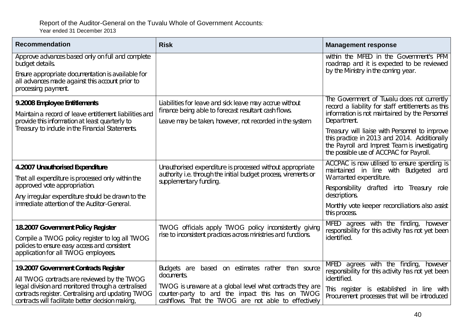| <b>Recommendation</b>                                                                                                                                         | <b>Risk</b>                                                                                                                                                           | <b>Management response</b>                                                                                                                                                                 |
|---------------------------------------------------------------------------------------------------------------------------------------------------------------|-----------------------------------------------------------------------------------------------------------------------------------------------------------------------|--------------------------------------------------------------------------------------------------------------------------------------------------------------------------------------------|
| Approve advances based only on full and complete<br>budget details.                                                                                           |                                                                                                                                                                       | within the MFED in the Government's PFM<br>roadmap and it is expected to be reviewed                                                                                                       |
| Ensure appropriate documentation is available for<br>all advances made against this account prior to<br>processing payment.                                   |                                                                                                                                                                       | by the Ministry in the coming year.                                                                                                                                                        |
| 9.2008 Employee Entitlements                                                                                                                                  | Liabilities for leave and sick leave may accrue without<br>finance being able to forecast resultant cash flows.                                                       | The Government of Tuvalu does not currently<br>record a liability for staff entitlements as this                                                                                           |
| Maintain a record of leave entitlement liabilities and<br>provide this information at least quarterly to                                                      | Leave may be taken, however, not recorded in the system.                                                                                                              | information is not maintained by the Personnel<br>Department.                                                                                                                              |
| Treasury to include in the Financial Statements.                                                                                                              |                                                                                                                                                                       | Treasury will liaise with Personnel to improve<br>this practice in 2013 and 2014. Additionally<br>the Payroll and Imprest Team is investigating<br>the possible use of ACCPAC for Payroll. |
| 4.2007 Unauthorised Expenditure                                                                                                                               | Unauthorised expenditure is processed without appropriate<br>authority i.e. through the initial budget process, virements or                                          | ACCPAC is now utilised to ensure spending is<br>maintained in line with Budgeted and                                                                                                       |
| That all expenditure is processed only within the<br>approved vote appropriation.                                                                             | supplementary funding.                                                                                                                                                | Warranted expenditure.<br>Responsibility drafted into Treasury role                                                                                                                        |
| Any irregular expenditure should be drawn to the                                                                                                              |                                                                                                                                                                       | descriptions.                                                                                                                                                                              |
| immediate attention of the Auditor-General.                                                                                                                   |                                                                                                                                                                       | Monthly vote keeper reconciliations also assist<br>this process.                                                                                                                           |
| 18.2007 Government Policy Register                                                                                                                            | TWOG officials apply TWOG policy inconsistently giving                                                                                                                | MFED agrees with the finding,<br>however<br>responsibility for this activity has not yet been                                                                                              |
| Compile a TWOG policy register to log all TWOG<br>policies to ensure easy access and consistent<br>application for all TWOG employees.                        | rise to inconsistent practices across ministries and functions.                                                                                                       | identified.                                                                                                                                                                                |
| 19.2007 Government Contracts Register                                                                                                                         | based on estimates rather than source<br>Budgets are                                                                                                                  | MFED agrees with the finding,<br>however<br>responsibility for this activity has not yet been                                                                                              |
| All TWOG contracts are reviewed by the TWOG                                                                                                                   | documents.                                                                                                                                                            | identified.                                                                                                                                                                                |
| legal division and monitored through a centralised<br>contracts register. Centralising and updating TWOG<br>contracts will facilitate better decision making, | TWOG is unaware at a global level what contracts they are<br>counter-party to and the impact this has on TWOG<br>cashflows. That the TWOG are not able to effectively | register is established in line with<br>This<br>Procurement processes that will be introduced                                                                                              |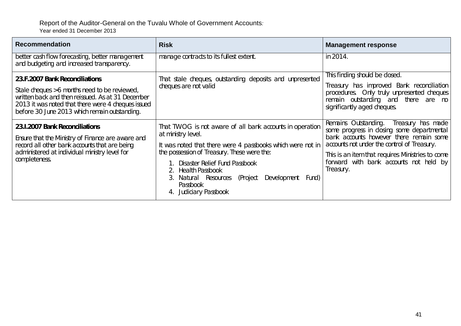| <b>Recommendation</b>                                                                                                                                                                                                                      | <b>Risk</b>                                                                                                                                                                                                                                                                                                                                          | <b>Management response</b>                                                                                                                                                                                                                                                                |
|--------------------------------------------------------------------------------------------------------------------------------------------------------------------------------------------------------------------------------------------|------------------------------------------------------------------------------------------------------------------------------------------------------------------------------------------------------------------------------------------------------------------------------------------------------------------------------------------------------|-------------------------------------------------------------------------------------------------------------------------------------------------------------------------------------------------------------------------------------------------------------------------------------------|
| better cash flow forecasting, better management<br>and budgeting and increased transparency.                                                                                                                                               | manage contracts to its fullest extent.                                                                                                                                                                                                                                                                                                              | in 2014.                                                                                                                                                                                                                                                                                  |
| 23.F.2007 Bank Reconciliations<br>Stale cheques >6 months need to be reviewed,<br>written back and then reissued. As at 31 December<br>2013 it was noted that there were 4 cheques issued<br>before 30 June 2013 which remain outstanding. | That stale cheques, outstanding deposits and unpresented<br>cheques are not valid                                                                                                                                                                                                                                                                    | This finding should be closed.<br>Treasury has improved Bank reconciliation<br>procedures. Only truly unpresented cheques<br>remain outstanding and there are no<br>significantly aged cheques.                                                                                           |
| 23.I.2007 Bank Reconciliations<br>Ensure that the Ministry of Finance are aware and<br>record all other bank accounts that are being<br>administered at individual ministry level for<br>completeness.                                     | That TWOG is not aware of all bank accounts in operation<br>at ministry level.<br>It was noted that there were 4 passbooks which were not in<br>the possession of Treasury. These were the:<br>Disaster Relief Fund Passbook<br><b>Health Passbook</b><br>Natural Resources (Project Development<br>3.<br>Fund)<br>Passbook<br>4. Judiciary Passbook | Remains Outstanding. Treasury has made<br>some progress in closing some departmental<br>bank accounts however there remain some<br>accounts not under the control of Treasury.<br>This is an item that requires Ministries to come<br>forward with bank accounts not held by<br>Treasury. |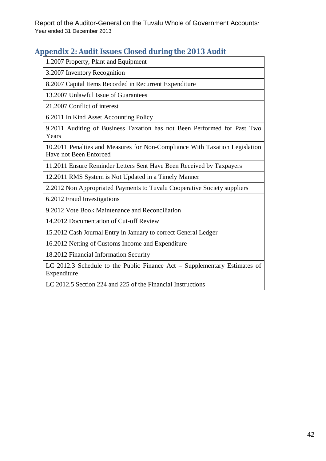# **Appendix 2: Audit Issues Closed during the 2013 Audit**

| ppendix 2: Audit issues closed during the 2013 Audit                                                  |  |
|-------------------------------------------------------------------------------------------------------|--|
| 1.2007 Property, Plant and Equipment                                                                  |  |
| 3.2007 Inventory Recognition                                                                          |  |
| 8.2007 Capital Items Recorded in Recurrent Expenditure                                                |  |
| 13.2007 Unlawful Issue of Guarantees                                                                  |  |
| 21.2007 Conflict of interest                                                                          |  |
| 6.2011 In Kind Asset Accounting Policy                                                                |  |
| 9.2011 Auditing of Business Taxation has not Been Performed for Past Two<br>Years                     |  |
| 10.2011 Penalties and Measures for Non-Compliance With Taxation Legislation<br>Have not Been Enforced |  |
| 11.2011 Ensure Reminder Letters Sent Have Been Received by Taxpayers                                  |  |
| 12.2011 RMS System is Not Updated in a Timely Manner                                                  |  |
| 2.2012 Non Appropriated Payments to Tuvalu Cooperative Society suppliers                              |  |
| 6.2012 Fraud Investigations                                                                           |  |
| 9.2012 Vote Book Maintenance and Reconciliation                                                       |  |
| 14.2012 Documentation of Cut-off Review                                                               |  |
| 15.2012 Cash Journal Entry in January to correct General Ledger                                       |  |
| 16.2012 Netting of Customs Income and Expenditure                                                     |  |
|                                                                                                       |  |

18.2012 Financial Information Security

LC 2012.3 Schedule to the Public Finance Act – Supplementary Estimates of Expenditure

LC 2012.5 Section 224 and 225 of the Financial Instructions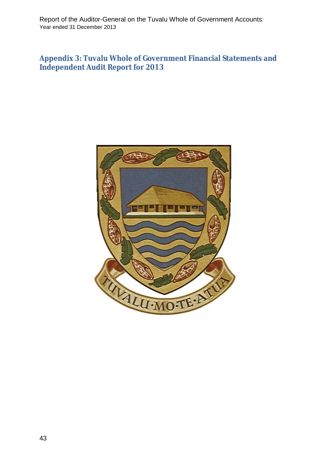# **Appendix 3: Tuvalu Whole of Government Financial Statements and Independent Audit Report for 2013**

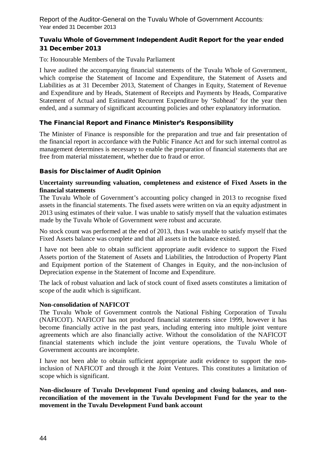# **Tuvalu Whole of Government Independent Audit Report for the year ended 31 December 2013**

To: Honourable Members of the Tuvalu Parliament

I have audited the accompanying financial statements of the Tuvalu Whole of Government, which comprise the Statement of Income and Expenditure, the Statement of Assets and Liabilities as at 31 December 2013, Statement of Changes in Equity, Statement of Revenue and Expenditure and by Heads, Statement of Receipts and Payments by Heads, Comparative Statement of Actual and Estimated Recurrent Expenditure by 'Subhead' for the year then ended, and a summary of significant accounting policies and other explanatory information.

# **The Financial Report and Finance Minister's Responsibility**

The Minister of Finance is responsible for the preparation and true and fair presentation of the financial report in accordance with the Public Finance Act and for such internal control as management determines is necessary to enable the preparation of financial statements that are free from material misstatement, whether due to fraud or error.

# **Basis for Disclaimer of Audit Opinion**

# **Uncertainty surrounding valuation, completeness and existence of Fixed Assets in the financial statements**

The Tuvalu Whole of Government's accounting policy changed in 2013 to recognise fixed assets in the financial statements. The fixed assets were written on via an equity adjustment in 2013 using estimates of their value. I was unable to satisfy myself that the valuation estimates made by the Tuvalu Whole of Government were robust and accurate.

No stock count was performed at the end of 2013, thus I was unable to satisfy myself that the Fixed Assets balance was complete and that all assets in the balance existed.

I have not been able to obtain sufficient appropriate audit evidence to support the Fixed Assets portion of the Statement of Assets and Liabilities, the Introduction of Property Plant and Equipment portion of the Statement of Changes in Equity, and the non-inclusion of Depreciation expense in the Statement of Income and Expenditure.

The lack of robust valuation and lack of stock count of fixed assets constitutes a limitation of scope of the audit which is significant.

# **Non-consolidation of NAFICOT**

The Tuvalu Whole of Government controls the National Fishing Corporation of Tuvalu (NAFICOT). NAFICOT has not produced financial statements since 1999, however it has become financially active in the past years, including entering into multiple joint venture agreements which are also financially active. Without the consolidation of the NAFICOT financial statements which include the joint venture operations, the Tuvalu Whole of Government accounts are incomplete.

I have not been able to obtain sufficient appropriate audit evidence to support the noninclusion of NAFICOT and through it the Joint Ventures. This constitutes a limitation of scope which is significant.

**Non-disclosure of Tuvalu Development Fund opening and closing balances, and nonreconciliation of the movement in the Tuvalu Development Fund for the year to the movement in the Tuvalu Development Fund bank account**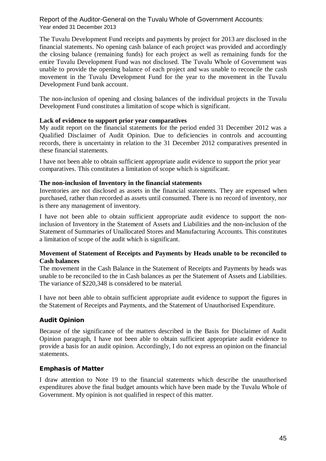The Tuvalu Development Fund receipts and payments by project for 2013 are disclosed in the financial statements. No opening cash balance of each project was provided and accordingly the closing balance (remaining funds) for each project as well as remaining funds for the entire Tuvalu Development Fund was not disclosed. The Tuvalu Whole of Government was unable to provide the opening balance of each project and was unable to reconcile the cash movement in the Tuvalu Development Fund for the year to the movement in the Tuvalu Development Fund bank account.

The non-inclusion of opening and closing balances of the individual projects in the Tuvalu Development Fund constitutes a limitation of scope which is significant.

# **Lack of evidence to support prior year comparatives**

My audit report on the financial statements for the period ended 31 December 2012 was a Qualified Disclaimer of Audit Opinion. Due to deficiencies in controls and accounting records, there is uncertainty in relation to the 31 December 2012 comparatives presented in these financial statements.

I have not been able to obtain sufficient appropriate audit evidence to support the prior year comparatives. This constitutes a limitation of scope which is significant.

# **The non-inclusion of Inventory in the financial statements**

Inventories are not disclosed as assets in the financial statements. They are expensed when purchased, rather than recorded as assets until consumed. There is no record of inventory, nor is there any management of inventory.

I have not been able to obtain sufficient appropriate audit evidence to support the noninclusion of Inventory in the Statement of Assets and Liabilities and the non-inclusion of the Statement of Summaries of Unallocated Stores and Manufacturing Accounts. This constitutes a limitation of scope of the audit which is significant.

# **Movement of Statement of Receipts and Payments by Heads unable to be reconciled to Cash balances**

The movement in the Cash Balance in the Statement of Receipts and Payments by heads was unable to be reconciled to the in Cash balances as per the Statement of Assets and Liabilities. The variance of \$220,348 is considered to be material.

I have not been able to obtain sufficient appropriate audit evidence to support the figures in the Statement of Receipts and Payments, and the Statement of Unauthorised Expenditure.

# **Audit Opinion**

Because of the significance of the matters described in the Basis for Disclaimer of Audit Opinion paragraph, I have not been able to obtain sufficient appropriate audit evidence to provide a basis for an audit opinion. Accordingly, I do not express an opinion on the financial statements.

# **Emphasis of Matter**

I draw attention to Note 19 to the financial statements which describe the unauthorised expenditures above the final budget amounts which have been made by the Tuvalu Whole of Government. My opinion is not qualified in respect of this matter.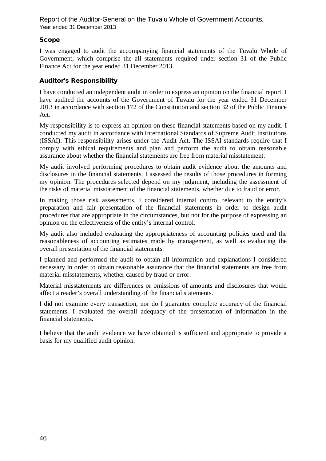# **Scope**

I was engaged to audit the accompanying financial statements of the Tuvalu Whole of Government, which comprise the all statements required under section 31 of the Public Finance Act for the year ended 31 December 2013.

# **Auditor's Responsibility**

I have conducted an independent audit in order to express an opinion on the financial report. I have audited the accounts of the Government of Tuvalu for the year ended 31 December 2013 in accordance with section 172 of the Constitution and section 32 of the Public Finance Act.

My responsibility is to express an opinion on these financial statements based on my audit. I conducted my audit in accordance with International Standards of Supreme Audit Institutions (ISSAI). This responsibility arises under the Audit Act. The ISSAI standards require that I comply with ethical requirements and plan and perform the audit to obtain reasonable assurance about whether the financial statements are free from material misstatement.

My audit involved performing procedures to obtain audit evidence about the amounts and disclosures in the financial statements. I assessed the results of those procedures in forming my opinion. The procedures selected depend on my judgment, including the assessment of the risks of material misstatement of the financial statements, whether due to fraud or error.

In making those risk assessments, I considered internal control relevant to the entity's preparation and fair presentation of the financial statements in order to design audit procedures that are appropriate in the circumstances, but not for the purpose of expressing an opinion on the effectiveness of the entity's internal control.

My audit also included evaluating the appropriateness of accounting policies used and the reasonableness of accounting estimates made by management, as well as evaluating the overall presentation of the financial statements.

I planned and performed the audit to obtain all information and explanations I considered necessary in order to obtain reasonable assurance that the financial statements are free from material misstatements, whether caused by fraud or error.

Material misstatements are differences or omissions of amounts and disclosures that would affect a reader's overall understanding of the financial statements.

I did not examine every transaction, nor do I guarantee complete accuracy of the financial statements. I evaluated the overall adequacy of the presentation of information in the financial statements.

I believe that the audit evidence we have obtained is sufficient and appropriate to provide a basis for my qualified audit opinion.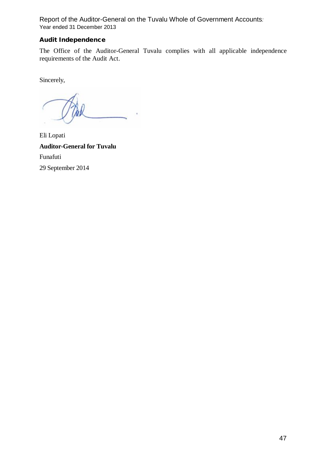# **Audit Independence**

The Office of the Auditor-General Tuvalu complies with all applicable independence requirements of the Audit Act.

Sincerely,

Eli Lopati **Auditor-General for Tuvalu**  Funafuti 29 September 2014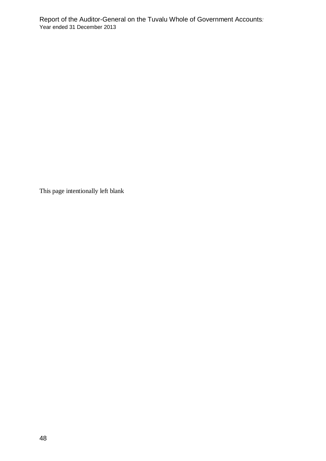This page intentionally left blank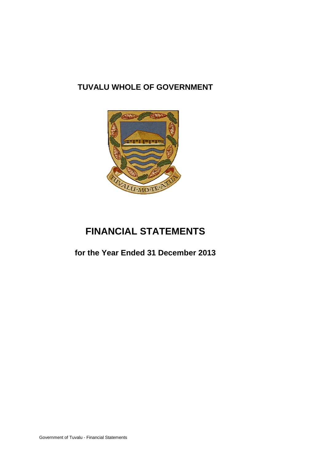# **TUVALU WHOLE OF GOVERNMENT**



# **FINANCIAL STATEMENTS**

**for the Year Ended 31 December 2013**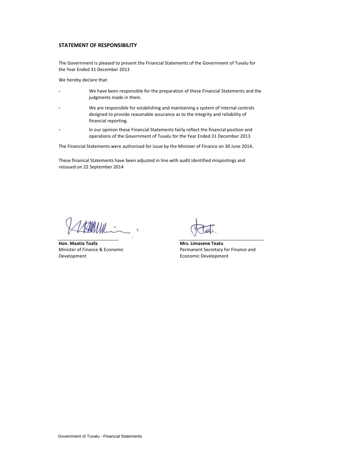# **STATEMENT OF RESPONSIBILITY**

The Government is pleased to present the Financial Statements of the Government of Tuvalu for the Year Ended 31 December 2013

We hereby declare that:

- **-** We have been responsible for the preparation of these Financial Statements and the judgments made in them.
- **-** We are responsible for establishing and maintaining a system of internal controls designed to provide reasonable assurance as to the integrity and reliability of financial reporting.
- **-** In our opinion these Financial Statements fairly reflect the financial position and operations of the Government of Tuvalu for the Year Ended 31 December 2013

The Financial Statements were authorised for issue by the Minister of Finance on 30 June 2014**.**

These finanical Statements have been adjusted in line with audit identified mispostings and reissued on 22 September 2014

**Hon.** Maatia Toafa **Mrs.** Limasene Teatu Minister of Finance & Economic Development

Permanent Secretary for Finance and Economic Development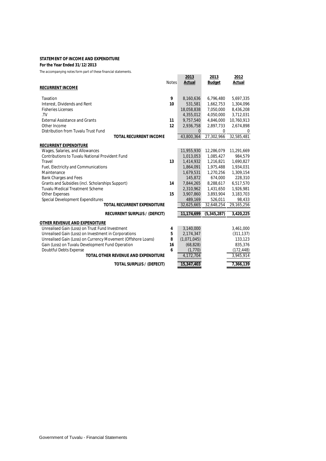## **STATEMENT OF INCOME AND EXPENDITURE**

## **For the Year Ended 31/12/2013**

*The accompanying notes form part of these financial statements.*

| The accompanying notes form part of these miancial statements. |              | 2013          | 2013          | 2012         |
|----------------------------------------------------------------|--------------|---------------|---------------|--------------|
|                                                                | <b>Notes</b> | <b>Actual</b> | <b>Budget</b> | Actual       |
| <b>RECURRENT INCOME</b>                                        |              |               |               |              |
|                                                                |              |               |               |              |
| Taxation                                                       | 9            | 8,160,636     | 6,796,480     | 5,697,335    |
| Interest, Dividends and Rent                                   | 10           | 531,581       | 1,662,753     | 1,304,096    |
| <b>Fisheries Licenses</b>                                      |              | 18,058,838    | 7,050,000     | 8,436,208    |
| .TV                                                            |              | 4,355,012     | 4,050,000     | 3,712,031    |
| <b>External Assistance and Grants</b>                          | 11           | 9,757,540     | 4,846,000     | 10,760,913   |
| Other Income                                                   | 12           | 2,936,758     | 2,897,733     | 2,674,898    |
| Distribution from Tuvalu Trust Fund                            |              | $\Omega$      | $\Omega$      | $\mathbf 0$  |
| <b>TOTAL RECURRENT INCOME</b>                                  |              | 43,800,364    | 27,302,966    | 32,585,481   |
| <b>RECURRENT EXPENDITURE</b>                                   |              |               |               |              |
| Wages, Salaries, and Allowances                                |              | 11,955,930    | 12,286,079    | 11,291,669   |
| Contributions to Tuvalu National Provident Fund                |              | 1,013,053     | 1,085,427     | 984,579      |
| Travel                                                         | 13           | 1,414,932     | 1,216,821     | 1,690,827    |
| Fuel, Electricity and Communications                           |              | 1,864,091     | 1,975,488     | 1,934,031    |
| Maintenance                                                    |              | 1,679,531     | 1,270,256     | 1,309,154    |
| <b>Bank Charges and Fees</b>                                   |              | 145,872       | 674,000       | 228,310      |
| Grants and Subsidies (incl. Scholarships Support)              | 14           | 7,844,265     | 8,288,617     | 6,517,570    |
| <b>Tuvalu Medical Treatment Scheme</b>                         |              | 2,310,962     | 1,431,650     | 1,926,981    |
| <b>Other Expenses</b>                                          | 15           | 3,907,860     | 3,893,904     | 3,183,703    |
| Special Development Expenditures                               |              | 489,169       | 526,011       | 98,433       |
| <b>TOTAL RECURRENT EXPENDITURE</b>                             |              | 32,625,665    | 32,648,254    | 29, 165, 256 |
|                                                                |              |               |               |              |
| <b>RECURRENT SURPLUS / (DEFICIT)</b>                           |              | 11,174,699    | (5, 345, 287) | 3,420,225    |
| OTHER REVENUE AND EXPENDITURE                                  |              |               |               |              |
| Unrealised Gain (Loss) on Trust Fund Investment                | 4            | 3,140,000     |               | 3,461,000    |
| Unrealised Gain (Loss) on Investment in Corporations           | 5            | 2,174,347     |               | (311, 137)   |
| Unrealised Gain (Loss) on Currency Movement (Offshore Loans)   | 8            | (1,071,045)   |               | 133,123      |
| Gain (Loss) on Tuvalu Development Fund Operation               | 16           | (68, 828)     |               | 835,376      |
| Doubtful Debts Expense                                         | 6            | (1, 770)      |               | (172, 448)   |
| TOTAL OTHER REVENUE AND EXPENDITURE                            |              | 4,172,704     |               | 3,945,914    |
| <b>TOTAL SURPLUS / (DEFECIT)</b>                               |              | 15,347,403    |               | 7,366,139    |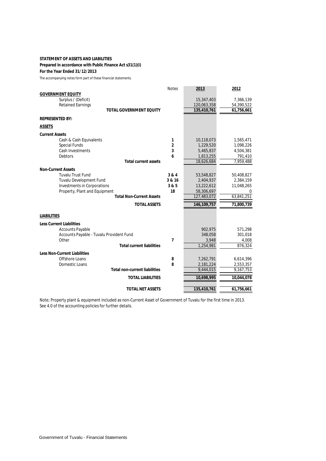# **STATEMENT OF ASSETS AND LIABILITIES Prepared in accordance with Public Finance Act s31(1)(i) For the Year Ended 31/12/2013**

*The accompanying notes form part of these financial statements.*

|                                          | <b>Notes</b>   | 2013        | 2012       |
|------------------------------------------|----------------|-------------|------------|
| <b>GOVERNMENT EQUITY</b>                 |                |             |            |
| Surplus / (Deficit)                      |                | 15,347,403  | 7,366,139  |
| <b>Retained Earnings</b>                 |                | 120,063,358 | 54,390,522 |
| <b>TOTAL GOVERNMENT EQUITY</b>           |                | 135,410,761 | 61,756,661 |
| <b>REPRESENTED BY:</b>                   |                |             |            |
| <b>ASSETS</b>                            |                |             |            |
| <b>Current Assets</b>                    |                |             |            |
| Cash & Cash Equivalents                  | 1              | 10,118,073  | 1,565,471  |
| <b>Special Funds</b>                     | $\overline{2}$ | 1,229,520   | 1,098,226  |
| Cash Investments                         | 3              | 5,465,837   | 4,504,381  |
| <b>Debtors</b>                           | 6              | 1,813,255   | 791,410    |
| <b>Total current assets</b>              |                | 18,626,684  | 7,959,488  |
| <b>Non-Current Assets</b>                |                |             |            |
| <b>Tuvalu Trust Fund</b>                 | 3 & 4          | 53,548,827  | 50,408,827 |
| Tuvalu Development Fund                  | 3 & 16         | 2,404,937   | 2,384,159  |
| Investments in Corporations              | 3 & 5          | 13,222,612  | 11,048,265 |
| Property, Plant and Equipment            | 18             | 58,306,697  | 0          |
| <b>Total Non-Current Assets</b>          |                | 127,483,072 | 63,841,251 |
| <b>TOTAL ASSETS</b>                      |                | 146,109,757 | 71,800,739 |
|                                          |                |             |            |
| <b>LIABILITIES</b>                       |                |             |            |
| <b>Less Current Liabilities</b>          |                |             |            |
| <b>Accounts Payable</b>                  |                | 902,975     | 571,298    |
| Accounts Payable - Tuvalu Provident Fund |                | 348,058     | 301,018    |
| Other                                    | 7              | 3,948       | 4,008      |
| <b>Total current liabilities</b>         |                | 1,254,981   | 876,324    |
| <b>Less Non-Current Liabilities</b>      |                |             |            |
| Offshore Loans                           | 8              | 7,262,791   | 6,614,396  |
| Domestic Loans                           | 8              | 2,181,224   | 2,553,357  |
| <b>Total non-current liabilities</b>     |                | 9.444.015   | 9,167,753  |
| <b>TOTAL LIABILITIES</b>                 |                | 10,698,995  | 10,044,078 |
| <b>TOTAL NET ASSETS</b>                  |                | 135,410,761 | 61,756,661 |
|                                          |                |             |            |

Note; Property plant & equipment included as non-Current Asset of Government of Tuvalu for the first time in 2013. See 4.0 of the accounting policies for further details.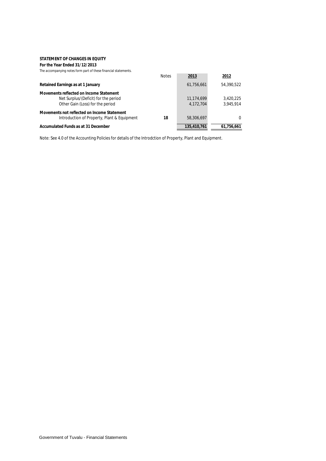# **STATEMENT OF CHANGES IN EQUITY**

#### **For the Year Ended 31/12/2013**

*The accompanying notes form part of these financial statements.*

| <b>Notes</b>                                                                                                        | 2013                    | 2012                   |
|---------------------------------------------------------------------------------------------------------------------|-------------------------|------------------------|
| <b>Retained Earnings as at 1 January</b>                                                                            | 61,756,661              | 54,390,522             |
| Movements reflected on Income Statement<br>Net Surplus/(Deficit) for the period<br>Other Gain (Loss) for the period | 11,174,699<br>4.172.704 | 3.420.225<br>3.945.914 |
| Movements not reflected on Income Statement<br>Introduction of Property, Plant & Equipment<br>18                    | 58.306.697              | O                      |
| <b>Accumulated Funds as at 31 December</b>                                                                          | 135,410,761             | 61,756,661             |

Note: See 4.0 of the Accounting Policies for details of the Introdction of Property, Plant and Equipment.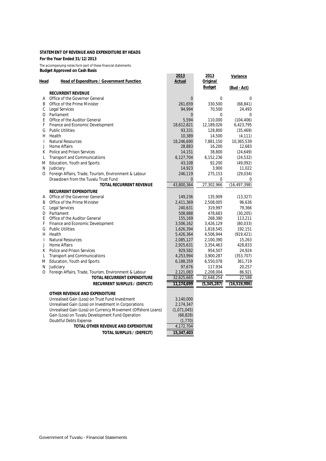#### **STATEMENT OF REVENUE AND EXPENDITURE BY HEADS**

**For the Year Ended 31/12/2013**

*The accompanying notes form part of these financial statements.* **Budget Approved on Cash Basis**

| Duuyet Apploveu oli Casii Dasis |                                                              |                       |                                   |                |
|---------------------------------|--------------------------------------------------------------|-----------------------|-----------------------------------|----------------|
| Head                            | <b>Head of Expenditure / Government Function</b>             | 2013<br><b>Actual</b> | 2013<br>Original<br><b>Budget</b> | Variance       |
|                                 | <b>RECURRENT REVENUE</b>                                     |                       |                                   | (Bud - Act)    |
| A                               | Office of the Governer General                               | $\Omega$              | $\Omega$                          | $\Omega$       |
| B                               | Office of the Prime Minister                                 | 261,659               | 330,500                           | (68, 841)      |
| C                               | <b>Legal Services</b>                                        | 94,994                | 70,500                            | 24,493         |
| D                               | Parliament                                                   | $\Omega$              | $\Omega$                          | $\Omega$       |
| E                               | Office of the Auditor General                                | 5,594                 | 110,000                           | (104, 406)     |
| F                               | Finance and Economic Development                             | 18,612,821            | 12,189,026                        | 6,423,795      |
| G                               | <b>Public Utilities</b>                                      | 93,331                | 128,800                           | (35, 469)      |
| H.                              | Health                                                       | 10,389                | 14,500                            | (4, 111)       |
| L                               | <b>Natural Resources</b>                                     | 18,246,690            | 7,881,150                         | 10,365,539     |
| J                               | <b>Home Affairs</b>                                          | 28,883                | 16,200                            | 12,683         |
| K                               | Police and Prison Services                                   | 14,151                | 38,800                            | (24, 649)      |
| L                               | <b>Transport and Communications</b>                          | 6,127,704             | 6,152,236                         | (24, 532)      |
| M                               | Education, Youth and Sports                                  | 43,108                | 92,200                            | (49,092)       |
| N                               | Judiciary                                                    | 14,923                | 3,900                             | 11,022         |
| 0                               | Foreign Affairs, Trade, Tourism, Environment & Labour        | 246,119               | 275,153                           | (29, 034)      |
|                                 | Drawdown from the Tuvalu Trust Fund                          | 0                     | 0                                 | 0              |
|                                 | <b>TOTAL RECURRENT REVENUE</b>                               | 43,800,364            | 27,302,966                        | (16, 497, 398) |
|                                 | <b>RECURRENT EXPENDITURE</b>                                 |                       |                                   |                |
| A                               | Office of the Governer General                               | 149,236               | 135,909                           | (13, 327)      |
| B                               | Office of the Prime Minister                                 | 2,411,369             | 2,508,005                         | 96,636         |
| С                               | <b>Legal Services</b>                                        | 240,631               | 319,997                           | 79,366         |
| D                               | Parliament                                                   | 508,888               | 478,683                           | (30, 205)      |
| E                               | Office of the Auditor General                                | 155,169               | 268,380                           | 113,211        |
| F                               | Finance and Economic Development                             | 3,506,162             | 3,426,129                         | (80,033)       |
| G                               | <b>Public Utilities</b>                                      | 1,626,394             | 1,818,545                         | 192,151        |
| H.                              | Health                                                       | 5,426,364             | 4,506,944                         | (919, 421)     |
| $\mathbf{I}$                    | <b>Natural Resources</b>                                     | 2,085,127             | 2,100,390                         | 15,263         |
| J                               | Home Affairs                                                 | 2,925,631             | 3,354,463                         | 428,833        |
| K                               | Police and Prison Services                                   | 929,582               | 954,507                           | 24,924         |
| L                               | <b>Transport and Communications</b>                          | 4,253,994             | 3,900,287                         | (353, 707)     |
| M                               | Education, Youth and Sports                                  | 6,188,359             | 6,550,078                         | 361,719        |
| N                               | Judiciary                                                    | 97,676                | 117,934                           | 20,257         |
| 0                               | Foreign Affairs, Trade, Tourism, Environment & Labour        | 2,121,083             | 2,208,004                         | 86,921         |
|                                 | <b>TOTAL RECURRENT EXPENDITURE</b>                           | 32,625,665            | 32,648,254                        | 22,588         |
|                                 | <b>RECURRENT SURPLUS / (DEFICIT)</b>                         | 11,174,699            | (5, 345, 287)                     | (16, 519, 986) |
|                                 |                                                              |                       |                                   |                |
|                                 | OTHER REVENUE AND EXPENDITURE                                |                       |                                   |                |
|                                 | Unrealised Gain (Loss) on Trust Fund Investment              | 3,140,000             |                                   |                |
|                                 | Unrealised Gain (Loss) on Investment in Corporations         | 2,174,347             |                                   |                |
|                                 | Unrealised Gain (Loss) on Currency Movement (Offshore Loans) | (1,071,045)           |                                   |                |
|                                 | Gain (Loss) on Tuvalu Development Fund Operation             | (68, 828)             |                                   |                |
|                                 | Doubtful Debts Expense                                       | (1,770)               |                                   |                |
|                                 | TOTAL OTHER REVENUE AND EXPENDITURE                          | 4,172,704             |                                   |                |
|                                 | <b>TOTAL SURPLUS / (DEFECIT)</b>                             | 15,347,403            |                                   |                |
|                                 |                                                              |                       |                                   |                |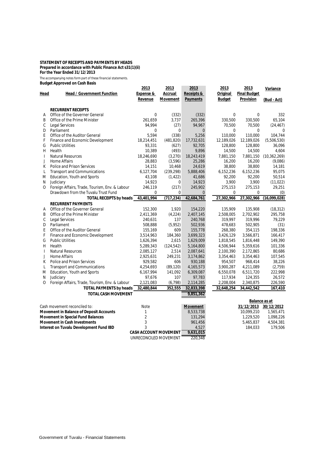#### **STATEMENT OF RECEIPTS AND PAYMENTS BY HEADS Prepared in accordance with Public Finance Act s31(1)(ii) For the Year Ended 31/12/2013**

*The accompanying notes form part of these financial statements.*

**Budget Approved on Cash Basis**

|              |                                                | 2013                 | 2013            | 2013            | 2013          | 2013                 | Variance       |
|--------------|------------------------------------------------|----------------------|-----------------|-----------------|---------------|----------------------|----------------|
| Head         | <b>Head / Government Function</b>              | <b>Expense &amp;</b> | Accrual         | Receipts &      | Original      | <b>Final Budget</b>  |                |
|              |                                                | Revenue              | <b>Movement</b> | <b>Payments</b> | <b>Budget</b> | <b>Provision</b>     | (Bud - Act)    |
|              | <b>RECURRENT RECEIPTS</b>                      |                      |                 |                 |               |                      |                |
| Α            | Office of the Governer General                 | $\Omega$             | (332)           | (332)           | 0             | $\Omega$             | 332            |
| B            | Office of the Prime Minister                   | 261,659              | 3,737           | 265,396         | 330,500       | 330,500              | 65,104         |
| C            | <b>Legal Services</b>                          | 94,994               | (27)            | 94,967          | 70,500        | 70,500               | (24, 467)      |
| D            | Parliament                                     | $\Omega$             | $\Omega$        | $\Omega$        | $\Omega$      | $\Omega$             | $\Omega$       |
| E            | Office of the Auditor General                  | 5,594                | (338)           | 5,256           | 110,000       | 110,000              | 104,744        |
| F            | Finance and Economic Development               | 18,214,451           | (481, 820)      | 17,732,631      | 12,189,026    | 12,189,026           | (5,506,530)    |
| G            | <b>Public Utilities</b>                        | 93,331               | (627)           | 92,705          | 128,800       | 128,800              | 36,096         |
| H            | Health                                         | 10,389               | (493)           | 9,896           | 14,500        | 14,500               | 4,604          |
| $\mathbf{I}$ | <b>Natural Resources</b>                       | 18,246,690           | (3,270)         | 18,243,419      | 7,881,150     | 7,881,150            | (10, 362, 269) |
| J            | Home Affairs                                   | 28,883               | (3,596)         | 25,286          | 16,200        | 16,200               | (9,086)        |
| К            | <b>Police and Prison Services</b>              | 14,151               | 10,468          | 24,619          | 38,800        | 38,800               | 14,181         |
| L            | <b>Transport and Communications</b>            | 6,127,704            | (239, 298)      | 5,888,406       | 6,152,236     | 6,152,236            | 95,075         |
| M            | Education, Youth and Sports                    | 43,108               | (1, 422)        | 41,686          | 92,200        | 92,200               | 50,514         |
| N            | Judiciary                                      | 14,923               | 0               | 14,923          | 3,900         | 3,900                | (11, 022)      |
| 0            | Foreign Affairs, Trade, Tourism, Env. & Labour | 246,119              | (217)           | 245,902         | 275,153       | 275,153              | 29,251         |
|              | Drawdown from the Tuvalu Trust Fund            | 0                    | $\mathbf 0$     | 0               | 0             | $\Omega$             | (0)            |
|              | <b>TOTAL RECEIPTS by heads</b>                 | 43,401,994           | (717, 234)      | 42,684,761      | 27,302,966    | 27,302,966           | (16,099,028)   |
|              | <b>RECURRENT PAYMENTS</b>                      |                      |                 |                 |               |                      |                |
| Α            | Office of the Governer General                 | 152,300              | 1,920           | 154,220         | 135,909       | 135,908              | (18, 312)      |
| B            | Office of the Prime Minister                   | 2,411,369            | (4,224)         | 2,407,145       | 2,508,005     | 2,702,902            | 295,758        |
| C            | <b>Legal Services</b>                          | 240,631              | 137             | 240,768         | 319,997       | 319,996              | 79,229         |
| D            | Parliament                                     | 508,888              | (5,952)         | 502,936         | 478,683       | 502,905              | (31)           |
| E            | Office of the Auditor General                  | 155,169              | 609             | 155,778         | 268,380       | 354,115              | 198,336        |
| F            | Finance and Economic Development               | 3,514,963            | 184,360         | 3,699,323       | 3,426,129     | 3,566,871            | 166,417        |
| G            | <b>Public Utilities</b>                        | 1,626,394            | 2,615           | 1,629,009       | 1,818,545     | 1,816,448            | 149,390        |
| H            | Health                                         | 5,289,343            | (124, 542)      | 5,164,800       | 4,506,944     | 5,359,616            | 101,336        |
| $\mathbf{I}$ | <b>Natural Resources</b>                       | 2,085,127            | 2,514           | 2,087,641       | 2,100,390     | 2,172,865            | 80,686         |
| J            | Home Affairs                                   | 2,925,631            | 249,231         | 3,174,862       | 3,354,463     | 3,354,463            | 107,545        |
| К            | Police and Prison Services                     | 929,582              | 606             | 930,188         | 954,507       | 968,414              | 38,226         |
| L            | <b>Transport and Communications</b>            | 4,254,693            | (89, 120)       | 4,165,573       | 3,900,287     | 4,211,089            | (2,759)        |
| M            | Education, Youth and Sports                    | 6,167,994            | 141,092         | 6,309,087       | 6,550,078     | 6,511,720            | 222,998        |
| N            | Judiciary                                      | 97,676               | 107             | 97,783          | 117,934       | 124,355              | 26,572         |
| 0            | Foreign Affairs, Trade, Tourism, Env. & Labour | 2,121,083            | (6, 798)        | 2,114,285       | 2,208,004     | 2,340,875            | 226,590        |
|              | <b>TOTAL PAYMENTS by heads</b>                 | 32,480,844           | 352,555         | 32,833,398      | 32,648,254    | 34,442,542           | 167,410        |
|              | <b>TOTAL CASH MOVEMENT</b>                     |                      |                 | 9,851,362       |               |                      |                |
|              |                                                |                      |                 |                 |               | <b>Balance as at</b> |                |
|              | Cash movement reconciled to:                   | Note                 |                 | <b>Movement</b> |               | 31/12/2013           | 30/12/2012     |
|              | <b>Movement in Balance of Deposit Accounts</b> | 1                    |                 | 8,533,738       |               | 10,099,210           | 1,565,471      |
|              | <b>Movement in Special Fund Balances</b>       | 2                    |                 | 131,294         |               | 1,229,520            | 1,098,226      |
|              | <b>Movement in Cash Investments</b>            | 3                    |                 | 961,456         |               | 5,465,837            | 4,504,381      |
|              | Interest on Tuvalu Development Fund IBD        | 3                    |                 | 4,527           |               | 184,033              | 179,506        |

**CASH ACCOUNT MOVEMENT 9,631,015** UNRECONCILED MOVEMENT 220,348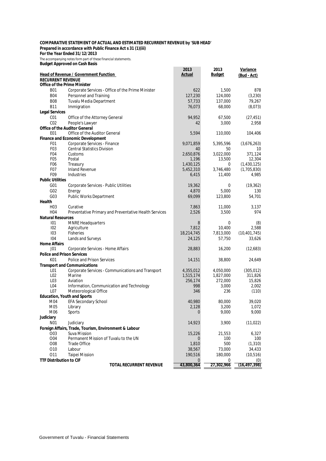#### **COMPARATIVE STATEMENT OF ACTUAL AND ESTIMATED RECURRENT REVENUE by 'SUB HEAD' Prepared in accordance with Public Finance Act s 31 (1)(iii)**

**For the Year Ended 31/12/2013**

*The accompanying notes form part of these financial statements.* **Budget Approved on Cash Basis**

|                                   |                                                       | 2013       | 2013       | Variance       |
|-----------------------------------|-------------------------------------------------------|------------|------------|----------------|
|                                   | <b>Head of Revenue / Government Function</b>          | Actual     | Budget     | (Bud - Act)    |
| <b>RECURRENT REVENUE</b>          | <b>Office of the Prime Minister</b>                   |            |            |                |
| B01                               | Corporate Services - Office of the Prime Minister     | 622        | 1,500      | 878            |
| <b>B04</b>                        | Personnel and Training                                | 127,230    | 124,000    | (3,230)        |
| <b>B08</b>                        | Tuvalu Media Department                               | 57,733     | 137,000    | 79,267         |
| <b>B11</b>                        | Immigration                                           | 76,073     | 68,000     | (8,073)        |
| <b>Legal Services</b>             |                                                       |            |            |                |
| CO <sub>1</sub>                   | Office of the Attorney General                        | 94,952     | 67,500     | (27, 451)      |
| CO <sub>2</sub>                   | People's Lawyer                                       | 42         | 3,000      | 2,958          |
|                                   | <b>Office of the Auditor General</b>                  |            |            |                |
| E01                               | Office of the Auditor General                         | 5,594      | 110,000    | 104,406        |
|                                   | <b>Finance and Economic Development</b>               |            |            |                |
| F01                               | Corporate Services - Finance                          | 9,071,859  | 5,395,596  | (3,676,263)    |
| F <sub>0</sub> 3                  | <b>Central Statistics Division</b>                    | 40         | 50         | 10             |
| F04                               | Customs                                               | 2,650,876  | 3,022,000  | 371,124        |
| F <sub>0</sub> 5                  | Postal                                                | 1,196      | 13,500     | 12,304         |
| F06                               | Treasury                                              | 1,430,125  | 0          | (1,430,125)    |
| F07                               | <b>Inland Revenue</b>                                 | 5,452,310  | 3,746,480  | (1,705,830)    |
| F09                               | Industries                                            | 6,415      | 11,400     | 4,985          |
| <b>Public Utilities</b>           |                                                       |            |            |                |
| G01                               | Corporate Services - Public Utilities                 | 19,362     | 0          | (19, 362)      |
| G <sub>02</sub>                   | Energy                                                | 4,870      | 5,000      | 130            |
| G <sub>03</sub>                   | Public Works Department                               | 69,099     | 123,800    | 54,701         |
| Health                            |                                                       |            |            |                |
| H <sub>03</sub>                   | Curative                                              | 7,863      | 11,000     | 3.137          |
| H <sub>04</sub>                   | Preventative Primary and Preventative Health Services | 2,526      | 3,500      | 974            |
| <b>Natural Resources</b>          |                                                       |            |            |                |
| 101                               | <b>MNRE Headquarters</b>                              | 8          | 0          | (8)            |
| 102                               | Agriculture                                           | 7,812      | 10,400     | 2,588          |
| 103                               | <b>Fisheries</b>                                      | 18,214,745 | 7,813,000  | (10, 401, 745) |
| 104                               | Lands and Surveys                                     | 24,125     | 57,750     | 33,626         |
| <b>Home Affairs</b>               |                                                       |            |            |                |
| J01                               | Corporate Services - Home Affairs                     | 28,883     | 16,200     | (12,683)       |
| <b>Police and Prison Services</b> |                                                       |            |            |                |
| K01                               | Police and Prison Services                            | 14,151     | 38,800     | 24,649         |
|                                   | <b>Transport and Communications</b>                   |            |            |                |
| L01                               | Corporate Services - Communications and Transport     | 4,355,012  | 4,050,000  | (305, 012)     |
| L <sub>02</sub>                   | Marine                                                | 1,515,174  | 1,827,000  | 311,826        |
| L03                               | Aviation                                              | 256,174    | 272,000    | 15,826         |
| L04                               | Information, Communication and Technology             | 998        | 3,000      | 2,002          |
| L07                               | Meteorological Office                                 | 346        | 236        | (110)          |
|                                   | <b>Education, Youth and Sports</b>                    |            |            |                |
| M04                               | <b>EFA Secondary School</b>                           | 40,980     | 80,000     | 39,020         |
| M05                               | Library                                               | 2,128      | 3,200      | 1,072          |
| M06                               | Sports                                                | 0          | 9,000      | 9,000          |
| Judiciary                         |                                                       |            |            |                |
| N01                               | Judiciary                                             | 14,923     | 3.900      | (11, 022)      |
|                                   | Foreign Affairs, Trade, Tourism, Environment & Labour |            |            |                |
| O03                               | Suva Mission                                          | 15,226     | 21,553     | 6,327          |
| <b>O04</b>                        | Permanent Mission of Tuvalu to the UN                 | 0          | 100        | 100            |
| <b>O08</b>                        | Trade Office                                          | 1,810      | 500        | (1, 310)       |
| 010                               | Labour                                                | 38,567     | 73,000     | 34,433         |
| 011                               | <b>Taipei Mission</b>                                 | 190,516    | 180,000    | (10, 516)      |
| <b>TTF Distribution to CIF</b>    |                                                       | 0          | 0          | (0)            |
|                                   | TOTAL RECURRENT REVENUE                               | 43,800,364 | 27,302,966 | (16, 497, 398) |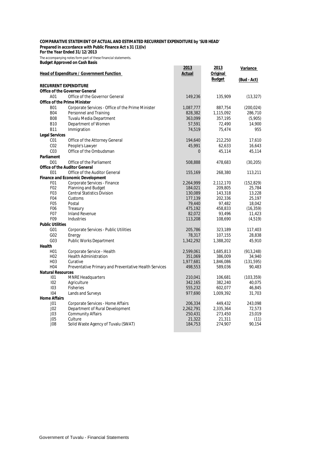#### **COMPARATIVE STATEMENT OF ACTUAL AND ESTIMATED RECURRENT EXPENDITURE by 'SUB HEAD' Prepared in accordance with Public Finance Act s 31 (1)(iv) For the Year Ended 31/12/2013**

The accompanying notes form part of these financial statements. **Budget Approved on Cash Basis**

|                          |                                                       | 2013      | 2013          | Variance    |
|--------------------------|-------------------------------------------------------|-----------|---------------|-------------|
|                          | <b>Head of Expenditure / Government Function</b>      | Actual    | Original      |             |
|                          |                                                       |           | <b>Budget</b> | (Bud - Act) |
|                          | <b>RECURRENT EXPENDITURE</b>                          |           |               |             |
|                          | <b>Office of the Governer General</b>                 |           |               |             |
| A01                      | Office of the Governor General                        | 149,236   | 135,909       | (13, 327)   |
|                          | <b>Office of the Prime Minister</b>                   |           |               |             |
| <b>B01</b>               | Corporate Services - Office of the Prime Minister     | 1,087,777 | 887,754       | (200, 024)  |
| <b>B04</b>               | Personnel and Training                                | 828,382   | 1,115,092     | 286,710     |
| <b>B08</b>               | <b>Tuvalu Media Department</b>                        | 363,099   | 357,195       | (5,905)     |
| <b>B10</b>               | Department of Women                                   | 57,591    | 72,490        | 14,900      |
| <b>B11</b>               | Immigration                                           | 74,519    | 75,474        | 955         |
| <b>Legal Services</b>    |                                                       |           |               |             |
| CO <sub>1</sub>          | Office of the Attorney General                        | 194,640   | 212,250       | 17,610      |
| CO <sub>2</sub>          | People's Lawyer                                       | 45,991    | 62,633        | 16,643      |
| CO <sub>3</sub>          | Office of the Ombudsman                               | $\Omega$  | 45,114        | 45,114      |
| <b>Parliament</b>        |                                                       |           |               |             |
| D <sub>01</sub>          | Office of the Parliament                              | 508,888   | 478,683       | (30, 205)   |
|                          | <b>Office of the Auditor General</b>                  |           |               |             |
| E01                      | Office of the Auditor General                         | 155,169   | 268,380       | 113,211     |
|                          | <b>Finance and Economic Development</b>               |           |               |             |
| F01                      | Corporate Services - Finance                          | 2,264,999 | 2,112,170     | (152, 829)  |
| F02                      | Planning and Budget                                   | 184,021   | 209,805       | 25,784      |
| F03                      | <b>Central Statistics Division</b>                    | 130,089   | 143,318       | 13,228      |
| F <sub>04</sub>          | Customs                                               | 177,139   | 202,336       | 25,197      |
| F <sub>0</sub> 5         | Postal                                                | 79,440    | 97,482        | 18,042      |
| F <sub>06</sub>          | Treasury                                              | 475,192   | 458,833       | (16, 359)   |
| F <sub>0</sub> 7         | <b>Inland Revenue</b>                                 | 82,072    | 93,496        | 11,423      |
| F09                      | Industries                                            | 113,208   | 108,690       | (4, 519)    |
| <b>Public Utilities</b>  |                                                       |           |               |             |
| G01                      | Corporate Services - Public Utilities                 | 205,786   | 323,189       | 117,403     |
| G <sub>02</sub>          | Energy                                                | 78,317    | 107,155       | 28,838      |
| G <sub>03</sub>          | <b>Public Works Department</b>                        | 1,342,292 | 1,388,202     | 45,910      |
| Health                   |                                                       |           |               |             |
| H <sub>01</sub>          | Corporate Service - Health                            | 2,599,061 | 1,685,813     | (913, 248)  |
| H <sub>02</sub>          | <b>Health Administration</b>                          | 351,069   | 386.009       | 34.940      |
| H <sub>0</sub> 3         | Curative                                              | 1,977,681 | 1,846,086     | (131, 595)  |
| H <sub>04</sub>          | Preventative Primary and Preventative Health Services | 498,553   | 589,036       | 90,483      |
| <b>Natural Resources</b> |                                                       |           |               |             |
| 101                      | <b>MNRE Headquarters</b>                              | 210,041   | 106,681       | (103, 359)  |
| 102                      | Agriculture                                           | 342,165   | 382,240       | 40,075      |
| 103                      | <b>Fisheries</b>                                      | 555,232   | 602,077       | 46,845      |
| 104                      | Lands and Surveys                                     | 977,690   | 1,009,392     | 31,703      |
| <b>Home Affairs</b>      |                                                       |           |               |             |
| J01                      | Corporate Services - Home Affairs                     | 206,334   | 449,432       | 243,098     |
| J02                      | Department of Rural Development                       | 2,262,791 | 2,335,364     | 72,573      |
| J03                      | <b>Community Affairs</b>                              | 250,431   | 273,450       | 23,019      |
| J05                      | Culture                                               | 21,322    | 21,311        | (11)        |
| J <sub>08</sub>          | Solid Waste Agency of Tuvalu (SWAT)                   | 184,753   | 274,907       | 90,154      |
|                          |                                                       |           |               |             |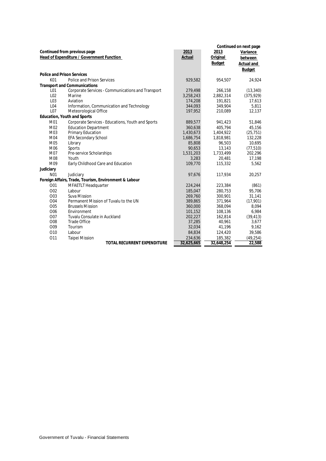|                  | <b>Continued from previous page</b><br><b>Head of Expenditure / Government Function</b> | 2013<br><b>Actual</b> | 2013<br>Original<br><b>Budget</b> | Continued on next page<br>Variance<br>between<br><b>Actual and</b> |  |
|------------------|-----------------------------------------------------------------------------------------|-----------------------|-----------------------------------|--------------------------------------------------------------------|--|
|                  | <b>Police and Prison Services</b>                                                       |                       |                                   | <b>Budget</b>                                                      |  |
| K01              | Police and Prison Services                                                              | 929,582               | 954,507                           | 24,924                                                             |  |
|                  | <b>Transport and Communications</b>                                                     |                       |                                   |                                                                    |  |
| L01              | Corporate Services - Communications and Transport                                       | 279,498               | 266,158                           | (13, 340)                                                          |  |
| L02              | Marine                                                                                  | 3,258,243             | 2,882,314                         | (375, 929)                                                         |  |
| L03              | Aviation                                                                                | 174,208               | 191,821                           | 17,613                                                             |  |
| L04              | Information, Communication and Technology                                               | 344,093               | 349,904                           | 5,811                                                              |  |
| L07              | Meteorological Office                                                                   | 197,952               | 210,089                           | 12,137                                                             |  |
|                  | <b>Education, Youth and Sports</b>                                                      |                       |                                   |                                                                    |  |
| M01              | Corporate Services - Educations, Youth and Sports                                       | 889,577               | 941,423                           | 51,846                                                             |  |
| M02              | <b>Education Department</b>                                                             | 360,638               | 405.794                           | 45,156                                                             |  |
| M <sub>03</sub>  | Primary Education                                                                       | 1,430,673             | 1,404,922                         | (25, 751)                                                          |  |
| M <sub>04</sub>  | <b>EFA Secondary School</b>                                                             | 1,686,754             | 1,818,981                         | 132,228                                                            |  |
| M05              | Library                                                                                 | 85,808                | 96,503                            | 10,695                                                             |  |
| M06              | Sports                                                                                  | 90,653                | 13,143                            | (77, 510)                                                          |  |
| M07              | Pre-service Scholarships                                                                | 1,531,203             | 1,733,499                         | 202,296                                                            |  |
| M08              | Youth                                                                                   | 3,283                 | 20,481                            | 17,198                                                             |  |
| M09              | Early Childhood Care and Education                                                      | 109,770               | 115,332                           | 5,562                                                              |  |
| Judiciary        |                                                                                         |                       |                                   |                                                                    |  |
| N <sub>01</sub>  | Judiciary                                                                               | 97,676                | 117,934                           | 20,257                                                             |  |
|                  | Foreign Affairs, Trade, Tourism, Environment & Labour                                   |                       |                                   |                                                                    |  |
| 001              | <b>MFAETLT Headquarter</b>                                                              | 224,244               | 223,384                           | (861)                                                              |  |
| 002              | Labour                                                                                  | 185,047               | 280.753                           | 95,706                                                             |  |
| O03              | Suva Mission                                                                            | 269,760               | 300.901                           | 31,141                                                             |  |
| <b>O04</b>       | Permanent Mission of Tuvalu to the UN                                                   | 389,865               | 371,964                           | (17,901)                                                           |  |
| O <sub>0</sub> 5 | <b>Brussels Mission</b>                                                                 | 360,000               | 368,094                           | 8,094                                                              |  |
| 006              | Environment                                                                             | 101,152               | 108,136                           | 6,984                                                              |  |
| 007              | Tuvalu Consulate in Auckland                                                            | 202,227               | 162,814                           | (39, 413)                                                          |  |
| O08              | <b>Trade Office</b>                                                                     | 37,285                | 40,961                            | 3,677                                                              |  |
| O09              | Tourism                                                                                 | 32,034                | 41,196                            | 9,162                                                              |  |
| O10              | Labour                                                                                  | 84,834                | 124,420                           | 39,586                                                             |  |
| 011              | <b>Taipei Mission</b>                                                                   | 234,636               | 185,382                           | (49, 254)                                                          |  |
|                  | <b>TOTAL RECURRENT EXPENDITURE</b>                                                      | 32,625,665            | 32,648,254                        | 22,588                                                             |  |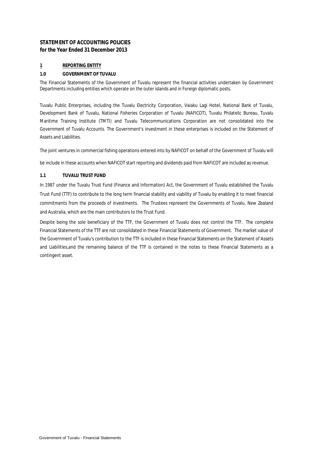# **1 REPORTING ENTITY**

## **1.0 GOVERNMENT OF TUVALU**

The Financial Statements of the Government of Tuvalu represent the financial activities undertaken by Government Departments including entities which operate on the outer islands and in Foreign diplomatic posts.

Tuvalu Public Enterprises, including the Tuvalu Electricity Corporation, Vaiaku Lagi Hotel, National Bank of Tuvalu, Development Bank of Tuvalu, National Fisheries Corporation of Tuvalu (NAFICOT), Tuvalu Philatelic Bureau, Tuvalu Maritime Training Institute (TMTI) and Tuvalu Telecommunications Corporation are not consolidated into the Government of Tuvalu Accounts. The Government's investment in these enterprises is included on the Statement of Assets and Liabilities.

The joint ventures in commercial fishing operations entered into by NAFICOT on behalf of the Government of Tuvalu will

be include in these accounts when NAFICOT start reporting and dividends paid from NAFICOT are included as revenue.

## **1.1 TUVALU TRUST FUND**

In 1987 under the Tuvalu Trust Fund (Finance and Information) Act, the Government of Tuvalu established the Tuvalu Trust Fund (TTF) to contribute to the long term financial stability and viability of Tuvalu by enabling it to meet financial commitments from the proceeds of investments. The Trustees represent the Governments of Tuvalu, New Zealand and Australia, which are the main contributors to the Trust Fund.

Despite being the sole beneficiary of the TTF, the Government of Tuvalu does not control the TTF. The complete Financial Statements of the TTF are not consolidated in these Financial Statements of Government. The market value of the Government of Tuvalu's contribution to the TTF is included in these Financial Statements on the Statement of Assets and Liabilities,and the remaining balance of the TTF is contained in the notes to these Financial Statements as a contingent asset.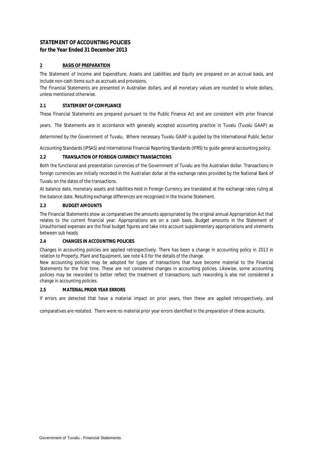# **STATEMENT OF ACCOUNTING POLICIES**

# **for the Year Ended 31 December 2013**

## **2 BASIS OF PREPARATION**

The Statement of Income and Expenditure, Assets and Liabilities and Equity are prepared on an accrual basis, and include non-cash items such as accruals and provisions.

The Financial Statements are presented in Australian dollars, and all monetary values are rounded to whole dollars, unless mentioned otherwise.

# **2.1 STATEMENT OF COMPLIANCE**

These Financial Statements are prepared pursuant to the Public Finance Act and are consistent with prior financial

years. The Statements are in accordance with generally accepted accounting practice in Tuvalu (Tuvalu GAAP) as

determined by the Government of Tuvalu. Where necessary Tuvalu GAAP is guided by the International Public Sector

Accounting Standards (IPSAS) and International Financial Reporting Standards (IFRS) to guide general accounting policy.

## **2.2 TRANSLATION OF FOREIGN CURRENCY TRANSACTIONS**

Both the functional and presentation currencies of the Government of Tuvalu are the Australian dollar. Transactions in foreign currencies are initially recorded in the Australian dollar at the exchange rates provided by the National Bank of Tuvalu on the dates of the transactions.

At balance date, monetary assets and liabilities held in Foreign Currency are translated at the exchange rates ruling at the balance date. Resulting exchange differences are recognised in the Income Statement.

### **2.3 BUDGET AMOUNTS**

The Financial Statements show as comparatives the amounts appropriated by the original annual Appropriation Act that relates to the current financial year. Appropriations are on a cash basis. Budget amounts in the Statement of Unauthorised expenses are the final budget figures and take into account supplementary appropriations and virements between sub heads.

### **2.4 CHANGES IN ACCOUNTING POLICIES**

Changes in accounting policies are applied retrospectively. There has been a change in accounting policy in 2013 in relation to Property, Plant and Equipment, see note 4.0 for the details of the change.

New accounting policies may be adopted for types of transactions that have become material to the Financial Statements for the first time. These are not considered changes in accounting policies. Likewise, some accounting policies may be reworded to better reflect the treatment of transactions; such rewording is also not considered a change in accounting policies.

### **2.5 MATERIAL PRIOR YEAR ERRORS**

If errors are detected that have a material impact on prior years, then these are applied retrospectively, and

comparatives are restated. There were no material prior year errors identified in the preparation of these accounts.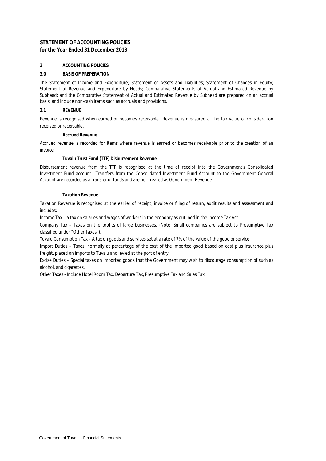# **3 ACCOUNTING POLICIES**

## **3.0 BASIS OF PREPERATION**

The Statement of Income and Expenditure; Statement of Assets and Liabilities; Statement of Changes in Equity; Statement of Revenue and Expenditure by Heads; Comparative Statements of Actual and Estimated Revenue by Subhead; and the Comparative Statement of Actual and Estimated Revenue by Subhead are prepared on an accrual basis, and include non-cash items such as accruals and provisions.

# **3.1 REVENUE**

Revenue is recognised when earned or becomes receivable. Revenue is measured at the fair value of consideration received or receivable.

### **Accrued Revenue**

Accrued revenue is recorded for items where revenue is earned or becomes receivable prior to the creation of an invoice.

## **Tuvalu Trust Fund (TTF) Disbursement Revenue**

Disbursement revenue from the TTF is recognised at the time of receipt into the Government's Consolidated Investment Fund account. Transfers from the Consolidated Investment Fund Account to the Government General Account are recorded as a transfer of funds and are not treated as Government Revenue.

## **Taxation Revenue**

Taxation Revenue is recognised at the earlier of receipt, invoice or filing of return, audit results and assessment and includes:

Income Tax – a tax on salaries and wages of workers in the economy as outlined in the Income Tax Act.

Company Tax – Taxes on the profits of large businesses. (Note: Small companies are subject to Presumptive Tax classified under "Other Taxes").

Tuvalu Consumption Tax – A tax on goods and services set at a rate of 7% of the value of the good or service.

Import Duties – Taxes, normally at percentage of the cost of the imported good based on cost plus insurance plus freight, placed on imports to Tuvalu and levied at the port of entry.

Excise Duties – Special taxes on imported goods that the Government may wish to discourage consumption of such as alcohol, and cigarettes.

Other Taxes - Include Hotel Room Tax, Departure Tax, Presumptive Tax and Sales Tax.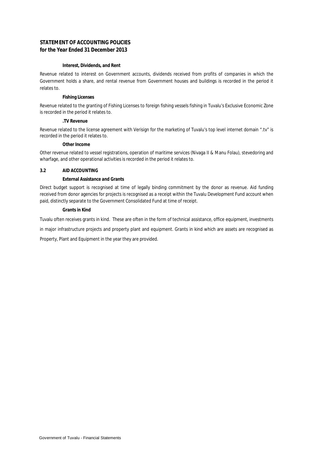### **Interest, Dividends, and Rent**

Revenue related to interest on Government accounts, dividends received from profits of companies in which the Government holds a share, and rental revenue from Government houses and buildings is recorded in the period it relates to.

#### **Fishing Licenses**

Revenue related to the granting of Fishing Licenses to foreign fishing vessels fishing in Tuvalu's Exclusive Economic Zone is recorded in the period it relates to.

#### **.TV Revenue**

Revenue related to the license agreement with Verisign for the marketing of Tuvalu's top level internet domain ".tv" is recorded in the period it relates to.

#### **Other Income**

Other revenue related to vessel registrations, operation of maritime services (Nivaga II & Manu Folau), stevedoring and wharfage, and other operational activities is recorded in the period it relates to.

# **3.2 AID ACCOUNTING**

## **External Assistance and Grants**

Direct budget support is recognised at time of legally binding commitment by the donor as revenue. Aid funding received from donor agencies for projects is recognised as a receipt within the Tuvalu Development Fund account when paid, distinctly separate to the Government Consolidated Fund at time of receipt.

#### **Grants in Kind**

Tuvalu often receives grants in kind. These are often in the form of technical assistance, office equipment, investments

in major infrastructure projects and property plant and equipment. Grants in kind which are assets are recognised as

Property, Plant and Equipment in the year they are provided.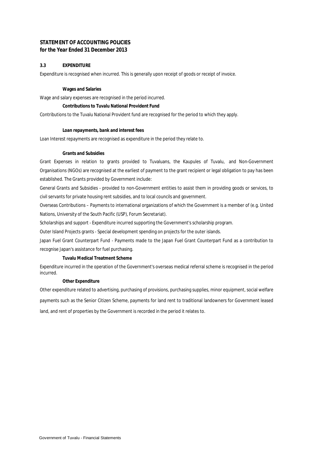## **3.3 EXPENDITURE**

Expenditure is recognised when incurred. This is generally upon receipt of goods or receipt of invoice.

#### **Wages and Salaries**

Wage and salary expenses are recognised in the period incurred.

## **Contributions to Tuvalu National Provident Fund**

Contributions to the Tuvalu National Provident fund are recognised for the period to which they apply.

#### **Loan repayments, bank and interest fees**

Loan Interest repayments are recognised as expenditure in the period they relate to.

# **Grants and Subsidies**

Grant Expenses in relation to grants provided to Tuvaluans, the Kaupules of Tuvalu, and Non-Government Organisations (NGOs) are recognised at the earliest of payment to the grant recipient or legal obligation to pay has been established. The Grants provided by Government include:

General Grants and Subsidies - provided to non-Government entities to assist them in providing goods or services, to civil servants for private housing rent subsidies, and to local councils and government.

Overseas Contributions – Payments to international organizations of which the Government is a member of (e.g. United Nations, University of the South Pacific (USP), Forum Secretariat).

Scholarships and support - Expenditure incurred supporting the Government's scholarship program.

Outer Island Projects grants - Special development spending on projects for the outer islands.

Japan Fuel Grant Counterpart Fund - Payments made to the Japan Fuel Grant Counterpart Fund as a contribution to recognise Japan's assistance for fuel purchasing.

#### **Tuvalu Medical Treatment Scheme**

Expenditure incurred in the operation of the Government's overseas medical referral scheme is recognised in the period incurred.

#### **Other Expenditure**

Other expenditure related to advertising, purchasing of provisions, purchasing supplies, minor equipment, social welfare payments such as the Senior Citizen Scheme, payments for land rent to traditional landowners for Government leased land, and rent of properties by the Government is recorded in the period it relates to.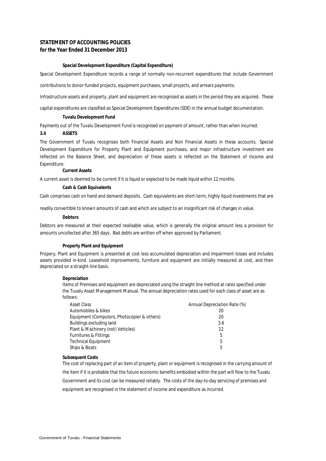## **Special Development Expenditure (Capital Expenditure)**

Special Development Expenditure records a range of normally non-recurrent expenditures that include Government

contributions to donor-funded projects, equipment purchases, small projects, and arrears payments.

Infrastructure assets and property, plant and equipment are recognised as assets in the period they are acquired. These

capital expenditures are classified as Special Development Expenditures (SDE) in the annual budget documentation.

## **Tuvalu Development Fund**

Payments out of the Tuvalu Development Fund is recognised on payment of amount, rather than when incurred.

#### **3.4 ASSETS**

The Government of Tuvalu recognises both Financial Assets and Non Financial Assets in these accounts. Special Development Expenditure for Property Plant and Equipment purchases, and major infrastructure investment are reflected on the Balance Sheet, and depreciation of these assets is reflected on the Statement of Income and Expenditure.

#### **Current Assets**

A current asset is deemed to be current if it is liquid or expected to be made liquid within 12 months.

#### **Cash & Cash Equivalents**

Cash comprises cash on hand and demand deposits. Cash equivalents are short-term, highly liquid investments that are

readily convertible to known amounts of cash and which are subject to an insignificant risk of changes in value.

#### **Debtors**

Debtors are measured at their expected realisable value, which is generally the original amount less a provision for amounts uncollected after 365 days. Bad debts are written off when approved by Parliament.

### **Property Plant and Equipment**

Propery, Plant and Equipment is presented at cost less accumulated depreciation and impairment losses and includes assets provided in-kind. Leasehold improvements, furniture and equipment are initially measured at cost, and then depreciated on a straight-line basis.

### **Depreciation**

Items of Premises and equipment are depreciated using the straight line method at rates specified under the Tuvalu Asset Management Manual. The annual depreciation rates used for each class of asset are as follows:

| Asset Class                                 | Annual Depreciation Rate (%) |
|---------------------------------------------|------------------------------|
| Automobiles & bikes                         | 20                           |
| Equipment (Computers, Photocopier & others) | 20                           |
| Buildings excluding land                    | 3.6                          |
| Plant & Machinery (not) Vehicles)           | 12                           |
| Furnitures & Fittings                       | 5                            |
| <b>Technical Equipment</b>                  | 5                            |
| Ships & Boats                               | 5                            |

#### **Subsequent Costs**

The cost of replacing part of an item of property, plant or equipment is recognised in the carrying amount of the item if it is probable that the future economic benefits embodied within the part will flow to the Tuvalu Government and its cost can be measured reliably. The costs of the day-to-day servicing of premises and equipment are recognised in the statement of income and expenditure as incurred.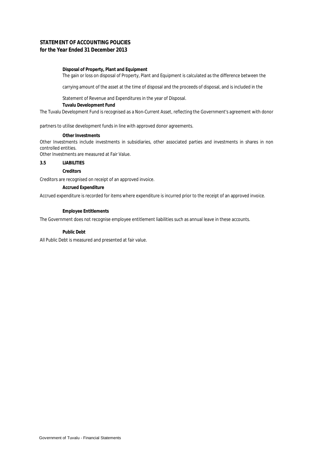# **STATEMENT OF ACCOUNTING POLICIES**

# **for the Year Ended 31 December 2013**

### **Disposal of Property, Plant and Equipment**

The gain or loss on disposal of Property, Plant and Equipment is calculated as the difference between the

carrying amount of the asset at the time of disposal and the proceeds of disposal, and is included in the

Statement of Revenue and Expenditures in the year of Disposal.

# **Tuvalu Development Fund**

The Tuvalu Development Fund is recognised as a Non-Current Asset, reflecting the Government's agreement with donor

partners to utilise development funds in line with approved donor agreements.

### **Other Investments**

Other Investments include investments in subsidiaries, other associated parties and investments in shares in non controlled entities.

Other Investments are measured at Fair Value.

# **3.5 LIABILITIES**

## **Creditors**

Creditors are recognised on receipt of an approved invoice.

#### **Accrued Expenditure**

Accrued expenditure is recorded for items where expenditure is incurred prior to the receipt of an approved invoice.

## **Employee Entitlements**

The Government does not recognise employee entitlement liabilities such as annual leave in these accounts.

### **Public Debt**

All Public Debt is measured and presented at fair value.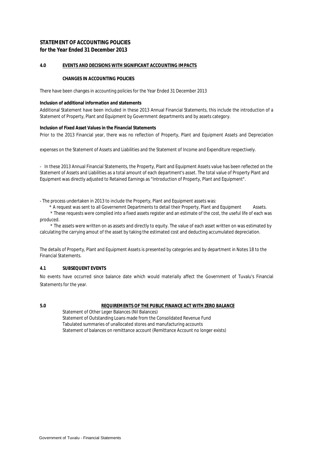# **STATEMENT OF ACCOUNTING POLICIES**

**for the Year Ended 31 December 2013**

## **4.0 EVENTS AND DECISIONS WITH SIGNIFICANT ACCOUNTING IMPACTS**

### **CHANGES IN ACCOUNTING POLICIES**

There have been changes in accounting policies for the Year Ended 31 December 2013

#### **Inclusion of additional information and statements**

Additional Statement have been included in these 2013 Annual Financial Statements, this include the introduction of a Statement of Property, Plant and Equipment by Government departments and by assets category.

### **Inclusion of Fixed Asset Values in the Financial Statements**

Prior to the 2013 Financial year, there was no reflection of Property, Plant and Equipment Assets and Depreciation

expenses on the Statement of Assets and Liabilities and the Statement of Income and Expenditure respectively.

- In these 2013 Annual Financial Statements, the Property, Plant and Equipment Assets value has been reflected on the Statement of Assets and Liabilities as a total amount of each department's asset. The total value of Property Plant and Equipment was directly adjusted to Retained Earnings as "Introduction of Property, Plant and Equipment".

- The process undertaken in 2013 to include the Property, Plant and Equipment assets was:

\* A request was sent to all Governemnt Departments to detail their Property, Plant and Equipment Assets.

 \* These requests were complied into a fixed assets register and an estimate of the cost, the useful life of each was produced.

 \* The assets were written on as assets and directly to equity. The value of each asset written on was estimated by calculating the carrying amout of the asset by taking the estimated cost and deducting accumulated depreciation.

The details of Property, Plant and Equipment Assets is presented by categories and by department in Notes 18 to the Financial Statements.

# **4.1 SUBSEQUENT EVENTS**

No events have occurred since balance date which would materially affect the Government of Tuvalu's Financial Statements for the year.

**5.0**

## **REQUIREMENTS OF THE PUBLIC FINANCE ACT WITH ZERO BALANCE**

Statement of Other Leger Balances (Nil Balances) Statement of Outstanding Loans made from the Consolidated Revenue Fund Tabulated summaries of unallocated stores and manufacturing accounts Statement of balances on remittance account (Remittance Account no longer exists)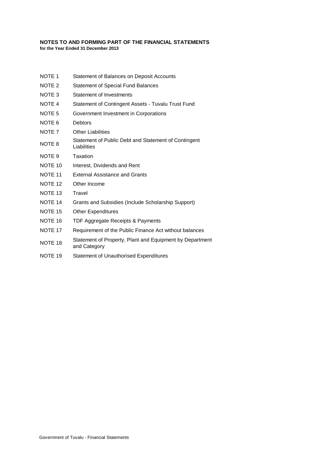# **NOTES TO AND FORMING PART OF THE FINANCIAL STATEMENTS**

**for the Year Ended 31 December 2013**

| NOTE <sub>1</sub>  | Statement of Balances on Deposit Accounts                                |
|--------------------|--------------------------------------------------------------------------|
| NOTE <sub>2</sub>  | <b>Statement of Special Fund Balances</b>                                |
| NOTE <sub>3</sub>  | Statement of Investments                                                 |
| NOTE <sub>4</sub>  | Statement of Contingent Assets - Tuvalu Trust Fund                       |
| NOTE <sub>5</sub>  | Government Investment in Corporations                                    |
| NOTE <sub>6</sub>  | Debtors                                                                  |
| NOTE <sub>7</sub>  | <b>Other Liabilities</b>                                                 |
| NOTE <sub>8</sub>  | Statement of Public Debt and Statement of Contingent<br>Liabilities      |
| NOTE <sub>9</sub>  | Taxation                                                                 |
| NOTE <sub>10</sub> | Interest, Dividends and Rent                                             |
| NOTE <sub>11</sub> | <b>External Assistance and Grants</b>                                    |
| NOTE <sub>12</sub> | Other Income                                                             |
| NOTE <sub>13</sub> | Travel                                                                   |
| NOTE <sub>14</sub> | Grants and Subsidies (Include Scholarship Support)                       |
| NOTE <sub>15</sub> | <b>Other Expenditures</b>                                                |
| NOTE 16            | TDF Aggregate Receipts & Payments                                        |
| NOTE 17            | Requirement of the Public Finance Act without balances                   |
| NOTE <sub>18</sub> | Statement of Property, Plant and Equipment by Department<br>and Category |
| NOTE 19            | <b>Statement of Unauthorised Expenditures</b>                            |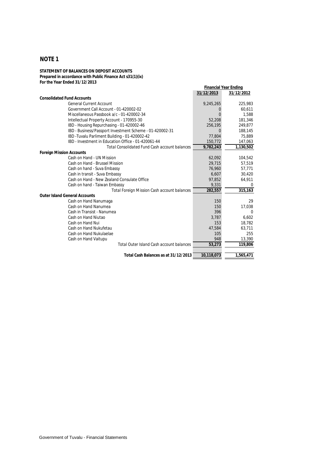#### **STATEMENT OF BALANCES ON DEPOSIT ACCOUNTS Prepared in accordance with Public Finance Act s31(1)(ix) For the Year Ended 31/12/2013**

|                                                          | <b>Financial Year Ending</b> |            |  |
|----------------------------------------------------------|------------------------------|------------|--|
|                                                          | 31/12/2013                   | 31/12/2012 |  |
| <b>Consolidated Fund Accounts</b>                        |                              |            |  |
| <b>General Current Account</b>                           | 9,245,265                    | 225,983    |  |
| Government Call Account - 01-420002-02                   | 0                            | 60,611     |  |
| Miscellaneous Passbook a/c - 01-420002-34                | $\Omega$                     | 1,588      |  |
| Intellectual Property Account - 170955-30                | 52,208                       | 181,346    |  |
| IBD - Housing Repurchasing - 01-420002-46                | 256,195                      | 249,877    |  |
| IBD - Business/Passport Investment Scheme - 01-420002-31 | $\Omega$                     | 188,145    |  |
| IBD - Tuvalu Parliment Building - 01-420002-42           | 77,804                       | 75,889     |  |
| IBD - Investment in Education Office - 01-420061-44      | 150,772                      | 147,063    |  |
| <b>Total Consolidated Fund Cash account balances</b>     | 9,782,243                    | 1,130,502  |  |
| <b>Foreign Mission Accounts</b>                          |                              |            |  |
| Cash on Hand - UN Mission                                | 62,092                       | 104,542    |  |
| Cash on Hand - Brussel Mission                           | 29,715                       | 57,519     |  |
| Cash on hand - Suva Embassy                              | 76,960                       | 57,771     |  |
| Cash in transit - Suva Embassy                           | 6,607                        | 30.420     |  |
| Cash on Hand - New Zealand Consulate Office              | 97,852                       | 64,911     |  |
| Cash on hand - Taiwan Embassy                            | 9.331                        | 0          |  |
| <b>Total Foreign Mission Cash account balances</b>       | 282,557                      | 315,163    |  |
| <b>Outer Island General Accounts</b>                     |                              |            |  |
| Cash on Hand Nanumaga                                    | 150                          | 29         |  |
| Cash on Hand Nanumea                                     | 150                          | 17,038     |  |
| Cash in Transist - Nanumea                               | 396                          | $\Omega$   |  |
| Cash on Hand Niutao                                      | 3,787                        | 6,602      |  |
| Cash on Hand Nui                                         | 153                          | 18,782     |  |
| Cash on Hand Nukufetau                                   | 47,584                       | 63,711     |  |
| Cash on Hand Nukulaelae                                  | 105                          | 255        |  |
| Cash on Hand Vaitupu                                     | 948                          | 13,390     |  |
| Total Outer Island Cash account balances                 | 53,273                       | 119,806    |  |
|                                                          |                              |            |  |
| Total Cash Balances as at 31/12/2013                     | 10,118,073                   | 1,565,471  |  |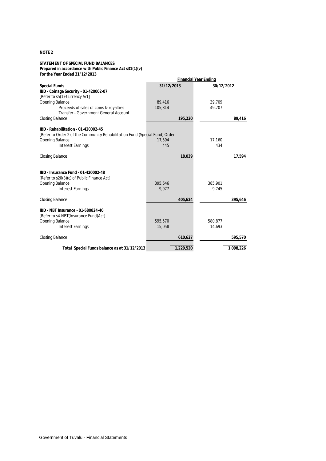#### **STATEMENT OF SPECIAL FUND BALANCES Prepared in accordance with Public Finance Act s31(1)(v) For the Year Ended 31/12/2013**

|                                                                             | <b>Financial Year Ending</b> |            |           |  |  |
|-----------------------------------------------------------------------------|------------------------------|------------|-----------|--|--|
| <b>Special Funds</b>                                                        | 31/12/2013                   | 30/12/2012 |           |  |  |
| IBD - Coinage Security - 01-420002-07                                       |                              |            |           |  |  |
| [Refer to s5(1)-Currency Act]                                               |                              |            |           |  |  |
| Opening Balance                                                             | 89,416                       | 39,709     |           |  |  |
| Proceeds of sales of coins & royalties                                      | 105,814                      | 49,707     |           |  |  |
| Transfer - Government General Account                                       |                              |            |           |  |  |
| <b>Closing Balance</b>                                                      | 195,230                      |            | 89,416    |  |  |
|                                                                             |                              |            |           |  |  |
| IBD - Rehabilitation - 01-420002-45                                         |                              |            |           |  |  |
| [Refer to Order 2 of the Community Rehabilitation Fund (Special Fund) Order |                              |            |           |  |  |
| Opening Balance                                                             | 17,594                       | 17,160     |           |  |  |
| <b>Interest Earnings</b>                                                    | 445                          | 434        |           |  |  |
| <b>Closing Balance</b>                                                      | 18,039                       |            | 17,594    |  |  |
|                                                                             |                              |            |           |  |  |
|                                                                             |                              |            |           |  |  |
| IBD - Insurance Fund - 01-420002-48                                         |                              |            |           |  |  |
| [Refer to s20(3)(c) of Public Finance Act]                                  |                              |            |           |  |  |
| Opening Balance                                                             | 395,646                      | 385,901    |           |  |  |
| <b>Interest Earnings</b>                                                    | 9,977                        | 9,745      |           |  |  |
|                                                                             |                              |            |           |  |  |
| <b>Closing Balance</b>                                                      | 405,624                      |            | 395,646   |  |  |
|                                                                             |                              |            |           |  |  |
| IBD - NBT Insurance - 01-680824-40                                          |                              |            |           |  |  |
| [Refer to s4-NBT(Insurance Fund)Act]                                        |                              |            |           |  |  |
| Opening Balance                                                             | 595,570                      | 580.877    |           |  |  |
| <b>Interest Earnings</b>                                                    | 15,058                       | 14,693     |           |  |  |
| <b>Closing Balance</b>                                                      | 610,627                      |            | 595,570   |  |  |
|                                                                             |                              |            |           |  |  |
| Total Special Funds balance as at 31/12/2013                                | 1,229,520                    |            | 1,098,226 |  |  |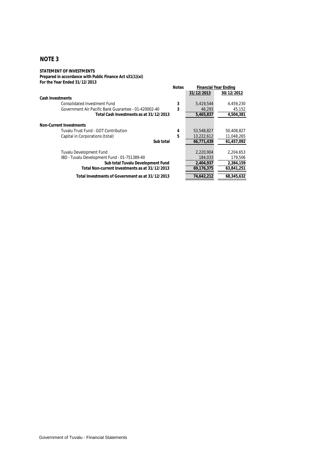**STATEMENT OF INVESTMENTS**

**Prepared in accordance with Public Finance Act s31(1)(xi) For the Year Ended 31/12/2013**

|                                                      | <b>Notes</b> |            | <b>Financial Year Ending</b> |
|------------------------------------------------------|--------------|------------|------------------------------|
|                                                      |              | 31/12/2013 | 30/12/2012                   |
| Cash Investments                                     |              |            |                              |
| Consolidated Investment Fund                         | 3            | 5,419,544  | 4,459,230                    |
| Government Air Pacific Bank Guarantee - 01-420002-40 | 3            | 46,293     | 45,152                       |
| Total Cash Investments as at 31/12/2013              |              | 5,465,837  | 4,504,381                    |
|                                                      |              |            |                              |
| <b>Non-Current Investments</b>                       |              |            |                              |
| Tuvalu Trust Fund - GOT Contribution                 | 4            | 53,548,827 | 50,408,827                   |
| Capital in Corporations (total)                      | 5            | 13,222,612 | 11,048,265                   |
| Sub total                                            |              | 66,771,439 | 61,457,092                   |
|                                                      |              |            |                              |
| <b>Tuvalu Development Fund</b>                       |              | 2.220.904  | 2.204.653                    |
| IBD - Tuvalu Development Fund - 01-751389-40         |              | 184,033    | 179,506                      |
| Sub total Tuvalu Development Fund                    |              | 2,404,937  | 2,384,159                    |
| Total Non-current Investments as at 31/12/2013       |              | 69,176,375 | 63,841,251                   |
| Total Investments of Government as at 31/12/2013     |              | 74.642.212 | 68.345.632                   |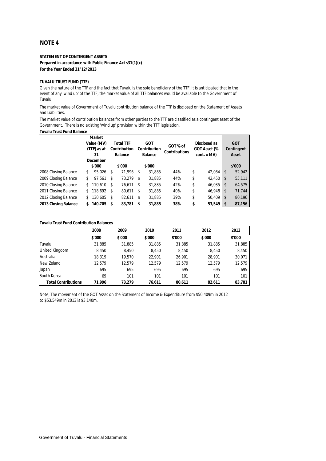**STATEMENT OF CONTINGENT ASSETS Prepared in accordance with Public Finance Act s31(1)(x) For the Year Ended 31/12/2013**

## **TUVALU TRUST FUND (TTF)**

Given the nature of the TTF and the fact that Tuvalu is the sole beneficiary of the TTF, it is anticipated that in the event of any 'wind up' of the TTF, the market value of all TTF balances would be available to the Government of Tuvalu.

The market value of Government of Tuvalu contribution balance of the TTF is disclosed on the Statement of Assets and Liabilities.

The market value of contribution balances from other parties to the TTF are classified as a contingent asset of the Government. There is no existing 'wind up' provision within the TTF legislation.

## **Tuvalu Trust Fund Balance**

|                      | Market<br>Value (MV)<br>(TTF) as at<br>31<br>December<br>\$'000 |         | <b>GOT</b><br><b>Total TTF</b><br>Contribution<br><b>Contribution</b><br><b>Balance</b><br><b>Balance</b><br>\$'000<br>\$'000 |        | GOT % of<br><b>Contributions</b> | Disclosed as<br>GOT Asset (%<br>cont. x MV) |     | <b>GOT</b><br>Contingent<br>Asset<br>\$'000 |        |    |        |
|----------------------|-----------------------------------------------------------------|---------|-------------------------------------------------------------------------------------------------------------------------------|--------|----------------------------------|---------------------------------------------|-----|---------------------------------------------|--------|----|--------|
| 2008 Closing Balance | \$                                                              | 95.026  | -\$                                                                                                                           | 71,996 | \$                               | 31,885                                      | 44% | \$                                          | 42.084 | \$ | 52,942 |
| 2009 Closing Balance | \$                                                              | 97.561  | S                                                                                                                             | 73.279 | S                                | 31,885                                      | 44% | \$                                          | 42.450 | \$ | 55,111 |
| 2010 Closing Balance | \$                                                              | 110,610 | \$.                                                                                                                           | 76,611 | \$                               | 31,885                                      | 42% | \$                                          | 46,035 | \$ | 64,575 |
| 2011 Closing Balance | \$                                                              | 118.692 | -\$                                                                                                                           | 80,611 | \$                               | 31,885                                      | 40% | \$                                          | 46,948 | \$ | 71,744 |
| 2012 Closing Balance | \$                                                              | 130,605 | \$.                                                                                                                           | 82,611 | \$                               | 31,885                                      | 39% | \$                                          | 50.409 | \$ | 80,196 |
| 2013 Closing Balance |                                                                 | 140.705 | S                                                                                                                             | 83,781 | S                                | 31,885                                      | 38% | \$                                          | 53,549 | \$ | 87,156 |

#### **Tuvalu Trust Fund Contribution Balances**

|                            | 2008   | 2009   | 2010   | 2011   | 2012   | 2013   |
|----------------------------|--------|--------|--------|--------|--------|--------|
|                            | \$'000 | \$'000 | \$'000 | \$'000 | \$'000 | \$'000 |
| Tuvalu                     | 31,885 | 31,885 | 31,885 | 31,885 | 31,885 | 31,885 |
| <b>United Kingdom</b>      | 8,450  | 8,450  | 8,450  | 8,450  | 8,450  | 8,450  |
| Australia                  | 18,319 | 19,570 | 22,901 | 26,901 | 28,901 | 30,071 |
| New Zeland                 | 12,579 | 12,579 | 12,579 | 12,579 | 12,579 | 12,579 |
| Japan                      | 695    | 695    | 695    | 695    | 695    | 695    |
| South Korea                | 69     | 101    | 101    | 101    | 101    | 101    |
| <b>Total Contributions</b> | 71.996 | 73.279 | 76,611 | 80,611 | 82,611 | 83,781 |

Note; The movement of the GOT Asset on the Statement of Income & Expenditure from \$50.409m in 2012 to \$53.549m in 2013 is \$3.140m.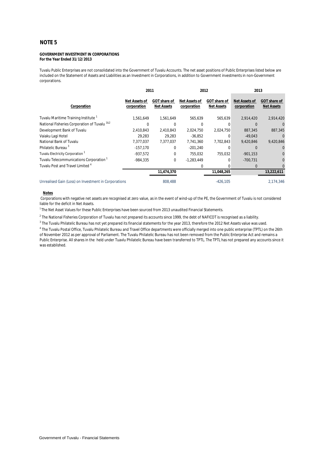#### **GOVERNMENT INVESTMENT IN CORPORATIONS For the Year Ended 31/12/2013**

Tuvalu Public Enterprises are not consolidated into the Government of Tuvalu Accounts. The net asset positions of Public Enterprises listed below are included on the Statement of Assets and Liabilities as an Investment in Corporations, in addition to Government investments in non-Government corporations.

|                                                             | 2011                                |                                          | 2012                                |                                   | 2013                                |                                          |  |
|-------------------------------------------------------------|-------------------------------------|------------------------------------------|-------------------------------------|-----------------------------------|-------------------------------------|------------------------------------------|--|
| Corporation                                                 | <b>Net Assets of</b><br>corporation | <b>GOT share of</b><br><b>Net Assets</b> | <b>Net Assets of</b><br>corporation | GOT share of<br><b>Net Assets</b> | <b>Net Assets of</b><br>corporation | <b>GOT share of</b><br><b>Net Assets</b> |  |
| Tuvalu Maritime Training Institute 1                        | 1,561,649                           | 1,561,649                                | 565,639                             | 565,639                           | 2,914,420                           | 2,914,420                                |  |
| National Fisheries Corporation of Tuvalu <sup>1&amp;2</sup> | $\Omega$                            |                                          | 0                                   |                                   | $\Omega$                            |                                          |  |
| Development Bank of Tuvalu                                  | 2,410,843                           | 2.410.843                                | 2,024,750                           | 2.024.750                         | 887.345                             | 887,345                                  |  |
| Vaiaku Lagi Hotel                                           | 29.283                              | 29.283                                   | $-36,852$                           | O                                 | $-49.043$                           |                                          |  |
| National Bank of Tuvalu                                     | 7,377,037                           | 7,377,037                                | 7,741,360                           | 7,702,843                         | 9,420,846                           | 9,420,846                                |  |
| Philatelic Bureau <sup>3</sup>                              | $-157,170$                          | 0                                        | $-201,240$                          | 0                                 | $\Omega$                            | $\Omega$                                 |  |
| Tuvalu Electricity Corporation '                            | $-937,572$                          | 0                                        | 755,032                             | 755,032                           | $-901,153$                          |                                          |  |
| Tuvalu Telecommunications Corporation '                     | $-984.335$                          | $\Omega$                                 | $-1.283.449$                        | $\Omega$                          | $-700.731$                          |                                          |  |
| Tuvalu Post and Travel Limited <sup>4</sup>                 |                                     |                                          | 0                                   | 0                                 | $\Omega$                            | 0                                        |  |
|                                                             |                                     | 11,474,370                               |                                     | 11,048,265                        |                                     | 13,222,611                               |  |
| Unrealised Gain (Loss) on Investment in Corporations        |                                     | 808,488                                  |                                     | $-426,105$                        |                                     | 2,174,346                                |  |

#### **Notes**

 Corporations with negative net assets are recognised at zero value, as in the event of wind-up of the PE, the Government of Tuvalu is not considered liable for the deficit in Net Assets.

<sup>1</sup> The Net Asset Values for these Public Enterprises have been sourced from 2013 unaudited Financial Statements.

 $^2$  The National Fisheries Corporation of Tuvalu has not prepared its accounts since 1999, the debt of NAFICOT is recognised as a liability.

<sup>3</sup> The Tuvalu Philatelic Bureau has not yet prepared its financial statements for the year 2013, therefore the 2012 Net Assets value was used.

4 The Tuvalu Postal Office, Tuvalu Philatelic Bureau and Travel Office departments were officially merged into one public enterprise (TPTL) on the 26th of November 2012 as per approval of Parliament. The Tuvalu Philatelic Bureau has not been removed from the Public Enterprise Act and remains a Public Enterprise. All shares in the held under Tuavlu Philatelic Bureau have been transferred to TPTL. The TPTL has not prepared any accounts since it was established.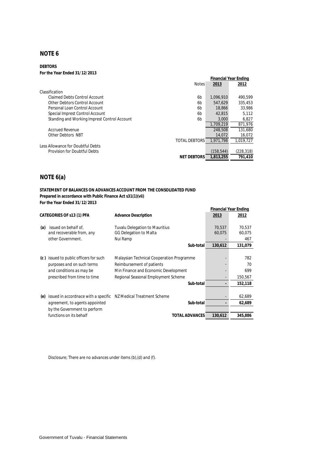### **DEBTORS**

### **For the Year Ended 31/12/2013**

|                                              |                      |           | <b>Financial Year Ending</b> |
|----------------------------------------------|----------------------|-----------|------------------------------|
|                                              | <b>Notes</b>         | 2013      | 2012                         |
| Classification                               |                      |           |                              |
|                                              |                      |           |                              |
| Claimed Debts Control Account                | 6 <sub>b</sub>       | 1.096.910 | 490.599                      |
| Other Debtors Control Account                | 6b                   | 547.629   | 335,453                      |
| Personal Loan Control Account                | 6b                   | 18,866    | 33.986                       |
| Special Imprest Control Account              | 6b                   | 42.815    | 5.112                        |
| Standing and Working Imprest Control Account | 6b                   | 3,000     | 6,827                        |
|                                              |                      | 1.709.219 | 871.976                      |
| <b>Accrued Revenue</b>                       |                      | 248,508   | 131.680                      |
| Other Debtors NBT                            |                      | 14.072    | 16,072                       |
|                                              | <b>TOTAL DEBTORS</b> | 1,971,798 | 1,019,727                    |
| Less Allowance for Doubtful Debts            |                      |           |                              |
| Provision for Doubtful Debts                 |                      | (158.544) | (228, 318)                   |
|                                              | <b>NET DEBTORS</b>   | 1.813.255 | 791.410                      |

### **NOTE 6(a)**

### **STATEMENT OF BALANCES ON ADVANCES ACCOUNT FROM THE CONSOLIDATED FUND Prepared in accordance with Public Finance Act s31(1)(vii) For the Year Ended 31/12/2013**

|     |                                                                                                                                                                      |                                                                                                                                                                    |                  | <b>Financial Year Ending</b>           |
|-----|----------------------------------------------------------------------------------------------------------------------------------------------------------------------|--------------------------------------------------------------------------------------------------------------------------------------------------------------------|------------------|----------------------------------------|
|     | <b>CATEGORIES OF s13 (1) PFA</b>                                                                                                                                     | <b>Advance Description</b>                                                                                                                                         | 2013             | 2012                                   |
| (a) | issued on behalf of.<br>and recoverable from, any<br>other Government.                                                                                               | <b>Tuvalu Delegation to Mauritius</b><br>GG Delegation to Malta<br>Nui Ramp                                                                                        | 70,537<br>60,075 | 70.537<br>60,075<br>467                |
|     |                                                                                                                                                                      | Sub-total                                                                                                                                                          | 130,612          | 131,079                                |
| (c) | issued to public officers for such<br>purposes and on such terms<br>and conditions as may be<br>prescribed from time to time                                         | Malaysian Technical Cooperation Programme<br>Reimbursement of patients<br>Min Finance and Economic Development<br>Regional Seasonal Employment Scheme<br>Sub-total |                  | 782<br>70<br>699<br>150,567<br>152,118 |
| (e) | <i>issued in accordnace with a specific</i> NZ Medical Treatment Scheme<br>agreement, to agents appointed<br>by the Government to perform<br>functions on its behalf | Sub-total<br>TOTAL ADVANCES                                                                                                                                        | 130.612          | 62,689<br>62,689<br>345,886            |
|     |                                                                                                                                                                      |                                                                                                                                                                    |                  |                                        |

*Disclosure; There are no advances under items (b),(d) and (f).*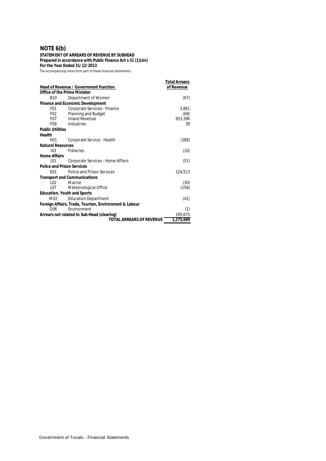### **NOTE 6(b)**

**Prepared in accordance with Public Finance Act s 31 (1)(xiv) For the Year Ended 31/12/2013 STATEMENT OF ARREARS OF REVENUE BY SUBHEAD**

*The accompanying notes form part of these financial statements.*

|                                     | <b>Head of Revenue / Government Function</b>          | <b>Total Arrears</b><br>of Revenue |
|-------------------------------------|-------------------------------------------------------|------------------------------------|
| <b>Office of the Prime Minister</b> |                                                       |                                    |
| B10                                 | Department of Women                                   | (67)                               |
|                                     | <b>Finance and Economic Development</b>               |                                    |
| F01                                 | Corporate Services - Finance                          | 2,861                              |
| F02                                 | Planning and Budget                                   | (69)                               |
| F07                                 | <b>Inland Revenue</b>                                 | 953,396                            |
| F09                                 | Industries                                            | 39                                 |
| <b>Public Utilities</b>             |                                                       |                                    |
| Health                              |                                                       |                                    |
| H <sub>01</sub>                     | Corporate Service - Health                            | (389)                              |
| <b>Natural Resources</b>            |                                                       |                                    |
| 10.3                                | <b>Fisheries</b>                                      | (10)                               |
| <b>Home Affairs</b>                 |                                                       |                                    |
| J01                                 | Corporate Services - Home Affairs                     | (51)                               |
| <b>Police and Prison Services</b>   |                                                       |                                    |
| K <sub>01</sub>                     | Police and Prison Services                            | 124,513                            |
|                                     | <b>Transport and Communications</b>                   |                                    |
| 102                                 | Marine                                                | (30)                               |
| LO7                                 | Meteorological Office                                 | (156)                              |
| <b>Education, Youth and Sports</b>  |                                                       |                                    |
| M02                                 | <b>Education Department</b>                           | (41)                               |
|                                     | Foreign Affairs, Trade, Tourism, Environment & Labour |                                    |
| O <sub>06</sub>                     | Environment                                           | (1)                                |
|                                     | Arrears not related to Sub-Head (clearing)            | 195.675                            |
|                                     | <b>TOTAL ARREARS OF REVENUE</b>                       | 1,275,669                          |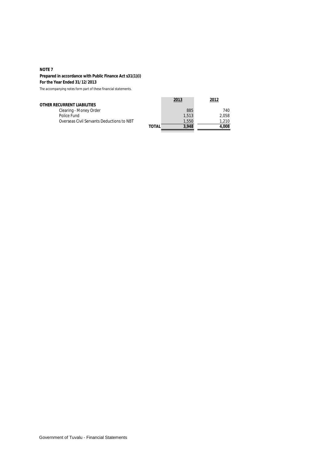### **NOTE 7 Prepared in accordance with Public Finance Act s31(1)(i) For the Year Ended 31/12/2013**

*The accompanying notes form part of these financial statements.*

|                                           | 2013                  | 2012  |
|-------------------------------------------|-----------------------|-------|
| OTHER RECURRENT LIABILITIES               |                       |       |
| Clearing - Money Order                    | 885                   | 740   |
| Police Fund                               | 1.513                 | 2,058 |
| Overseas Civil Servants Deductions to NBT | 1,550                 | 1.210 |
|                                           | 3.948<br><b>TOTAL</b> | 4.008 |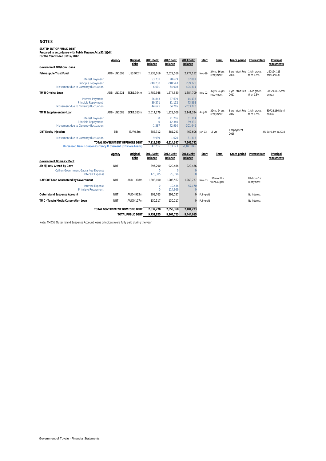**STATEMENT OF PUBLIC DEBT Prepared in accordance with Public Finance Act s31(1)(xiii) For the Year Ended 31/12/2012**

|                                                                     | Agency                                | Original<br>debt         | <b>2011 Debt</b><br><b>Balance</b> | <b>2012 Debt</b><br><b>Balance</b> | <b>2013 Debt</b><br><b>Balance</b> | Start      | Term                       | Grace period                           | <b>Interest Rate</b>     | Principal<br>repayments   |
|---------------------------------------------------------------------|---------------------------------------|--------------------------|------------------------------------|------------------------------------|------------------------------------|------------|----------------------------|----------------------------------------|--------------------------|---------------------------|
| <b>Government Offshore Loans</b>                                    |                                       |                          |                                    |                                    |                                    |            |                            |                                        |                          |                           |
| <b>Falekaupule Trust Fund</b>                                       | ADB - LN1693                          | US3.972m                 | 2.933.016                          | 2,629,566                          | 2,774,152 Nov-99                   |            | 24yrs, 16 yrs<br>repayment | 8 yrs - start Feb 1% in grace,<br>2008 | then 1.5%                | USD124.115<br>semi annual |
| <b>Interest Payment</b>                                             |                                       |                          | 53.731                             | 28,679                             | 32,087                             |            |                            |                                        |                          |                           |
| <b>Principle Repayment</b>                                          |                                       |                          | 248,230                            | 248.543                            | 259,728                            |            |                            |                                        |                          |                           |
| Movement due to Currency fluctuation                                |                                       |                          | $-6,001$                           | 54,908                             | $-404,314$                         |            |                            |                                        |                          |                           |
| <b>TMTI Original Loan</b>                                           | ADB - LN1921                          | SDR1.394m                | 1,789,948                          | 1,674,530                          | 1,884,709                          | Nov-02     | 32yrs, 24 yrs<br>repayment | 8 yrs - start Feb 1% in grace,<br>2011 | then 1.5%                | SDR29,041 Semi<br>annual  |
| <b>Interest Payment</b>                                             |                                       |                          | 26.843                             | 27.699                             | 14.435                             |            |                            |                                        |                          |                           |
| <b>Principle Repayment</b>                                          |                                       |                          | 39,271                             | 81,152                             | 73,592                             |            |                            |                                        |                          |                           |
| Movement due to Currency fluctuation                                |                                       |                          | 44,625                             | 34,265                             | $-283,770$                         |            |                            |                                        |                          |                           |
| <b>TMTI Supplementary Loan</b>                                      | ADB - LN2088                          | SDR1.353m                | 2,014,279                          | 1,929,009                          | 2,141,324                          | Aug-04     | 32yrs, 24 yrs<br>repayment | 8 yrs - start Feb 1% in grace,<br>2012 | then 1.5%                | SDR28,186 Semi<br>annual  |
| <b>Interest Payment</b>                                             |                                       |                          | 0                                  | 21.216                             | 31,314                             |            |                            |                                        |                          |                           |
| <b>Principle Repayment</b>                                          |                                       |                          | 0                                  | 42,340                             | 89.330                             |            |                            |                                        |                          |                           |
| Movement due to Currency fluctuation                                |                                       |                          | $-1,387$                           | 42,930                             | $-301,646$                         |            |                            |                                        |                          |                           |
| <b>DBT Equity Injection</b>                                         | EIB                                   | EUR0.3m                  | 382,312                            | 381,291                            | 462,606                            | $Jan-03$   | 15 yrs                     | 1 repayment<br>2018                    |                          | 2% Eur0.3m in 2018        |
| Movement due to Currency fluctuation                                |                                       |                          | 9.999                              | 1,020                              | $-81,315$                          |            |                            |                                        |                          |                           |
|                                                                     | <b>TOTAL GOVERNMENT OFFSHORE DEBT</b> |                          | 7,119,555                          | 6,614,397                          | 7,262,792                          |            |                            |                                        |                          |                           |
| <b>Unrealised Gain (Loss) on Currency Movement (Offshore Loans)</b> |                                       |                          | 47,235                             | 133,123                            | $-1,071,045$                       |            |                            |                                        |                          |                           |
|                                                                     | Agency                                | Original                 | <b>2011 Debt</b>                   | <b>2012 Debt</b>                   | <b>2013 Debt</b>                   | Start      | Term                       | <b>Grace period</b>                    | <b>Interest Rate</b>     | Principal                 |
|                                                                     |                                       | debt                     | <b>Balance</b>                     | Balance                            | <b>Balance</b>                     |            |                            |                                        |                          | repayments                |
| <b>Government Domestic Debt</b>                                     |                                       |                          |                                    |                                    |                                    |            |                            |                                        |                          |                           |
| Air Fiji O/D G'teed by Govt                                         | <b>NBT</b>                            |                          | 895,290                            | 920,486                            | 920,486                            |            |                            |                                        |                          |                           |
| Call on Government Gaurantee Expense                                |                                       |                          | $\Omega$                           | $\Omega$                           | $\overline{0}$                     |            |                            |                                        |                          |                           |
| <b>Interest Expense</b>                                             |                                       |                          | 120,305                            | 25,196                             | $\Omega$                           |            |                            |                                        |                          |                           |
| <b>NAFICOT Loan Gauranteed by Government</b>                        | <b>NBT</b>                            | AUD1.308m                | 1.308.100                          | 1,203,567                          | 1,260,737                          | Nov-03     | 129 months<br>from Aug 07  |                                        | 8% from 1st<br>repayment |                           |
| <b>Interest Expense</b>                                             |                                       |                          | $\mathbf{0}$                       | 10.436                             | 57.170                             |            |                            |                                        |                          |                           |
| <b>Principle Repayment</b>                                          |                                       |                          | $\mathbf{0}$                       | 114,969                            | $\Omega$                           |            |                            |                                        |                          |                           |
| <b>Outer Island Suspense Account</b>                                | <b>NBT</b>                            | AUD4.923m                | 298.763                            | 299.187                            | $\mathbf{0}$                       | Fully paid |                            |                                        | No interest              |                           |
| TMC - Tuvalu Media Corporation Loan                                 | <b>NBT</b>                            | AUD0.127m                | 130.117                            | 130,117                            | $\mathbf{0}$                       | Fully paid |                            |                                        | No interest              |                           |
|                                                                     | TOTAL GOVERNMENT DOMESTIC DEBT        |                          | 2,632,270                          | 2,553,358                          | 2.181.223                          |            |                            |                                        |                          |                           |
|                                                                     |                                       | <b>TOTAL PUBLIC DEBT</b> | 9,751,825                          | 9,167,755                          | 9.444.015                          |            |                            |                                        |                          |                           |
|                                                                     |                                       |                          |                                    |                                    |                                    |            |                            |                                        |                          |                           |

Note; TMC & Outer Island Suspense Account loans principals were fully paid during the year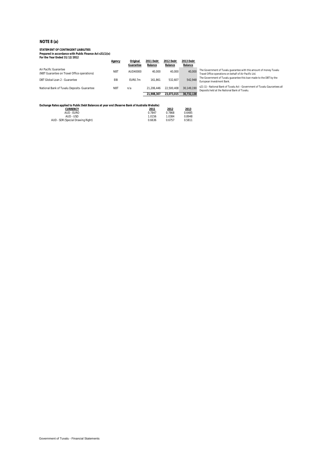### **NOTE 8 (a)**

## **STATEMENT OF CONTINGENT LIABILITIES Prepared in accordance with Public Finance Act s31(1)(x) For the Year Ended 31/12/2012**

|                                                                      | Agency         | Original<br>Guarantee | <b>2011 Debt</b><br><b>Balance</b> | <b>2012 Debt</b><br><b>Balance</b> | 2013 Debt<br><b>Balance</b> |                                                                                                                               |
|----------------------------------------------------------------------|----------------|-----------------------|------------------------------------|------------------------------------|-----------------------------|-------------------------------------------------------------------------------------------------------------------------------|
| Air Pacific Guarantee<br>(NBT Guarantee on Travel Office operations) | N <sub>B</sub> | AUD40000              | 40.000                             | 40.000                             | 40.000                      | The Government of Tuvalu guarantee with this amount of money Tuvalu<br>Travel Office operations on behalf of Air Pacific Ltd. |
| DBT Global Loan 2 - Guarantee                                        | <b>FIB</b>     | FUR0.7m               | 161.861                            | 532.607                            | 542.948                     | The Government of Tuvalu guarantee this loan made to the DBT by the<br>European Investment Bank.                              |
| National Bank of Tuvalu Deposits- Guarantee                          | N <sub>B</sub> | n/a                   | 21.206.446                         | 22.500.408                         | 30.149.190                  | s21 (1) - National Bank of Tuvalu Act - Government of Tuvalu Gaurantees all<br>Deposits held at the National Bank of Tuvalu.  |
|                                                                      |                |                       | 21.908.307                         | 23.073.015                         | 30,732,138                  |                                                                                                                               |

# Exchange Rates applied to Public Debt Balances at year end (Reserve Bank of Australia Website)<br>C<u>URRENCY</u><br>AUD - EURO AUD - AUD - AUD - AUD - AUD - AUD - AUD - AUD - AUD - AUD - AUD - AUD - AUD - AUD - AUD - AUD - AUD - AUD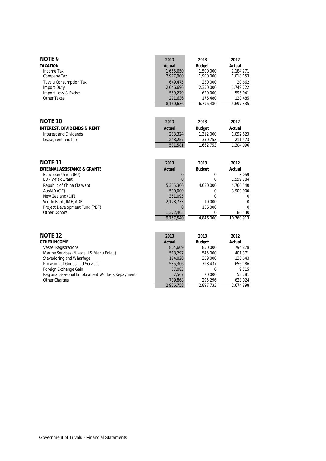| NOTE 9                        |               |               |           |
|-------------------------------|---------------|---------------|-----------|
|                               | 2013          | 2013          | 2012      |
| <b>TAXATION</b>               | <b>Actual</b> | <b>Budget</b> | Actual    |
| Income Tax                    | 1,655,650     | 1,500,000     | 2,184,271 |
| Company Tax                   | 2,977,900     | 1,900,000     | 1,018,153 |
| <b>Tuvalu Consumption Tax</b> | 649.475       | 250,000       | 20,662    |
| Import Duty                   | 2.046.696     | 2.350.000     | 1,749,722 |
| Import Levy & Excise          | 559,279       | 620,000       | 596,041   |
| <b>Other Taxes</b>            | 271.636       | 176.480       | 128,485   |
|                               | 8,160,636     | 6,796,480     | 5,697,335 |

| NOTE 10                               | 2013          | 2013          | 2012      |
|---------------------------------------|---------------|---------------|-----------|
| <b>INTEREST, DIVIDENDS &amp; RENT</b> | <b>Actual</b> | <b>Budget</b> | Actual    |
| Interest and Dividends                | 283,324       | 1,312,000     | 1.092.623 |
| Lease, rent and hire                  | 248.257       | 350.753       | 211.473   |
|                                       | 531,581       | 1.662.753     | 1,304,096 |

| <b>NOTE 11</b>                          | 2013          | 2013          | 2012       |
|-----------------------------------------|---------------|---------------|------------|
| <b>EXTERNAL ASSISTANCE &amp; GRANTS</b> | <b>Actual</b> | <b>Budget</b> | Actual     |
| European Union (EU)                     |               | 0             | 8.059      |
| EU - V-flex Grant                       |               | 0             | 1,999,784  |
| Republic of China (Taiwan)              | 5,355,306     | 4,680,000     | 4,766,540  |
| AusAID (CIF)                            | 500,000       | 0             | 3,900,000  |
| New Zealand (CIF)                       | 351,095       | 0             | $\Omega$   |
| World Bank, IMF, ADB                    | 2,178,733     | 10,000        | 0          |
| Project Development Fund (PDF)          |               | 156,000       | 0          |
| Other Donors                            | 1,372,405     |               | 86,530     |
|                                         | 9,757,540     | 4,846,000     | 10,760,913 |

| <b>NOTE 12</b>                                 | 2013          | 2013          | 2012      |
|------------------------------------------------|---------------|---------------|-----------|
| <b>OTHER INCOME</b>                            | <b>Actual</b> | <b>Budget</b> | Actual    |
| <b>Vessel Registrations</b>                    | 804.609       | 850,000       | 794.878   |
| Marine Services (Nivaga II & Manu Folau)       | 518,297       | 545,000       | 401,371   |
| Stevedoring and Wharfage                       | 174.028       | 339,000       | 136.643   |
| Provision of Goods and Services                | 585,306       | 798.437       | 656,186   |
| Foreign Exchange Gain                          | 77.083        | 0             | 9.515     |
| Regional Seasonal Employment Workers Repayment | 37.567        | 70,000        | 53.281    |
| <b>Other Charges</b>                           | 739.868       | 295.296       | 623.024   |
|                                                | 2.936.758     | 2,897,733     | 2.674.898 |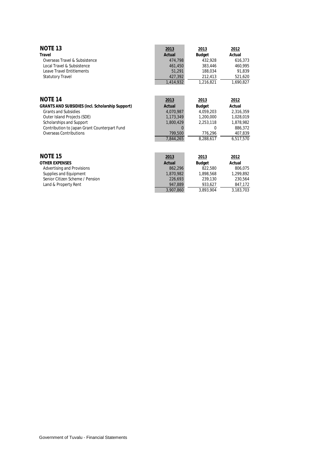| <b>NOTE 13</b><br>Travel<br>Overseas Travel & Subsistence<br>Local Travel & Subsistence<br>Leave Travel Entitlements<br><b>Statutory Travel</b>                                                                                               | 2013<br><b>Actual</b><br>474,798<br>461,450<br>51.291<br>427,392<br>1,414,932                    | 2013<br><b>Budget</b><br>432,928<br>383,446<br>188.034<br>212,413<br>1,216,821                   | 2012<br>Actual<br>616,373<br>460,995<br>91.839<br>521,620<br>1,690,827                          |
|-----------------------------------------------------------------------------------------------------------------------------------------------------------------------------------------------------------------------------------------------|--------------------------------------------------------------------------------------------------|--------------------------------------------------------------------------------------------------|-------------------------------------------------------------------------------------------------|
| <b>NOTE 14</b><br><b>GRANTS AND SUBSIDIES (incl. Scholarship Support)</b><br><b>Grants and Subsidies</b><br>Outer Island Projects (SDE)<br>Scholarships and Support<br>Contribution to Japan Grant Counterpart Fund<br>Overseas Contributions | 2013<br><b>Actual</b><br>4,070,987<br>1,173,349<br>1,800,429<br>$\Omega$<br>799,500<br>7,844,265 | 2013<br><b>Budget</b><br>4,059,203<br>1,200,000<br>2,253,118<br>$\Omega$<br>776,296<br>8,288,617 | <u>2012</u><br>Actual<br>2,316,359<br>1,028,019<br>1,878,982<br>886,372<br>407,839<br>6,517,570 |
| <b>NOTE 15</b><br><b>OTHER EXPENSES</b>                                                                                                                                                                                                       | 2013<br><b>Actual</b>                                                                            | 2013<br><b>Budget</b>                                                                            | 2012<br>Actual                                                                                  |

| Advertising and Provisions      |
|---------------------------------|
| Supplies and Equipment          |
| Senior Citizen Scheme / Pension |
| Land & Property Rent            |

| 10 U I U                        | 2013          | 2013          | 2012      |
|---------------------------------|---------------|---------------|-----------|
| THER EXPENSES                   | <b>Actual</b> | <b>Budget</b> | Actual    |
| Advertising and Provisions      | 862.296       | 822,580       | 806.075   |
| Supplies and Equipment          | 1,870,982     | 1.898.568     | 1.299.892 |
| Senior Citizen Scheme / Pension | 226.693       | 239,130       | 230.564   |
| Land & Property Rent            | 947.889       | 933.627       | 847,172   |
|                                 | 3.907.860     | 3,893,904     | 3.183.703 |
|                                 |               |               |           |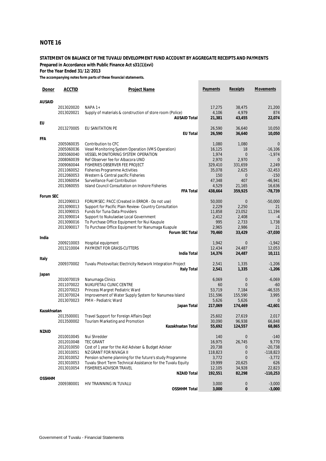### **STATEMENT ON BALANCE OF THE TUVALU DEVELOPMENT FUND ACCOUNT BY AGGREGATE RECEIPTS AND PAYMENTS Prepared in Accordance with Public Finance Act s31(1)(xvi)**

**For the Year Ended 31/12/2013**

*The accompanying notes form parts of these financial statements.*

| Donor            | <b>ACCTID</b>            | <b>Project Name</b>                                                     | <b>Payments</b>   | <b>Receipts</b>  | <b>Movements</b>     |
|------------------|--------------------------|-------------------------------------------------------------------------|-------------------|------------------|----------------------|
| <b>AUSAID</b>    |                          |                                                                         |                   |                  |                      |
|                  | 2013020020               | NAPA $1+$                                                               | 17,275            | 38,475           | 21,200               |
|                  | 2013020021               | Supply of materials & construction of store room (Police)               | 4,106             | 4,979            | 874                  |
| EU               |                          | <b>AUSAID Total</b>                                                     | 21,381            | 43,455           | 22,074               |
|                  | 2013270005               | EU SANITATION PE                                                        | 26,590            | 36,640           | 10,050               |
|                  |                          | <b>EU Total</b>                                                         | 26,590            | 36,640           | 10,050               |
| FFA              |                          |                                                                         |                   |                  |                      |
|                  | 2005060035               | Contribution to CFC                                                     | 1,080             | 1,080            | $\mathbf 0$          |
|                  | 2005060036               | Vesel Monitoring System Operation (VMS Operation)                       | 16,125            | 18               | $-16,106$            |
|                  | 2005060040               | <b>VESSEL MONITORING SYSTEM OPERATION</b>                               | 1,974             | $\mathbf{0}$     | $-1,974$             |
|                  | 2008060039               | Ref Observer fee for Albacora UNO                                       | 2,970             | 2,970            | $\mathbf{0}$         |
|                  | 2009060044<br>2011060052 | FISHERIES OBSERVER FEE PROJECT<br><b>Fisheries Programme Activities</b> | 329,410<br>35,078 | 331,659<br>2,625 | 2,249<br>$-32,453$   |
|                  | 2012060053               | Western & Central pacific Fisheries                                     | 150               | $\mathbf 0$      | $-150$               |
|                  | 2013060054               | Surveillance Fuel Contribution                                          | 47,348            | 407              | $-46,941$            |
|                  | 2013060055               | Island Council Consultation on Inshore Fisheries                        | 4,529             | 21,165           | 16,636               |
|                  |                          | <b>FFA Total</b>                                                        | 438,664           | 359,925          | $-78,739$            |
| <b>Forum SEC</b> |                          |                                                                         |                   |                  |                      |
|                  | 2012090013               | FORUMSEC: PACC (Created in ERROR - Do not use)                          | 50,000            | 0                | $-50,000$            |
|                  | 2013090013               | Support for Pacific Plain Review- Country Consultation                  | 2,229             | 2,250            | 21                   |
|                  | 2013090015               | Funds for Tuna Data Providers                                           | 11,858            | 23,052           | 11,194               |
|                  | 2013090014               | Support to Nukulaelae Local Government                                  | 2,412             | 2,408            | $-4$                 |
|                  | 2013090016               | To Purchase Office Equipment for Nui Kaupule                            | 995               | 2,733            | 1,738                |
|                  | 2013090017               | To Purchase Office Equipment for Nanumaga Kuapule                       | 2,965             | 2,986            | 21                   |
| India            |                          | <b>Forum SEC Total</b>                                                  | 70,460            | 33,429           | $-37,030$            |
|                  | 2009210003               | Hospital equipment                                                      | 1,942             | $\mathbf 0$      | $-1,942$             |
|                  | 2013210004               | PAYMENT FOR GRASS-CUTTERS                                               | 12,434            | 24,487           | 12,053               |
|                  |                          | <b>India Total</b>                                                      | 14,376            | 24,487           | 10,111               |
| Italy            |                          |                                                                         |                   |                  |                      |
|                  | 2009370002               | Tuvalu Photovoltaic Electricity Network Integration Project             | 2,541             | 1,335<br>1,335   | $-1,206$<br>$-1,206$ |
| Japan            |                          | <b>Italy Total</b>                                                      | 2,541             |                  |                      |
|                  | 2010070019               | Nanumaga Clinics                                                        | 6,069             | 0                | $-6,069$             |
|                  | 2011070022               | NUKUFETAU CLINIC CENTRE                                                 | 60                | $\overline{0}$   | $-60$                |
|                  | 2012070023               | Princess Margret Pediatric Ward                                         | 53,719            | 7,184            | $-46,535$            |
|                  | 2013070024               | Improvement of Water Supply System for Nanumea Island                   | 151,596           | 155,590          | 3,995                |
|                  | 2013070023               | PMH - Pediatric Ward                                                    | 5,626             | 5,626            | 0                    |
|                  |                          | Japan Total                                                             | 217,069           | 174,469          | $-42,601$            |
| Kazakhsatan      |                          |                                                                         |                   |                  |                      |
|                  | 2013500001               | Travel Support for Foreign Affairs Dept                                 | 25,602            | 27,619           | 2,017                |
|                  | 2013500002               | Tourism Marketing and Promotion                                         | 30,090            | 96,938           | 66,848               |
|                  |                          | Kazakhsatan Total                                                       | 55,692            | 124,557          | 68,865               |
| <b>NZAID</b>     | 2010010045               | Nui Shredder                                                            | 140               | 0                | $-140$               |
|                  | 2012010048               | <b>TEC GRANT</b>                                                        | 16,975            | 26,745           | 9,770                |
|                  | 2012010050               | Cost of 1 year for the Aid Adviser & Budget Adviser                     | 20,738            | 0                | $-20,738$            |
|                  | 2013010051               | NZ GRANT FOR NIVAGA II                                                  | 118,823           | 0                | $-118,823$           |
|                  | 2013010052               | Pension scheme planning for the future's study Programme                | 3,772             | $\mathbf 0$      | $-3,772$             |
|                  | 2013010053               | Tuvalu Short Term Technical Assistance for the Tuvalu Equity            | 19,999            | 20,625           | 626                  |
|                  | 2013010054               | FISHERIES ADVISOR TRAVEL                                                | 12,105            | 34,928           | 22,823               |
|                  |                          | <b>NZAID Total</b>                                                      | 192,551           | 82,298           | $-110,253$           |
| <b>OSSHHM</b>    |                          |                                                                         |                   |                  |                      |
|                  | 2009380001               | HIV TRAINNING IN TUVALU                                                 | 3,000             | 0                | $-3,000$             |
|                  |                          | <b>OSSHHM Total</b>                                                     | 3,000             | 0                | $-3,000$             |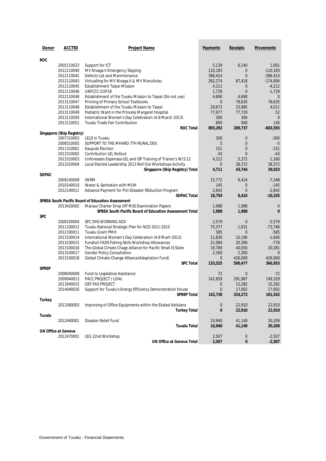| Donor         | <b>ACCTID</b>              | <b>Project Name</b>                                                                                        | <b>Payments</b> | <b>Receipts</b>       | <b>Movements</b>   |
|---------------|----------------------------|------------------------------------------------------------------------------------------------------------|-----------------|-----------------------|--------------------|
| <b>ROC</b>    |                            |                                                                                                            |                 |                       |                    |
|               | 2005110023                 | Support for ICT                                                                                            | 5,139           | 6,140                 | 1,001              |
|               | 2012110040                 | MV Nivaga II Emergency Slipping                                                                            | 110,183         | $\mathbf 0$           | $-110,183$         |
|               | 2012110041                 | Defects List and Manintenance                                                                              | 396,414         | $\mathbf{0}$          | $-396,414$         |
|               | 2012110043                 | Victualling for MV Nivaga II & MV Manufolau                                                                | 262,274         | 87,418                | $-174,856$         |
|               | 2012110045                 | Establishment Taipei Mission                                                                               | 4,212           | $\boldsymbol{0}$      | $-4,212$           |
|               | 2012110046                 | UNFCCC-COP18                                                                                               | 1,729           | $\mathbf 0$           | $-1,729$           |
|               | 2012110048                 | Establishment of the Tuvalu Mission to Taipei (Do not use)                                                 | 4,690           | 4,690                 | $\mathbf{0}$       |
|               | 2013110047                 | Printing of Primary School Textbooks                                                                       | $\mathbf 0$     | 78,635                | 78,635             |
|               | 2013110048                 | Establishment of the Tuvalu Mission to Taipei                                                              | 29,873          | 33,885                | 4,011              |
|               | 2013110049<br>2013110050   | Pediatric Ward in the Princess Margaret Hospital<br>International Women's Day Celebration (4-8 March 2013) | 77,677<br>300   | 77,729<br>300         | 52<br>$\mathbf{0}$ |
|               | 2013110051                 | <b>Tuvalu Trade Fair Contribution</b>                                                                      | 800             | 940                   | 140                |
|               |                            | <b>ROC Total</b>                                                                                           | 893,292         | 289,737               | $-603,555$         |
|               | Singapore (Ship Registry)  |                                                                                                            |                 |                       |                    |
|               | 2007310003                 | LELD in Tuvalu                                                                                             | 300             | $\mathbf 0$           | $-300$             |
|               | 2008310005                 | SUPPORT TO THE MHARD 7TH RURAL DEV.                                                                        | 5               | $\mathbf{0}$          | $-5$               |
|               | 2011310001                 | Kaupule Election                                                                                           | 151             | $\mathbf 0$           | $-151$             |
|               | 2012310002                 | <b>Contribution LEL Rollout</b>                                                                            | 43              | $\mathbf{0}$          | $-43$              |
|               | 2013310003                 | Unforeseen Expenses-LEL and ISP Training of Trainer's W/S 12                                               | 4,212           | 5,372                 | 1,160              |
|               | 2013310004                 | Local Elected Leadership 2013 Roll Out Workshops Activity                                                  | 0               | 38,372                | 38,372             |
|               |                            | Singapore (Ship Registry) Total                                                                            | 4,711           | 43,744                | 39,033             |
| <b>SOPAC</b>  | 2009140009                 | <b>IWRM</b>                                                                                                | 15,772          | 8,424                 | $-7,348$           |
|               | 2010140010                 | Water & Sanitation with MOH                                                                                | 145             | $\mathbf 0$           | $-145$             |
|               | 2012140011                 | Advance Payment for PUI-Diasater REduction Program                                                         | 2,842           | $\mathbf{0}$          | $-2,842$           |
|               |                            | <b>SOPAC Total</b>                                                                                         | 18,759          | 8,424                 | $-10,335$          |
|               |                            | <b>SPBEA South Pacific Board of Education Assessment</b>                                                   |                 |                       |                    |
|               | 2013420002                 | Manaui Charter Drop Off MSS Examination Papers                                                             | 1,988           | 1,988                 | $\boldsymbol{0}$   |
| SPC           |                            | SPBEA South Pacific Board of Education Assessment Total                                                    | 1,988           | 1,988                 | $\bf{0}$           |
|               | 2009100004                 | SPC DHS WORKING ADV                                                                                        | 2,579           | $\mathbf{0}$          | $-2,579$           |
|               | 2011100012                 | Tuvalu National Strategic Plan for NCD 2011-2015                                                           | 75,377          | 1,631                 | $-73,746$          |
|               | 2012100011                 | <b>Tuvalu Grant PMH</b>                                                                                    | 585             | $\mathbf{0}$          | $-585$             |
|               | 2013100014                 | International Women's Day Celebration (4-8 Marh 2013)                                                      | 11,830          | 10,190                | $-1,640$           |
|               | 2013100015                 | Funafuti FADS Fishing Skills Workshop Allowances                                                           | 21,084          | 20,306                | $-778$             |
|               | 2013100016                 | The Global Cimate Chage Alliance for Pacific Small IS State                                                | 19,769          | 40,050                | 20,281             |
|               | 2013100017                 | Gender Policy Consultation                                                                                 | 2,300           | 2,300                 | $\mathbf{0}$       |
|               | 2013100018                 | Global Climate Change Alliance(Adaptation Fund)                                                            | 0               | 426,000               | 426,000            |
| <b>SPREP</b>  |                            | <b>SPC Total</b>                                                                                           | 133,525         | 500,477               | 366,953            |
|               | 2008040009                 | Fund to Legislative Assistance                                                                             | 72              | $\boldsymbol{0}$      | $-72$              |
|               | 2009040013                 | PACC PROJECT (LOIA)                                                                                        | 142,659         | 291,987               | 149,329            |
|               | 2013040015                 | <b>GEF PAS PROJECT</b>                                                                                     | 0               | 15,282                | 15,282             |
|               | 2014040016                 | Support for Tuvalu's Energy Efficiency Demonstration House                                                 | 0               | 17,002                | 17,002             |
|               |                            | <b>SPREP Total</b>                                                                                         | 142,730         | 324,272               | 181,542            |
| <b>Turkey</b> | 2013360003                 | Improving of Office Equipments within the Ekalesi Kelisiano                                                | 0               | 22,910                | 22,910             |
|               |                            | <b>Turkey Total</b>                                                                                        | 0               | 22,910                | 22,910             |
| Tuvalu        |                            |                                                                                                            |                 |                       |                    |
|               | 2012440001                 | Disaster Relief Fund                                                                                       | 10,940          | 41,149                | 30,209             |
|               |                            | <b>Tuvalu Total</b>                                                                                        | 10,940          | 41,149                | 30,209             |
|               | <b>UN Office at Geneva</b> |                                                                                                            |                 |                       | $-2,507$           |
|               | 2012470001                 | LEG 22nd Workshop<br><b>UN Office at Geneva Total</b>                                                      | 2,507<br>2,507  | $\boldsymbol{0}$<br>0 | $-2,507$           |
|               |                            |                                                                                                            |                 |                       |                    |

 $\overline{\phantom{a}}$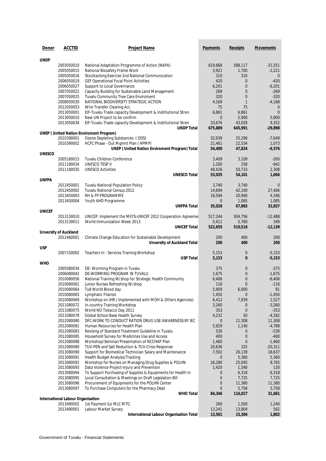| Donor         | ACCTID                                   | <b>Project Name</b>                                                                                                     | <b>Payments</b>       | <b>Receipts</b>      | <b>Movements</b>   |
|---------------|------------------------------------------|-------------------------------------------------------------------------------------------------------------------------|-----------------------|----------------------|--------------------|
| <b>UNDP</b>   |                                          |                                                                                                                         |                       |                      |                    |
|               | 2003050010                               | National Adaptation Programme of Action (NAPA)                                                                          | 619,668               | 588,117              | $-31,551$          |
|               | 2005050015                               | National Biosafety Frame Work                                                                                           | 3,921                 | 1,700                | $-2,221$           |
|               | 2005050016                               | Stocktacking Exercise 2nd National Communication                                                                        | 310                   | 310                  | $\mathbf{0}$       |
|               | 2006050019<br>2006050027                 | <b>GEF Operational Focal Point Activities</b><br>Support to Local Governance                                            | 420<br>6,201          | $\mathbf{0}$<br>0    | $-420$<br>$-6,201$ |
|               | 2007050022                               | Capacity Building for Sustainable Land Management                                                                       | 269                   | $\mathbf{0}$         | $-269$             |
|               | 2007050025                               | Tuvalu Community Tree Care Enviroment                                                                                   | 320                   | $\mathbf 0$          | $-320$             |
|               | 2008050030                               | NATIONAL BIODIVERSITY STRATEGIC ACTION                                                                                  | 4,169                 | $\mathbf{1}$         | $-4,168$           |
|               | 2012050053                               | Wire Transfer Clearing Acc                                                                                              | 75                    | 75                   | $\boldsymbol{0}$   |
|               | 2013050001                               | EIF-Tuvalu Trade capacity Development & Institiutional Stren                                                            | 6,861                 | 6,861                | $\mathbf{0}$       |
|               | 2013050010                               | New UN Project to be confirm                                                                                            | $\mathbf{0}$          | 5,900                | 5,900              |
|               | 2013050034                               | EIF-Tuvalu Trade capacity Development & Institiutional Stren<br><b>UNDP Total</b>                                       | 33,676<br>675,889     | 43,028<br>645,991    | 9,352<br>$-29,898$ |
|               |                                          | <b>UNEP (United Nation Enviroment Program)</b>                                                                          |                       |                      |                    |
|               | 2010390001                               | Ozone Depleting Substances (ODS)                                                                                        | 32,939                | 25,290               | $-7,649$           |
|               | 2010390002                               | HCFC Phase - Out Mgmnt Plan (HPMP)                                                                                      | 21,461                | 22,534               | 1,073              |
|               |                                          | <b>UNEP (United Nation Enviroment Program) Total</b>                                                                    | 54,400                | 47,824               | $-6,576$           |
| <b>UNESCO</b> |                                          |                                                                                                                         |                       |                      |                    |
|               | 2005180015                               | Tuvalu Children Conference                                                                                              | 3,409                 | 3,109                | $-300$             |
|               | 2011180034<br>2011180035                 | UNESCO TESP II<br><b>UNESCO Activities</b>                                                                              | 1,200<br>48,426       | 258<br>50,733        | $-942$<br>2,308    |
|               |                                          | <b>UNESCO Total</b>                                                                                                     | 53,035                | 54,101               | 1,066              |
| <b>UNFPA</b>  |                                          |                                                                                                                         |                       |                      |                    |
|               | 2012450001                               | <b>Tuvalu National Population Policy</b>                                                                                | 3,740                 | 3,740                | $\mathbf{0}$       |
|               | 2012450002                               | Tuvalu National Census 2012                                                                                             | 14,694                | 42,100               | 27,406             |
|               | 2013450003                               | RH & FP PROGRAMME                                                                                                       | 16,594                | 20,940               | 4,346              |
|               | 2013450004                               | Youth AHD Programme                                                                                                     | $\mathbf 0$           | 1,085                | 1,085              |
| <b>UNICEF</b> |                                          | <b>UNFPA Total</b>                                                                                                      | 35,028                | 67,865               | 32,837             |
|               | 2013130010                               | UNICEF: Implement the MEYS-UNICEF 2012 Cooperation Agreemel                                                             | 517,244               | 504,756              | $-12,488$          |
|               | 2013130011                               | World Immunization Week 2013                                                                                            | 5,411                 | 5,760                | 349                |
|               |                                          | <b>UNICEF Total</b>                                                                                                     | 522,655               | 510,516              | $-12,139$          |
|               | <b>Unversity of Auckland</b>             |                                                                                                                         |                       |                      |                    |
|               | 2012460001                               | Climate Change Education for Sustainable Development                                                                    | 200                   | 400                  | 200                |
| USP           |                                          | <b>Unversity of Auckland Total</b>                                                                                      | 200                   | 400                  | 200                |
|               | 2007150002                               | Teachers In - Services Training Workshop                                                                                | 5,153                 | $\mathbf 0$          | $-5,153$           |
|               |                                          | <b>USP Total</b>                                                                                                        | 5,153                 | 0                    | $-5,153$           |
| <b>WHO</b>    |                                          |                                                                                                                         |                       |                      |                    |
|               | 2005080034                               | DE-Worming Program in Tuvalu                                                                                            | 375                   | $\mathbf 0$          | $-375$             |
|               | 2006080042                               | DE-WORMING PROGRAM IN TUVALU                                                                                            | 1,675                 | 0                    | $-1,675$           |
|               | 2010080056                               | National Training W/shop for Strategic Health Community<br>Junior Nurses Refreshing W/shop                              | 6,406                 | 0                    | $-6,406$           |
|               | 2010080061<br>2010080064                 | Tu8 World Blood day                                                                                                     | 116<br>5,909          | 0<br>6,000           | $-116$<br>91       |
|               | 2010080065                               | Lymphatic Filarisis                                                                                                     | 1,450                 | $\mathbf 0$          | $-1,450$           |
|               | 2010080069                               | Workshop on IHR (Implemented with MOH & Others Agencies)                                                                | 6,412                 | 7,939                | 1,527              |
|               | 2011080072                               | In-country Training Workshop                                                                                            | 3,260                 | 0                    | $-3,260$           |
|               | 2011080075                               | World NO Tobacco Day 2011                                                                                               | 353                   | 0                    | $-353$             |
|               | 2011080078                               | Global School Base Health Survey                                                                                        | 4,232                 | 50                   | $-4,182$           |
|               | 2012080080                               | DFC-WORK TO CONDUCT RATION DRUG USE AWARENESS BY IEC                                                                    | 0                     | 11,308               | 11,308             |
|               | 2012080081<br>2012080083                 | Human Resources for Health Plan<br>Revising of Standard Treatment Guideline in Tuvalu                                   | 5,929<br>530          | 1,140<br>$\mathbf 0$ | $-4,789$<br>$-530$ |
|               | 2012080085                               | Household Survey for Medicines Use and Access                                                                           | 400                   | 0                    | $-400$             |
|               | 2012080088                               | Workshop/Seminar/Presentation of NCCHAP Plan                                                                            | 1,460                 | 0                    | $-1,460$           |
|               | 2012080089                               | TUV-PEN and Salt Reduction & TUV-Crisis Response                                                                        | 20,636                | 325                  | $-20,311$          |
|               | 2013080090                               | Support for Biomedical Technician Salary and Maintenance                                                                | 7,502                 | 26,139               | 18,637             |
|               | 2013080091                               | Health Budget Analysis/Tracking                                                                                         | $\mathbf 0$           | 5,360                | 5,360              |
|               | 2013080092                               | Workshop for Nurses on Managing Drug Supplies & POLHN                                                                   | 16,280                | 25,045               | 8,765              |
|               | 2013080093                               | Data Violence Project-Injury and Prevention                                                                             | 1,420                 | 1,540                | 120                |
|               | 2013080094<br>2013080095                 | To Support Purchasing of Supplies & Equipments for Health In<br>Local Consultation & Meetings on Draft Legislation Bill | 0<br>$\boldsymbol{0}$ | 6,318<br>7,725       | 6,318<br>7,725     |
|               | 2013080096                               | Procurement of Equipments for the POLHN Center                                                                          | $\boldsymbol{0}$      | 11,380               | 11,380             |
|               | 2013080097                               | To Purchase Computers for the Pharmacy Dept                                                                             | $\mathbf{0}$          | 5,758                | 5,758              |
|               |                                          | <b>WHO Total</b>                                                                                                        | 84,346                | 116,027              | 31,681             |
|               | <b>International Labour Organisation</b> |                                                                                                                         |                       |                      |                    |
|               | 2013490002                               | 1st Payment ILo MLC MTG                                                                                                 | 260                   | 1,500                | 1,240              |
|               | 2013490001                               | Labour Market Survey                                                                                                    | 13,241                | 13,804               | 562                |
|               |                                          | <b>International Labour Organisation Total</b>                                                                          | 13,501                | 15,304               | 1,802              |

**COL**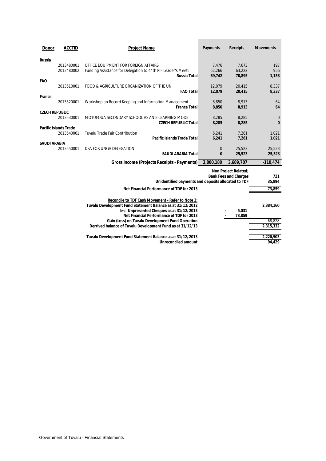| <b>Donor</b>          | <b>ACCTID</b>                | <b>Project Name</b>                                                                                            | <b>Payments</b>  | <b>Receipts</b>              | <b>Movements</b>    |
|-----------------------|------------------------------|----------------------------------------------------------------------------------------------------------------|------------------|------------------------------|---------------------|
| Russia                |                              |                                                                                                                |                  |                              |                     |
|                       | 2013480001                   | OFFICE EQUIPMENT FOR FOREIGN AFFAIRS                                                                           | 7,476            | 7,673                        | 197                 |
|                       | 2013480002                   | Funding Assistance for Delegation to 44th PIF Leader's Meeti<br><b>Russia Total</b>                            | 62,266<br>69,742 | 63,222<br>70,895             | 956<br>1,153        |
| <b>FAO</b>            |                              |                                                                                                                |                  |                              |                     |
|                       | 2013510001                   | FOOD & AGRICULTURE ORGANIZATION OF THE UN                                                                      | 12,079           | 20,415                       | 8,337               |
|                       |                              | <b>FAO Total</b>                                                                                               | 12,079           | 20,415                       | 8,337               |
| France                | 2013520001                   | Workshop on Record Keeping and Information Management                                                          | 8,850            | 8,913                        | 64                  |
|                       |                              | <b>France Total</b>                                                                                            | 8,850            | 8,913                        | 64                  |
| <b>CZECH REPUBLIC</b> |                              |                                                                                                                |                  |                              |                     |
|                       | 2013530001                   | MOTUFOUA SECONDARY SCHOOL AS AN E-LEARNING MODE                                                                | 8,285            | 8,285                        | $\mathbf 0$         |
|                       | <b>Pacific Islands Trade</b> | <b>CZECH REPUBLIC Total</b>                                                                                    | 8,285            | 8,285                        | $\bf{0}$            |
|                       | 2013540001                   | <b>Tuvalu Trade Fair Contribution</b>                                                                          | 6,241            | 7,261                        | 1,021               |
|                       |                              | <b>Pacific Islands Trade Total</b>                                                                             | 6,241            | 7,261                        | 1,021               |
| <b>SAUDI ARABIA</b>   |                              |                                                                                                                |                  |                              |                     |
|                       | 2013550001                   | <b>DSA FOR UNGA DELEGATION</b><br><b>SAUDI ARABIA Total</b>                                                    | 0<br>$\bf{0}$    | 25,523<br>25,523             | 25,523<br>25,523    |
|                       |                              |                                                                                                                |                  |                              |                     |
|                       |                              | <b>Gross Income (Projects Receipts - Payments)</b>                                                             | 3,800,180        | 3,689,707                    | $-110,474$          |
|                       |                              |                                                                                                                |                  | <b>Non Project Related;</b>  |                     |
|                       |                              | Unidentified payments and deposits allocated to TDF                                                            |                  | <b>Bank Fees and Charges</b> | 721<br>35,894       |
|                       |                              |                                                                                                                |                  |                              |                     |
|                       |                              | Net Financial Performance of TDF for 2013                                                                      |                  |                              | 73,859              |
|                       |                              | Reconcile to TDF Cash Movement - Refer to Note 3;                                                              |                  |                              |                     |
|                       |                              | Tuvalu Development Fund Statement Balance as at 31/12/2012                                                     |                  |                              | 2,384,160           |
|                       |                              | less Unpresented Cheques as at 31/12/2013                                                                      |                  | 5,031                        |                     |
|                       |                              | Net Financial Performance of TDF for 2013                                                                      |                  | 73,859                       |                     |
|                       |                              | Gain (Loss) on Tuvalu Development Fund Operation<br>Derrived balance of Tuvalu Development Fund as at 31/12/13 |                  |                              | 68,828<br>2,315,332 |
|                       |                              |                                                                                                                |                  |                              |                     |
|                       |                              | Tuvalu Development Fund Statement Balance as at 31/12/2013                                                     |                  |                              | 2,220,903           |
|                       |                              | <b>Unreconciled amount</b>                                                                                     |                  |                              | 94,429              |

п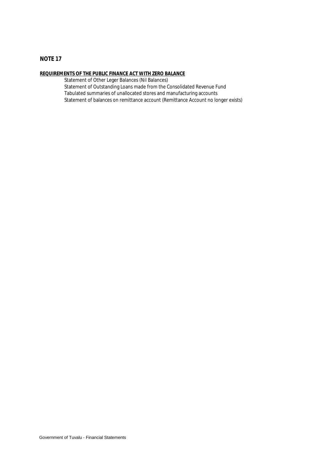### **REQUIREMENTS OF THE PUBLIC FINANCE ACT WITH ZERO BALANCE**

Statement of Other Leger Balances (Nil Balances) Statement of Outstanding Loans made from the Consolidated Revenue Fund Tabulated summaries of unallocated stores and manufacturing accounts Statement of balances on remittance account (Remittance Account no longer exists)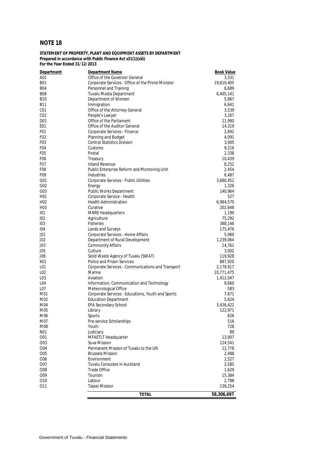### **STATEMENT OF PROPERTY, PLANT AND EQUIPMENT ASSETS BY DEPARTMENT Prepared in accordance with Public Finance Act s31(1)(xiii) For the Year Ended 31/12/2013**

| <b>Department</b><br>A01           | <b>Department Name</b><br>Office of the Governor General    | <b>Book Value</b><br>3,331 |
|------------------------------------|-------------------------------------------------------------|----------------------------|
| <b>B01</b>                         | Corporate Services - Office of the Prime Minister           | 19,610,405                 |
| <b>B04</b>                         | Personnel and Training                                      | 6,689                      |
| <b>B08</b>                         | Tuvalu Media Department                                     | 6,405,141                  |
| <b>B10</b>                         | Department of Women                                         | 5,867                      |
| B11                                | Immigration                                                 | 6,641                      |
| CO <sub>1</sub>                    | Office of the Attorney General                              | 3,539                      |
| CO <sub>2</sub>                    | People's Lawyer                                             | 3,267                      |
| D <sub>0</sub> 1                   | Office of the Parliament                                    | 11,990                     |
| E01                                | Office of the Auditor General                               | 14,319                     |
| F <sub>0</sub> 1                   | Corporate Services - Finance                                | 2,692                      |
| F <sub>02</sub>                    | Planning and Budget                                         | 4,091                      |
| F <sub>0</sub> 3                   | <b>Central Statistics Division</b>                          | 3,905                      |
| F <sub>04</sub>                    | Customs                                                     | 9,216                      |
| F <sub>0</sub> 5                   | Postal                                                      | 2,338                      |
| F06                                | Treasury                                                    | 10,439                     |
| F07                                | <b>Inland Revenue</b>                                       | 8,252                      |
| F <sub>08</sub>                    | Public Enterprise Reform and Montoring Unit                 | 2,454                      |
| F09                                | Industries                                                  | 6,487                      |
| G <sub>0</sub> 1                   | Corporate Services - Public Utilities                       | 3,680,452                  |
| G02                                | Energy                                                      | 1,326                      |
| G <sub>03</sub>                    | <b>Public Works Department</b>                              | 140,964                    |
| H <sub>0</sub> 1                   | Corporate Service - Health                                  | 527                        |
| H <sub>02</sub>                    | <b>Health Administration</b>                                | 6,984,570                  |
| H <sub>0</sub> 3                   | Curative                                                    | 202,648                    |
| 101                                | <b>MNRE Headquarters</b>                                    | 1,190                      |
| 102                                | Agriculture                                                 | 75,292                     |
| 103                                | <b>Fisheries</b>                                            | 388,146                    |
| 104                                | Lands and Surveys                                           | 175,476                    |
| JO1                                | Corporate Services - Home Affairs                           | 5,960                      |
| J02                                | Department of Rural Development                             | 1,239,064                  |
| JO3                                | <b>Community Affairs</b>                                    | 14,761                     |
| JO5                                | Culture                                                     | 3,002                      |
| J08                                | Solid Waste Agency of Tuvalu (SWAT)                         | 119,928                    |
| K01                                | Police and Prison Services                                  | 887,920                    |
| LO1                                | Corporate Services - Communications and Transport<br>Marine | 2,178,917                  |
| LO <sub>2</sub><br>LO <sub>3</sub> | Aviation                                                    | 10,771,475<br>1,412,047    |
| LO4                                | Information, Communication and Technology                   |                            |
| LO7                                | Meteorological Office                                       | 8,660<br>583               |
| M01                                | Corporate Services - Educations, Youth and Sports           | 7,671                      |
| M02                                | <b>Education Department</b>                                 | 5,624                      |
| M04                                | EFA Secondary School                                        | 3,436,422                  |
| M05                                | Library                                                     | 122,971                    |
| M06                                | Sports                                                      | 826                        |
| M07                                | Pre-service Scholarships                                    | 516                        |
| M08                                | Youth                                                       | 728                        |
| N01                                | Judiciary                                                   | 89                         |
| 001                                | <b>MFAETLT Headquarter</b>                                  | 13,907                     |
| <b>O03</b>                         | Suva Mission                                                | 124,541                    |
| 004                                | Permanent Mission of Tuvalu to the UN                       | 12,778                     |
| 005                                | <b>Brussels Mission</b>                                     | 2,488                      |
| O06                                | Environment                                                 | 2,527                      |
| 007                                | Tuvalu Consulate in Auckland                                | 2,585                      |
| 008                                | Trade Office                                                | 1,629                      |
| 009                                | Tourism                                                     | 15,384                     |
| 010                                | Labour                                                      | 2,788                      |
| 011                                | <b>Taipei Mission</b>                                       | 139,254                    |
|                                    | <b>TOTAL</b>                                                | 58,306,697                 |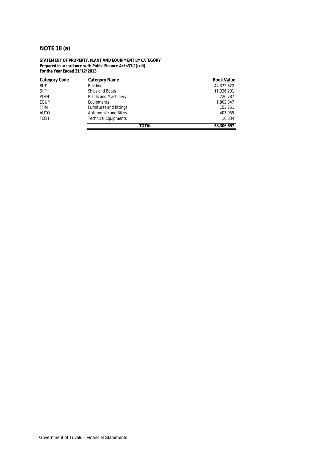### **NOTE 18 (a)**

**STATEMENT OF PROPERTY, PLANT AND EQUIPMENT BY CATEGORY Prepared in accordance with Public Finance Act s31(1)(xiii) For the Year Ended 31/12/2013**

| <b>Category Code</b> | <b>Category Name</b>        | <b>Book Value</b> |
|----------------------|-----------------------------|-------------------|
| <b>BUDI</b>          | <b>Building</b>             | 44,372,822        |
| <b>SHPI</b>          | Ships and Boats             | 11,326,201        |
| <b>PLAN</b>          | <b>Plants and Machinery</b> | 226.787           |
| EQUP                 | Equipments                  | 1,802,847         |
| <b>FFIM</b>          | Furnitures and fittings     | 153,251           |
| <b>AUTO</b>          | Automobile and Bikes        | 407.955           |
| <b>TECH</b>          | <b>Technical Equipments</b> | 16,834            |
|                      | TOTAL                       | 58,306,697        |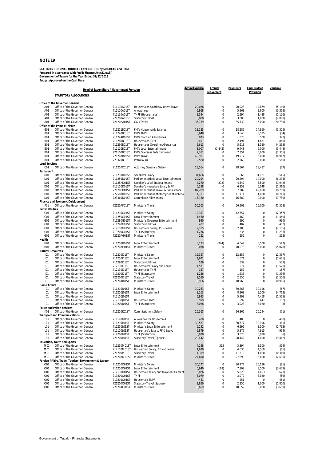STATEMENT OF UNAUTHORISED EXPENDITURE by SUB HEAD and ITEM<br>Prepared in accordance with Public Finance Act s31 (xviii)<br>Government of Tuvalu for the Year Ended 31/12/2013<br>Budget Approved on the Cash Basis

|                          | <b>Head of Expenditure / Government Function</b>                 |                            |                                                            | <b>Actual Expense</b> | <b>Accrual</b>          | <b>Payments</b> | <b>Final Budget</b> | <b>Variance</b> |
|--------------------------|------------------------------------------------------------------|----------------------------|------------------------------------------------------------|-----------------------|-------------------------|-----------------|---------------------|-----------------|
|                          | STATUTORY ALLOCATIONS                                            |                            |                                                            |                       | Movement                |                 | Provision           |                 |
|                          |                                                                  |                            |                                                            |                       |                         |                 |                     |                 |
|                          | <b>Office of the Governer General</b>                            |                            |                                                            |                       |                         |                 |                     |                 |
| A01                      | Office of the Governor General                                   | 711110A01ST                | Housemaids Salaries & Leave Travel                         | 20,028                | $\mathbf 0$             | 20,028          | 14,879              | (5, 149)        |
| A01                      | Office of the Governor General                                   | 711120A01ST                | Allowances                                                 | 5,968                 | $\mathbf 0$             | 5,968           | 2,600               | (3, 368)        |
| A01                      | Office of the Governor General                                   | 712130A01ST                | TNPF (Housemaids)                                          | 2,594                 | $\mathbf 0$             | 2,594           | 1,488               | (1, 106)        |
| A01                      | Office of the Governor General                                   | 721200A01ST                | <b>Statutory Travel</b>                                    | 3,000                 | $\Omega$                | 3,000           | 1,000               | (2,000)         |
| A01                      | Office of the Governor General                                   | 72120AA01ST                | <b>GG's Travel</b>                                         | 35,739                | $\mathbf 0$             | 35,739          | 15,000              | (20, 739)       |
|                          | <b>Office of the Prime Minister</b>                              |                            |                                                            |                       |                         |                 |                     |                 |
| <b>B01</b>               | Office of the Governor General                                   | 711211B01ST                | PM's Housemaids Salaries                                   | 18,285                | $\mathbf 0$             | 18,285          | 14,960              | (3, 325)        |
| <b>B01</b>               | Office of the Governor General                                   | 711240B01ST                | PM's TNPF                                                  | 3,648                 | $\mathbf 0$             | 3,648           | 3,595               | (54)            |
| <b>B01</b>               | Office of the Governor General                                   | 71124AB01ST                | PM's Clothing Allowances                                   | 873                   | $\mathbf 0$             | 873             | 500                 | (373)           |
| <b>B01</b>               | Office of the Governor General                                   | 711280B01ST                | <b>Housemaids TNPF</b>                                     | 2,491                 | $\mathbf 0$             | 2,491           | 1,631               | (860)           |
| <b>B01</b><br><b>B01</b> | Office of the Governor General<br>Office of the Governor General | 711290B01ST<br>712110B01ST | Housemaids Overtime Allowances<br>PM's Local Entertainment | 5,613                 | $\mathbf 0$             | 5,613<br>9,448  | 1,350               | (4, 263)        |
|                          |                                                                  |                            |                                                            | 8,007                 | (1, 442)<br>$\mathbf 0$ |                 | 6,000               | (3, 448)        |
| <b>B01</b><br><b>B01</b> | Office of the Governor General<br>Office of the Governor General | 721100B01ST<br>72120AB01ST | PM's Overseas Entertainment<br>PM's Travel                 | 7,351<br>49,917       | $\mathbf 0$             | 7,351<br>49,917 | 5,000<br>15,000     | (2, 351)        |
| <b>B01</b>               | Office of the Governor General                                   | 723320B01ST                | Petrol & Oil                                               |                       | $\mathbf 0$             | 2,560           | 2,000               | (34, 917)       |
| <b>Legal Services</b>    |                                                                  |                            |                                                            | 2,560                 |                         |                 |                     | (560)           |
| C <sub>01</sub>          | Office of the Governor General                                   | 711210C01ST                | Attorney General's Salary                                  | 28,564                | $\mathbf 0$             | 28,564          | 28,487              | (77)            |
| Parliament               |                                                                  |                            |                                                            |                       |                         |                 |                     |                 |
| D01                      | Office of the Governor General                                   | 711210D01ST                | Speaker's Salary                                           | 31,666                | $\bf 0$                 | 31,666          | 31,121              | (545)           |
| D <sub>01</sub>          | Office of the Governor General                                   | 711250D01ST                | Parliamentarians Local Entertainment                       | 20,294                | 0                       | 20,294          | 14,000              | (6, 294)        |
| D <sub>01</sub>          | Office of the Governor General                                   | 71125AD01ST                | Speaker's Local Entertainment                              | 4,270                 | (272)                   | 4,542           | 3,500               | (1,042)         |
| D <sub>01</sub>          | Office of the Governor General                                   | 712110D01ST                |                                                            | 6,358                 | 0                       | 6,358           | 5,048               | (1, 310)        |
| D <sub>01</sub>          |                                                                  |                            | Speaker's Houseboy Salary & PF                             |                       | $\mathbf 0$             |                 |                     |                 |
|                          | Office of the Governor General                                   | 72120BD01ST                | Parliamentarians Travel & Subsistance                      | 87,289                |                         | 87,289          | 69,000              | (18, 289)       |
| D <sub>01</sub>          | Office of the Governor General                                   | 722500D01ST                | Parliamentarians Motorcycles Maintena                      | 11,711                | $\mathbf 0$             | 11,711          | 1,000               | (10, 711)       |
| D <sub>01</sub>          | Office of the Governor General                                   | 723460D01ST                | <b>Committee Allowances</b>                                | 16,780                | $\mathbf 0$             | 16,780          | 9,000               | (7,780)         |
| F01                      | <b>Finance and Economic Delelopment</b>                          | 72120AF01ST                | Minister's Travel                                          |                       | $\mathbf 0$             |                 |                     |                 |
|                          | Office of the Governor General                                   |                            |                                                            | 56,503                |                         | 56,503          | 15,000              | (41, 503)       |
| <b>Public Utilities</b>  |                                                                  |                            |                                                            |                       |                         |                 |                     |                 |
| G <sub>01</sub>          | Office of the Governor General                                   | 711210G01ST                | Minister's Salary                                          | 12,357                | 0                       | 12,357          | 0                   | (12, 357)       |
| G01                      | Office of the Governor General                                   | 711250G01ST                | <b>Local Entertainment</b>                                 | 1,460                 | $\Omega$                | 1,460           | 0                   | (1, 460)        |
| G01                      | Office of the Governor General                                   | 711280G01ST                | Minister's Overseas Entertainment                          | 990                   | 0                       | 990             | 0                   | (990)           |
| G01                      | Office of the Governor General                                   | 711290G01ST                | <b>Statutory Utilities</b>                                 | 402                   | 0                       | 402             | 0                   | (402)           |
| G <sub>01</sub>          | Office of the Governor General                                   | 712110G01ST                | Housemaids Salary, PF & leave                              | 2,185                 | $\mathbf 0$             | 2,185           | 0                   | (2, 185)        |
| G01                      | Office of the Governor General                                   | 719200G01ST                | TNPF (Statutory)                                           | 1,236                 | $\mathbf 0$             | 1,236           | 0                   | (1, 236)        |
| G01                      | Office of the Governor General                                   | 72120AG01ST                | Minister's Travel                                          | 252                   | $\Omega$                | 252             | $\mathbf 0$         | (252)           |
| Health                   |                                                                  |                            |                                                            |                       |                         |                 |                     |                 |
| H <sub>0</sub> 1         | Office of the Governor General                                   | 711250H01ST                | Local Entertainment                                        | 3,123                 | (924)                   | 4,047           | 3,500               | (547)           |
| H <sub>0</sub> 1         | Office of the Governor General                                   | 72120AH01ST                | Minister's Travel                                          | 70,078                | 0                       | 70,078          | 15,000              | (55,078)        |
| <b>Natural Resources</b> |                                                                  |                            |                                                            |                       |                         |                 |                     |                 |
| 101                      | Office of the Governor General                                   | 711210I01ST                | Minister's Salary                                          | 12,357                | $\mathbf 0$             | 12,357          | $\mathbf 0$         | (12, 357)       |
| 101                      | Office of the Governor General                                   | 711250I01ST                | Local Entertainment                                        | 1,671                 | $\mathbf 0$             | 1,671           | 0                   | (1,671)         |
| 101                      | Office of the Governor General                                   | 711290I01ST                | <b>Statutory Utilities</b>                                 | 539                   | $\mathbf 0$             | 539             | 0                   | (539)           |
| 101                      | Office of the Governor General                                   | 712110l01ST                | Housemaid's Salary and Leave                               | 1,571                 | $\Omega$                | 1,571           | 0                   | (1, 571)        |
| 101                      | Office of the Governor General                                   | 712130I01ST                | Housemaids TNPF                                            | 157                   | $\mathbf 0$             | 157             | 0                   | (157)           |
| 101                      | Office of the Governor General                                   | 719200I01ST                | TNPF (Statutory)                                           | 1,236                 | $\pmb{0}$               | 1,236           | 0                   | (1, 236)        |
| 101                      | Office of the Governor General                                   | 721200I01ST                | <b>Statutory Travel</b>                                    | 2,550                 | $\mathbf 0$             | 2,550           | 0                   | (2, 550)        |
| 101                      | Office of the Governor General                                   | 72120AI01ST                | Minister's Travel                                          | 10,966                | $\mathbf 0$             | 10,966          | 0                   | (10, 966)       |
| <b>Home Affairs</b>      |                                                                  |                            |                                                            |                       |                         |                 |                     |                 |
| J01                      | Office of the Governor General                                   | 711210J01ST                | Minister's Salary                                          | 30,263                | $\mathbf 0$             | 30,263          | 30,196              | (67)            |
| J01                      | Office of the Governor General                                   | 711250J01ST                | Local Entertainment                                        | 8,263                 | $\mathbf 0$             | 8,263           | 3,500               | (4, 763)        |
| J01                      | Office of the Governor General                                   | 712110J01ST                |                                                            | 5,993                 | $\mathbf 0$             | 5,993           | 4,468               | (1, 525)        |
| J01                      | Office of the Governor General                                   | 712130J01ST                | <b>Housemaid TNPF</b>                                      | 599                   | $\mathbf 0$             | 599             | 447                 | (152)           |
| J <sub>01</sub>          | Office of the Governor General                                   | 719200J01ST                | TNPF (Statutory)                                           | 3,028                 | $\mathbf 0$             | 3,028           | 3,020               | (8)             |
|                          | <b>Police and Prison Services</b>                                |                            |                                                            |                       |                         |                 |                     |                 |
| K01                      | Office of the Governor General                                   | 711210K01ST                | Commissioner's Salary                                      | 26,365                | 0                       | 26,365          | 26,294              | (71)            |
|                          | <b>Transport and Communications</b>                              |                            |                                                            |                       |                         |                 |                     |                 |
| L01                      | Office of the Governor General                                   | 711120L01ST                | Allowance for Housemaid                                    | 400                   | $\mathbf 0$             | 400             | 0                   | (400)           |
| L01                      | Office of the Governor General                                   | 711210L01ST                | Minister's Salary                                          | 30,577                | $\mathbf 0$             | 30,577          | 30,196              | (381)           |
| L <sub>01</sub>          | Office of the Governor General                                   | 711250L01ST                | Minister's Local Entertainment                             | 6,292                 | $\mathbf 0$             | 6,292           | 3,500               | (2, 792)        |
| L <sub>01</sub>          | Office of the Governor General                                   | 712110L01ST                | Housemaid's Salary, PF & Leave                             | 5,879                 | $\mathbf 0$             | 5,879           | 4,915               | (964)           |
| L01                      | Office of the Governor General                                   | 719200L01ST                | TNPF (Statutory)                                           | 3,028                 | $\pmb{0}$               | 3,028           | 3,020               | (8)             |
| L01                      | Office of the Governor General                                   | 721200L01ST                | Statutory Travel (Spouse)                                  | 20,442                | $\pmb{0}$               | 20,442          | 1,000               | (19, 442)       |
|                          | <b>Education, Youth and Sports</b>                               |                            |                                                            |                       |                         |                 |                     |                 |
| M01                      | Office of the Governor General                                   | 711250M01ST                | <b>Local Entertainment</b>                                 | 4,248                 | 355                     | 3,894           | 3,500               | (394)           |
| M01                      | Office of the Governor General                                   | 712110M01ST                | Housemaid Salary, PF and Leave                             | 4,630                 | $\pmb{0}$               | 4,630           | 4,569               | (61)            |
| M01                      | Office of the Governor General                                   | 721200M01ST                | <b>Statutory Travel</b>                                    | 11,319                | $\pmb{0}$               | 11,319          | 1,000               | (10, 319)       |
| M01                      | Office of the Governor General                                   | 72120AM01ST                | Minister's Travel                                          | 27,690                | 0                       | 27,690          | 15,000              | (12,690)        |
|                          | Foreign Affairs, Trade, Tourism, Environment & Labour            |                            |                                                            |                       |                         |                 |                     |                 |
| 001                      | Office of the Governor General                                   | 711210001ST                | Minister's Salary                                          | 30,277                | $\pmb{0}$               | 30,277          | 30,196              | (81)            |
| 001                      | Office of the Governor General                                   | 711250001ST                | Local Entertainment                                        | 6,940                 | (169)                   | 7,109           | 3,500               | (3,609)         |
| 001                      | Office of the Governor General                                   | 712110O01ST                | Housemaid salary and leave entitlement                     | 5,026                 | 0                       | 5,026           | 4,403               | (623)           |
| 001                      | Office of the Governor General                                   | 719200001ST                | <b>TNPF</b>                                                | 3,079                 | $\pmb{0}$               | 3,079           | 3,020               | (59)            |
| <b>O01</b>               | Office of the Governor General                                   | 719201001ST                | Housemaid TNPF                                             | 451                   | 0                       | 451             | $\Omega$            | (451)           |
| 001                      | Office of the Governor General                                   | 721200001ST                | Statutory Travel (Spouse)                                  | 2,850                 | 0                       | 2,850           | 1,000               | (1,850)         |
| 001                      | Office of the Governor General                                   | 72120AO01ST                | Minister's Travel                                          | 18,659                | $\mathbf 0$             | 18,659          | 15,000              | (3,659)         |
|                          |                                                                  |                            |                                                            |                       |                         |                 |                     |                 |
|                          |                                                                  |                            |                                                            |                       |                         |                 |                     |                 |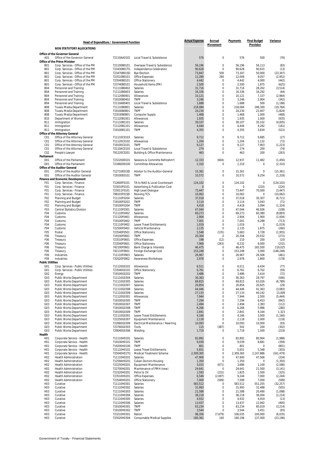|                                     | Head of Expenditure / Government Function                    |                            |                                                                  | <b>Actual Expense</b> | <b>Accrual</b>   | <b>Payments</b>  | <b>Final Budget</b> | <u>Variance</u>   |
|-------------------------------------|--------------------------------------------------------------|----------------------------|------------------------------------------------------------------|-----------------------|------------------|------------------|---------------------|-------------------|
|                                     |                                                              |                            |                                                                  |                       | Movement         |                  | Provision           |                   |
|                                     | <b>NON STATUTORY ALLOCATIONS</b>                             |                            |                                                                  |                       |                  |                  |                     |                   |
|                                     | <b>Office of the Governer General</b>                        |                            |                                                                  |                       |                  |                  |                     |                   |
| A01                                 | Office of the Governor General                               |                            | 72110AA0101 Local Travel & Subsistence                           | 576                   | 0                | 576              | 500                 | (76)              |
|                                     | <b>Office of the Prime Minister</b>                          |                            |                                                                  |                       |                  |                  |                     |                   |
| <b>B01</b><br><b>B01</b>            | Corp. Services - Office of the PM                            | 721100B0101                | Overseas Travel & Subsistence<br>Independence Celebration        | 56,196                | 0<br>0           | 56,196           | 56,113              | (83)              |
| <b>B01</b>                          | Corp. Services - Office of the PM                            | 723430B01TG                |                                                                  | 90,628                | 500              | 90,628           | 90,615              | (13)              |
| <b>B01</b>                          | Corp. Services - Office of the PM                            | 723470B01SD                | <b>Bye Election</b><br>Office Expenses                           | 73,847                | 280              | 73,347           | 50,000              | (23, 347)         |
|                                     | Corp. Services - Office of the PM                            | 723510B0101                |                                                                  | 12,289                |                  | 12,009           | 9,057               | (2,952)           |
| <b>B01</b>                          | Corp. Services - Office of the PM                            | 723540B0101                | Office Stationery                                                | 4,442                 | 0<br>0           | 4,442            | 4,000               | (442)             |
| <b>B01</b><br><b>B04</b>            | Corp. Services - Office of the PM                            | 723740B0101                | Household Items (PM)                                             | 2,500                 | $\mathbf 0$      | 2,500            | 1,875               | (625)             |
|                                     | Personnel and Training                                       | 711110B0402                | Salaries                                                         | 31,716                | $\mathbf 0$      | 31,716           | 28,202              | (3, 514)          |
| <b>B04</b><br><b>B04</b>            | Personnel and Training                                       | 711110B0403                | Salaries<br>Allowances                                           | 16,336                | 0                | 16,336           | 16,292              | (44)              |
| <b>B04</b>                          | Personnel and Training                                       | 711120B0401                | <b>TNPF</b>                                                      | 10,121<br>3,246       | 0                | 10,121           | 7,157<br>2,904      | (2,964)           |
|                                     | Personnel and Training                                       | 719100B0402                |                                                                  |                       |                  | 3,246            |                     | (342)             |
| <b>B04</b><br><b>B08</b>            | Personnel and Training                                       | 72110AB0401                | Local Travel & Subsistence<br>Salaries                           | 1,688<br>218,084      | 0<br>0           | 1,688<br>218,084 | 500                 | (1, 188)          |
|                                     | Tuvalu Media Department                                      | 711110B0801                |                                                                  |                       |                  |                  | 198,300             | (19, 784)         |
| <b>B08</b><br><b>B08</b>            | Tuvalu Media Department                                      | 719100B0801                | <b>TNPF</b>                                                      | 24,230                | 0<br>0           | 24,230           | 22,407              | (1,824)           |
| <b>B10</b>                          | Tuvalu Media Department                                      | 723530B0801                | Computer Supply                                                  | 1,468                 | 0                | 1,468            | 1,000               | (468)             |
| <b>B11</b>                          | Department of Women                                          | 711120B1001                | Allowances                                                       | 1,935                 | 0                | 1,935            | 1,000               | (935)             |
|                                     | Immigration                                                  | 711110B1101                | Salaries                                                         | 39,107                |                  | 39,107           | 35,102              | (4,005)           |
| <b>B11</b>                          | Immigration                                                  | 711120B1101                | Allowances                                                       | 4,444                 | 0                | 4,444            | 4,282               | (161)             |
| <b>B11</b>                          | Immigration                                                  | 719100B1101                | <b>TNPF</b>                                                      | 4,355                 | 0                | 4,355            | 3,834               | (522)             |
|                                     | <b>Office of the Attorney General</b>                        |                            |                                                                  |                       | 0                |                  |                     |                   |
| CO <sub>1</sub>                     | Office of the Attorney General                               | 711110C0103                | Salaries                                                         | 9,712                 |                  | 9,712            | 9,685               | (27)              |
| CO <sub>1</sub>                     | Office of the Attorney General                               | 711120C0102                | Allowances<br><b>TNPF</b>                                        | 1,204                 | 0<br>$\mathbf 0$ | 1,204            | 1,132               | (72)              |
| CO <sub>1</sub>                     | Office of the Attorney General                               | 719100C0101                |                                                                  | 9,127                 |                  | 9,127            | 7,903               | (1, 223)          |
| CO <sub>1</sub>                     | Office of the Attorney General                               | 72110AC0101                | Local Travel & Subsistence                                       | 274                   | 0                | 274              | 200                 | (74)              |
| CO <sub>2</sub><br>Parliament       | People's Lawyer                                              | 791220C0201                | <b>Building &amp; Office Maintenance</b>                         | 463                   | 0                | 463              | 200                 | (263)             |
|                                     |                                                              |                            |                                                                  |                       | (604)            | 12,937           | 11,482              |                   |
| D <sub>0</sub> 1<br>D <sub>01</sub> | Office of the Parliament                                     | 723220D0101                | Sessions & Committe Refreshm't<br><b>Committee Allowances</b>    | 12,333                |                  |                  |                     | (1, 456)          |
|                                     | Office of the Parliament                                     | 723460D0100                |                                                                  | 2,310                 | 0                | 2,310            | 0                   | (2, 310)          |
|                                     | <b>Office of the Auditor General</b>                         |                            |                                                                  |                       |                  |                  |                     |                   |
| E01                                 | Office of the Auditor General                                | 712710E01SD                | Advisor to the Auditor-General                                   | 15,361                | 0                | 15,361           | 0                   | (15, 361)         |
| E01                                 | Office of the Auditor General                                | 719100E0101                | <b>TNPF</b>                                                      | 10,572                | 0                | 10,572           | 9,254               | (1, 318)          |
|                                     | <b>Finance and Economic Development</b>                      |                            |                                                                  |                       |                  |                  |                     |                   |
| F <sub>0</sub> 1                    | Corp. Services - Finance                                     | 712600F0101                | TA to NAO & Local Counterpart                                    | 124,102               | 0                | 124,102          | 0                   | (124, 102)        |
| F01                                 | Corp. Services - Finance                                     | 723010F0101                | Advertising & Publication Cost                                   | $\mathbf{0}$          | 0                | 0                | (220)               | (220)             |
| F <sub>01</sub>                     | Corp. Services - Finance                                     | 723011F0101                | High Level Dialogue                                              | 73,447                | 0                | 73,447           | 70,000              | (3, 447)          |
| F01                                 | Corp. Services - Finance                                     | 798103F01SD                | <b>Reviving TCS</b>                                              | 10,062                | $\mathbf 0$      | 10,062           | $\mathbf 0$         | (10,062)          |
| F <sub>02</sub>                     | Planning and Budget                                          | 711110F0204                | Salaries                                                         | 37,018                | 0                | 37,018           | 30,307              | (6, 711)          |
| F02                                 | Planning and Budget                                          | 719100F0203                | <b>TNPF</b>                                                      | 3,114                 | 0                | 3,114            | 3,043               | (71)              |
| F02                                 | Planning and Budget                                          | 719100F0204                | <b>TNPF</b>                                                      | 4,418                 | 0                | 4,418            | 3,094               | (1, 324)          |
| F <sub>0</sub> 3                    | <b>Central Statistics Division</b>                           | 711110F0301                | Salaries                                                         | 47,044                | 0                | 47,044           | 46,936              | (108)             |
| F <sub>04</sub>                     | Customs                                                      | 711110F0402                | Salaries                                                         | 69,273                | 0                | 69,273           | 60,380              | (8, 893)          |
| F04                                 | Customs                                                      | 711120F0401                | Allowances                                                       | 2,904                 | 0                | 2,904            | 1,900               | (1,004)           |
| F <sub>04</sub>                     | Customs                                                      | 719100F0402                | <b>TNPF</b>                                                      | 7,001                 | 0                | 7,001            | 6,288               | (713)             |
| F <sub>04</sub>                     | Customs                                                      | 721110F0402                | Leave Travel Entitlements                                        | 1,019                 | 0                | 1,019            | 0                   | (1,019)           |
| F <sub>04</sub>                     | Customs                                                      | 722500F0401                | Vehicle Maintenance                                              | 2,135                 | 0                | 2,135            | 1,875               | (260)             |
| F <sub>05</sub>                     | Postal                                                       | 723540F0501                | Office Stationery                                                | 5,548                 | (135)            | 5,683            | 3,728               | (1, 955)          |
| F <sub>06</sub>                     | Treasury                                                     | 719100F0601                | <b>TNPF</b>                                                      | 20,304                | 0                | 20,304           | 20,032              | (272)             |
| F <sub>06</sub>                     | Treasury                                                     | 723510F0601                | Office Expenses                                                  | 198                   | (12)             | 210              | 200                 | (10)              |
| F06                                 | Treasury                                                     | 723540F0601                | Office Stationery                                                | 7,969                 | (263)            | 8,232            | 8,000               | (232)             |
| F06                                 | Treasury                                                     | 742100F0601                | Bank Charge & Interests                                          | 46,475                | 0                | 46,475           | 165,500             | 119,025           |
| F06                                 | Treasury                                                     | 742110F0601                | Foreign Exchange Cost                                            | 153,248               | 0                | 153,248          | 5,000               | (148, 248)        |
| F09                                 | Industries                                                   | 711110F0903                | Salaries                                                         | 26,967                | 0                | 26,967           | 26,506              | (461)             |
| F09                                 | Industries                                                   | 732020F0902                | Awareness Workshops                                              | 2,978                 | 0                | 2,978            | 2,800               | (178)             |
| <b>Public Utilities</b>             |                                                              |                            |                                                                  |                       |                  |                  |                     |                   |
| G01                                 | Corp. Services - Public Utilities                            | 711120G0101                | Allowances                                                       | 6,511                 | 0                | 6,511            | 6,434               | (77)              |
| G01                                 | Corp. Services - Public Utilities                            | 723540G0101                | Office Stationery                                                | 6,761                 | 0                | 6,761            | 6,702               | (59)              |
| G <sub>02</sub>                     | Energy                                                       | 719100G0202                | <b>TNPF</b>                                                      | 3,486                 | 0                | 3,486            | 3,414               | (72)              |
| G03                                 | Public Works Department                                      | 711110G0304                | Salaries                                                         | 30,363                | 0                | 30,363           | 29,797              | (566)             |
| G03                                 | Public Works Department                                      | 711110G0305                | Salaries<br>Salaries                                             | 69,815                | 0<br>$\Omega$    | 69,815           | 63,026              | (6, 789)          |
| G03                                 | Public Works Department                                      | 711110G0307                |                                                                  | 20,854                |                  | 20,854           | 20,825              | (29)              |
| G03                                 | Public Works Department                                      | 711110G0308                | Salaries                                                         | 44,446                | $\bf 0$          | 44,446           | 41,363              | (3,083)           |
| G03                                 | Public Works Department                                      | 711110G0309                | Salaries                                                         | 27,133                | 0                | 27,133           | 40,142              | 13,009            |
| G03                                 | Public Works Department                                      | 711120G0301                | Allowances                                                       | 7,944                 | 0                | 7,944            | 2,500               | (5, 444)          |
| G03                                 | Public Works Department                                      | 719100G0305                | <b>TNPF</b><br><b>TNPF</b>                                       | 7,294                 | 0<br>0           | 7,294            | 6,453               | (842)             |
| G03                                 | Public Works Department                                      | 719100G0307                |                                                                  | 2,494                 |                  | 2,494            | 2,383               | (112)             |
| G03                                 | Public Works Department<br>Public Works Department           | 719100G0308                | <b>TNPF</b>                                                      | 6,266                 | 0                | 6,266            | 5,986               | (280)             |
| G03                                 |                                                              | 719100G0309                | <b>TNPF</b>                                                      | 2,841                 | 0                | 2,841            | 4,164               | 1,323             |
| G03<br>G03                          | Public Works Department<br>Public Works Department           | 721110G0301<br>722250G0307 | <b>Leave Travel Entitlements</b><br><b>Equipment Maintenance</b> | 4,166<br>2,118        | 0<br>0           | 4,166<br>2,118   | 3,000<br>2,000      | (1, 166)<br>(118) |
|                                     | Public Works Department                                      |                            |                                                                  |                       |                  |                  |                     |                   |
| G03                                 |                                                              | 722660G0309                | Electrical Maintenance / Rewiring                                | 10,093                | 0                | 10,093           | 10,000              | (93)              |
| GO <sub>3</sub>                     | Public Works Department                                      | 723760G0303                | Tools                                                            | 115                   | (387)            | 502              | 200                 | (302)             |
| GO <sub>3</sub>                     | Public Works Department                                      | 729040G0306                | Welding                                                          | 1,719                 | 0                | 1,719            | 1,500               | (219)             |
| Health                              |                                                              |                            |                                                                  |                       |                  |                  |                     |                   |
| H <sub>0</sub> 1                    | Corporate Service - Health                                   | 711110H0101                | Salaries                                                         | 82,892                | 0                | 82,892           | 80,904              | (1,988)           |
| H <sub>0</sub> 1                    | Corporate Service - Health                                   | 719100H0101                | <b>TNPF</b>                                                      | 9,039                 | 0                | 9,039            | 8,681               | (358)             |
| H <sub>0</sub> 1                    | Corporate Service - Health                                   | 719200H0100                | <b>TNPF</b>                                                      | 801                   | 0                | 801              | 0                   | (801)             |
| H <sub>0</sub> 1                    | Corporate Service - Health                                   | 721110H0101                | Leave Travel Entitlements                                        | 5,651                 | 0                | 5,651            | 5,348<br>2,147,886  | (303)             |
| H <sub>0</sub> 1                    | Corporate Service - Health                                   | 725040H01TG                | Medical Treatment Scheme                                         | 2,309,365             | 0                | 2,309,365        |                     | (161, 479)        |
| H <sub>02</sub>                     | <b>Health Administration</b>                                 | 711110H0201                | Salaries                                                         | 47,900                | 0                | 47,900           | 47,566              | (334)             |
| H <sub>02</sub><br>H <sub>02</sub>  | <b>Health Administration</b><br><b>Health Administration</b> | 71259AH0201                | <b>Cuban Doctors Housing</b>                                     | 1,350                 | 0                | 1,350            | 0                   | (1, 350)          |
|                                     |                                                              | 722250H0201                | <b>Equipment Maintenance</b>                                     | 3,015                 | (671)            | 3,686            | 1,100               | (2,586)           |
| H <sub>02</sub>                     | <b>Health Administration</b>                                 | 722700H0201                | Maintenance of PMH (new)                                         | 24,641                | 0                | 24,641           | 21,500              | (3, 141)          |
| H <sub>02</sub>                     | <b>Health Administration</b>                                 | 723320H0201                | Petrol & Oil                                                     | 1,593                 | (232)            | 1,825            | 1,500               | (325)             |
| H <sub>02</sub>                     | <b>Health Administration</b>                                 | 723510H0201                | Office Expenses                                                  | 6,546                 | (2,697)          | 9,244            | 7,000               | (2, 244)          |
| H <sub>02</sub>                     | <b>Health Administration</b>                                 | 723540H0201                | Office Stationery                                                | 7,000                 | (599)            | 7,599            | 7,000               | (599)             |
| H <sub>0</sub> 3                    | Curative                                                     | 711110H0301                | Salaries                                                         | 583,512               | 0                | 583,512          | 551,255             | (32, 257)         |
| H <sub>0</sub> 3                    | Curative                                                     | 711110H0302                | Salaries                                                         | 31,993                | 0                | 31,993           | 31,488              | (505)             |
| H <sub>0</sub> 3                    | Curative                                                     | 711110H0303                | Salaries                                                         | 21,588                | 0                | 21,588           | 20,490              | (1,098)           |
| H <sub>0</sub> 3                    | Curative                                                     | 711110H0304                | Salaries                                                         | 38,218                | 0                | 38,218           | 36,004              | (2, 214)          |
| H <sub>0</sub> 3                    | Curative                                                     | 711110H0305                | Salaries                                                         | 4,932                 | 0                | 4,932            | 4,919               | (13)              |
| H <sub>0</sub> 3                    | Curative                                                     | 711110H0306                | Salaries                                                         | 13,437                | 0                | 13,437           | 12,942              | (495)             |
| H <sub>0</sub> 3                    | Curative                                                     | 719100H0301                | <b>TNPF</b>                                                      | 63,234                | 0                | 63,234           | 60,019              | (3, 214)          |
| H <sub>0</sub> 3                    | Curative                                                     | 719100H0302                | <b>TNPF</b>                                                      | 3,544                 | 0                | 3,544            | 3,451               | (93)              |
| H <sub>0</sub> 3                    | Curative                                                     | 723210H0301                | Ration                                                           | 98,356                | (7,679)          | 106,035          | 100,000             | (6,035)           |
| H <sub>0</sub> 3                    | Curative                                                     | 725020H0304                | <b>Consumable Medical Supplies</b>                               | 160,361               | 165              | 160,196          | 137,000             | (23,196)          |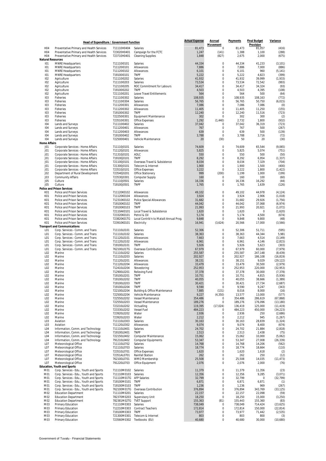|                          | <b>Head of Expenditure / Government Function</b>                              |                            |                                         | <b>Actual Expense</b> | <b>Accrual</b>   | <b>Payments</b>  | <b>Final Budget</b> | <b>Variance</b>     |
|--------------------------|-------------------------------------------------------------------------------|----------------------------|-----------------------------------------|-----------------------|------------------|------------------|---------------------|---------------------|
| H <sub>04</sub>          | Preventative Primary and Health Services                                      | 711110H0404                | <b>Salaries</b>                         | 81,473                | Movement<br>0    | 81,473           | Provision<br>81,057 | (416)               |
| H <sub>04</sub>          | Preventative Primary and Health Services                                      | 723020H0401                | Campaign for the FCTC                   | 1,247                 | (141)            | 1,388            | 1,100               | (288)               |
| H <sub>04</sub>          | Preventative Primary and Health Services                                      | 723710H0401                | <b>Cleaning Supplies</b>                | 1,848                 | (827)            | 2,675            | 2,000               | (675)               |
| <b>Natural Resources</b> |                                                                               |                            |                                         |                       |                  |                  |                     |                     |
| 101                      | <b>MNRE Headquarters</b>                                                      | 711110l0101                | Salaries                                | 44,334                | $\mathbf 0$      | 44,334           | 41,233              | (3, 101)            |
| 101                      | <b>MNRE Headquarters</b>                                                      | 71112010101                | Allowances                              | 7,886                 | 0                | 7,886            | 7,000               | (886)               |
| 101                      | <b>MNRE Headquarters</b>                                                      | 71112010102                | Allowances                              | 6,101                 | $\mathbf 0$      | 6,101            | 960                 | (5, 141)            |
| 101<br>102               | <b>MNRE Headquarters</b>                                                      | 719100l0101                | <b>TNPF</b><br>Salaries                 | 5,222                 | $\mathbf 0$<br>0 | 5,222            | 4,823               | (399)<br>(1,933)    |
| 102                      | Agriculture<br>Agriculture                                                    | 711110l0202<br>711110l0203 | Salaries                                | 41,932<br>73,534      | $\mathbf 0$      | 41,932<br>73,534 | 39,999<br>72,542    | (993)               |
| 102                      | Agriculture                                                                   | 712110l0205                | ROC Commitment for Labours              | 34,417                | 0                | 34,417           | 34,324              | (93)                |
| 102                      | Agriculture                                                                   | 719100l0202                | <b>TNPF</b>                             | 4,503                 | 0                | 4,503            | 4,395               | (108)               |
| 102                      | Agriculture                                                                   | 721110l0201                | Leave Travel Entitlements               | 564                   | $\mathbf 0$      | 564              | 500                 | (64)                |
| 103                      | Fisheries                                                                     | 711110l0302                | Salaries                                | 108,935               | $\mathbf 0$      | 108,935          | 108,163             | (772)               |
| 103                      | Fisheries                                                                     | 711110l0304                | Salaries                                | 56,765                | $\mathbf 0$      | 56,765           | 50,750              | (6, 015)            |
| 103                      | Fisheries                                                                     | 71112010301                | Allowances                              | 7,086                 | 0                | 7,086            | 7,086               | (0)                 |
| 103                      | Fisheries                                                                     | 71112010302                | Allowances                              | 11,405                | $\mathbf 0$      | 11,405           | 11,250              | (155)               |
| 103                      | <b>Fisheries</b>                                                              | 719100l0302                | <b>TNPF</b>                             | 12,240                | $\mathbf 0$      | 12,240           | 11,516              | (723)               |
| 103                      | Fisheries                                                                     | 72225010301                | <b>Equipment Maintenance</b>            | 302                   | 0                | 302              | 300                 | (2)                 |
| 103                      | Fisheries                                                                     | 723510l0301                | <b>Office Expenses</b>                  | 1,292                 | (1, 440)         | 2,732            | 1,800               | (932)               |
| 104<br>104               | Lands and Surveys                                                             | 711110l0402<br>71112010401 | Salaries<br>Allowances                  | 37,042<br>767         | 0<br>0           | 37,042<br>767    | 36,319<br>500       | (723)<br>(267)      |
| 104                      | Lands and Surveys<br>Lands and Surveys                                        | 71112010403                | Allowances                              | 639                   | $\mathbf 0$      | 639              | 500                 | (139)               |
| 104                      | Lands and Surveys                                                             | 71910010402                | <b>TNPF</b>                             | 3,788                 | 0                | 3,788            | 3,716               | (72)                |
| 104                      | Lands and Surveys                                                             | 72250010401                | Vehicle Maintenance                     | 20                    | (30)             | 50               | 20                  | (30)                |
| <b>Home Affairs</b>      |                                                                               |                            |                                         |                       |                  |                  |                     |                     |
| JO <sub>1</sub>          | Corporate Services - Home Affairs                                             | 711110J0101                | Salaries                                | 74,609                | $\bf 0$          | 74,609           | 65,544              | (9,065)             |
| J01                      | Corporate Services - Home Affairs                                             | 711120J0101                | Allowances                              | 5,825                 | $\mathbf 0$      | 5,825            | 5,074               | (751)               |
| J01                      | Corporate Services - Home Affairs                                             | 711310J0101                | ADLC                                    | 550                   | $\mathbf 0$      | 550              | 500                 | (50)                |
| J01                      | Corporate Services - Home Affairs                                             | 719100J0101                | <b>TNPF</b>                             | 8,292                 | $\mathbf 0$      | 8,292            | 6,954               | (1, 337)            |
| J01                      | Corporate Services - Home Affairs                                             | 721100J0101                | Overseas Travel & Subsistence           | 8,034                 | $\mathbf 0$      | 8,034            | 7,329               | (704)               |
| J01                      | Corporate Services - Home Affairs                                             | 721300J0101                | Telecom & Internet                      | 1,900                 | 0                | 1,900            | 1,500               | (400)               |
| J01                      | Corporate Services - Home Affairs                                             | 723510J0101                | <b>Office Expenses</b>                  | 3,222                 | $\mathbf 0$      | 3,222            | 1,800               | (1, 422)            |
| J02                      | Department of Rural Development                                               | 723540J0201                | <b>Office Stationery</b>                | 999                   | (200)            | 1,199            | 1,000               | (199)               |
| JO3<br><b>JO5</b>        | <b>Community Affairs</b>                                                      | 723530J0301<br>711110J0501 | <b>Computer Supply</b>                  | 160                   | 0<br>$\mathbf 0$ | 160              | 100                 | (60)                |
| J <sub>05</sub>          | Culture<br>Culture                                                            | 719100J0501                | Salaries<br><b>TNPF</b>                 | 16,336<br>1,765       | $\mathbf 0$      | 16,336<br>1,765  | 16,292<br>1,639     | (44)<br>(126)       |
|                          | <b>Police and Prison Services</b>                                             |                            |                                         |                       |                  |                  |                     |                     |
| K01                      | Police and Prison Services                                                    | 711120K0102                | Allowances                              | 49,102                | $\bf 0$          | 49,102           | 44,978              | (4, 124)            |
| K01                      | Police and Prison Services                                                    | 711120K0104                | Allowances                              | 3,924                 | $\mathbf 0$      | 3,924            | 2,906               | (1,018)             |
| K01                      | Police and Prison Services                                                    | 712310K0102                | Police Special Allowances               | 31,682                | $\mathbf 0$      | 31,682           | 29,926              | (1,756)             |
| K01                      | Police and Prison Services                                                    | 719100K0102                | <b>TNPF</b>                             | 44,042                | 0                | 44,042           | 37,068              | (6,974)             |
| K01                      | Police and Prison Services                                                    | 719100K0103                | <b>TNPF</b>                             | 21,993                | $\mathbf 0$      | 21,993           | 20,921              | (1,072)             |
| K01                      | Police and Prison Services                                                    | 72110AK0101                | Local Travel & Subsistence              | 1,620                 | $\mathbf 0$      | 1,620            | 0                   | (1,620)             |
| K01                      | Police and Prison Services                                                    | 723320K0101                | Petrol & Oil                            | 5,174                 | 0                | 5,174            | 4,500               | (674)               |
| K01                      | Police and Prison Services                                                    | 723820K01TG                | Local Contrib'n to Mataili Annual Prog. | 9,848                 | $\mathbf 0$      | 9,848            | 9,800               | (48)                |
| K01                      | Police and Prison Services                                                    | 723910K0101                | Electricity                             | 16,941                | (3,624)          | 20,566           | 17,000              | (3,566)             |
| L <sub>01</sub>          | <b>Transport and Communications</b><br>Corp. Services - Comm. and Trans       | 711110L0101                | Salaries                                | 52,306                | $\mathbf 0$      | 52,306           | 51,711              | (595)               |
| L01                      | Corp. Services - Comm. and Trans                                              | 711110L0102                | Salaries                                | 38,363                | $\bf 0$          | 38,363           | 44,344              | 5,981               |
| L01                      | Corp. Services - Comm. and Trans                                              | 711120L0101                | Allowances                              | 7,663                 | $\mathbf 0$      | 7,663            | 4,514               | (3, 149)            |
| L01                      | Corp. Services - Comm. and Trans                                              | 711120L0102                | Allowances                              | 6,961                 | 0                | 6,961            | 4,146               | (2, 815)            |
| L01                      | Corp. Services - Comm. and Trans                                              | 719100L0101                | <b>TNPF</b>                             | 5,926                 | $\mathbf 0$      | 5,926            | 5,623               | (303)               |
| L01                      | Corp. Services - Comm. and Trans                                              | 762100L01TG                | Overseas Contribution                   | 67,979                | 0                | 67,979           | 60,000              | (7, 979)            |
| L02                      | Marine                                                                        | 711110L0202                | Salaries                                | 255,587               | 0                | 255,587          | 247.148             | (8, 439)            |
| L02                      | Marine                                                                        | 711110L0203                | Salaries                                | 202,927               | $\mathbf 0$      | 202,927          | 186,108             | (16, 819)           |
| L <sub>02</sub>          | Marine                                                                        | 711120L0201                | Allowances                              | 38,151                | $\mathbf 0$      | 38,151           | 9,029               | (29, 122)           |
| L02                      | Marine                                                                        | 711120L0204                | Allowances                              | 33,479                | 0                | 33,479           | 30,500              | (2,979)             |
| L02                      | Marine                                                                        | 712410L0204                | Stevedoring                             | 252,953               | $\mathbf 0$      | 252,953          | 220,000             | (32, 953)           |
| L <sub>02</sub><br>L02   | Marine                                                                        | 712900L0201<br>719100L0201 | <b>Relieving Fund</b><br><b>TNPF</b>    | 37,378<br>10,751      | 0<br>0           | 37,378           | 30,000              | (7, 378)            |
| L02                      | Marine<br>Marine                                                              | 719100L0202                | <b>TNPF</b>                             | 40,055                | $\mathbf 0$      | 10,751<br>40,055 | 4,815<br>38,666     | (5,936)<br>(1, 389) |
| L02                      | Marine                                                                        | 719100L0203                | <b>TNPF</b>                             | 30,421                | $\mathbf 0$      | 30,421           | 27,734              | (2,687)             |
| L02                      | Marine                                                                        | 719100L0204                | <b>TNPF</b>                             | 9,590                 | 0                | 9,590            | 9,247               | (343)               |
| L02                      | Marine                                                                        | 722100L0204                | Building & Office Maintenance           | 7,885                 | (131)            | 8,016            | 8,000               | (16)                |
| L02                      | Marine                                                                        | 722500L0204                | Vehicle Maintenance                     | 9,227                 | (4, 350)         | 13,577           | 13,000              | (577)               |
| L02                      | Marine                                                                        | 722550L0202                | Vessel Maintenance                      | 354,486               | 0                | 354,486          | 286,619             | (67, 868)           |
| L02                      | Marine                                                                        | 722550L0203                | Vessel Maintenance                      | 189,276               | 0                | 189,276          | 176,096             | (13, 180)           |
| L02                      | Marine                                                                        | 723210L0202                | Victualling                             | 119,395               | (17, 024)        | 136,419          | 125,000             | (11, 419)           |
| L02                      | Marine                                                                        | 723330L0202                | <b>Vessel Fuel</b>                      | 484,223               | $\Omega$         | 484,223          | 450.000             | (34, 223)           |
| L02                      | Marine                                                                        | 723920L0202                | Water                                   | 2,936                 | 0                | 2,936            | 250                 | (2,686)             |
| L02<br>L <sub>03</sub>   | Marine<br>Aviation                                                            | 723920L0203                | Water<br>Salaries                       | 2,212<br>30,163       | 0<br>0           | 2,212            | 945                 | (1, 267)            |
| L03                      | Aviation                                                                      | 711110L0303<br>711120L0302 | Allowances                              |                       | 0                | 30,163<br>9,074  | 28,839              | (1, 324)            |
| L04                      | Information, Comm. and Technology                                             | 711110L0401                | Salaries                                | 9,074<br>24,702       | 0                | 24,702           | 8,400<br>21,884     | (674)<br>(2,818)    |
| L04                      | Information, Comm. and Technology                                             | 719100L0401                | <b>TNPF</b>                             | 2,513                 | 0                | 2,513            | 2,438               | (75)                |
| L04                      | Information, Comm. and Technology                                             | 722150L0402                | Computer Maintenance                    | 15,062                | 0                | 15,062           | 10,000              | (5,062)             |
| L <sub>04</sub>          | Information, Comm. and Technology                                             | 791210L0402                | <b>Computer Equipments</b>              | 53,347                | 0                | 53,347           | 27,008              | (26, 339)           |
| L07                      | Meteorological Office                                                         | 711110L0702                | Salaries                                | 14,768                | 0                | 14,768           | 14,206              | (562)               |
| L <sub>0</sub> 7         | Meteorological Office                                                         | 711110L0703                | Salaries                                | 18,774                | 0                | 18,774           | 18,664              | (110)               |
| L <sub>0</sub> 7         | Meteorological Office                                                         | 723510L0701                | Office Expenses                         | 1,620                 | 0                | 1,620            | 1,618               | (2)                 |
| L07                      | Meteorological Office                                                         | 72351AL0701                | <b>Rainfall Station</b>                 | 262                   | 0                | 262              | 250                 | (12)                |
| L07                      | Meteorological Office                                                         | 762100L0701                | WMO Membership                          | 25,508                | 0                | 25,508           | 14,035              | (11, 473)           |
| L07                      | Meteorological Office                                                         | 791220L0703                | Office Equipment                        | 2,076                 | 0                | 2,076            | 2,000               | (76)                |
| M01                      | <b>Education, Youth and Sports</b><br>Corp. Services - Edu., Youth and Sports | 711110M0102                | Salaries                                | 11,379                | 0                | 11,379           | 11,356              | (23)                |
| M01                      | Corp. Services - Edu., Youth and Sports                                       | 711110M0103                | Salaries                                | 12,356                | 0                | 12,356           | 9,285               | (3,071)             |
| M01                      | Corp. Services - Edu., Youth and Sports                                       | 711110M01TG AFP Salaries   |                                         | 32,799                | 0                | 32,799           | 0                   | (32, 799)           |
| M01                      | Corp. Services - Edu., Youth and Sports                                       | 719100M0101                | <b>TNPF</b>                             | 6,871                 | 0                | 6,871            | 6,871               | (1)                 |
| M01                      | Corp. Services - Edu., Youth and Sports                                       | 719100M0103                | <b>TNPF</b>                             | 1,236                 | 0                | 1,236            | 969                 | (267)               |
| M01                      | Corp. Services - Edu., Youth and Sports                                       |                            | 762100M01TG Overseas Contribution       | 376,894               | 0                | 376,894          | 343,769             | (33, 125)           |
| M02                      | <b>Education Department</b>                                                   | 711110M0201                | Salaries                                | 22,157                | 0                | 22,157           | 22,098              | (59)                |
| M02                      | <b>Education Department</b>                                                   | 782370M0203                | Supervisory Unit                        | 18,250                | 0                | 18,250           | 15,000              | (3, 250)            |
| M02                      | <b>Education Department</b>                                                   | 782381M02TG                | <b>TVET Support</b>                     | 155,363               | (81)             | 155,443          | 155,360             | (83)                |
| M03                      | Primary Education                                                             | 711110M0303                | Salaries                                | 738,049               | 0                | 738,049          | 714,424             | (23, 625)           |
| M03                      | Primary Education                                                             | 712210M0303                | <b>Contract Teachers</b>                | 172,814               | 0                | 172,814          | 150,000             | (22, 814)           |
| M03                      | <b>Primary Education</b>                                                      | 719100M0303                | <b>TNPF</b>                             | 73,977                | 0                | 73,977           | 71,442              | (2, 535)            |
| M03<br>M03               | Primary Education<br><b>Primary Education</b>                                 | 721300M0301<br>723560M0302 | Telecom & Internet<br>Textbooks (EU)    | 803<br>40,680         | 0<br>0           | 803<br>40,680    | 800<br>30,000       | (3)<br>(10,680)     |
|                          |                                                                               |                            |                                         |                       |                  |                  |                     |                     |